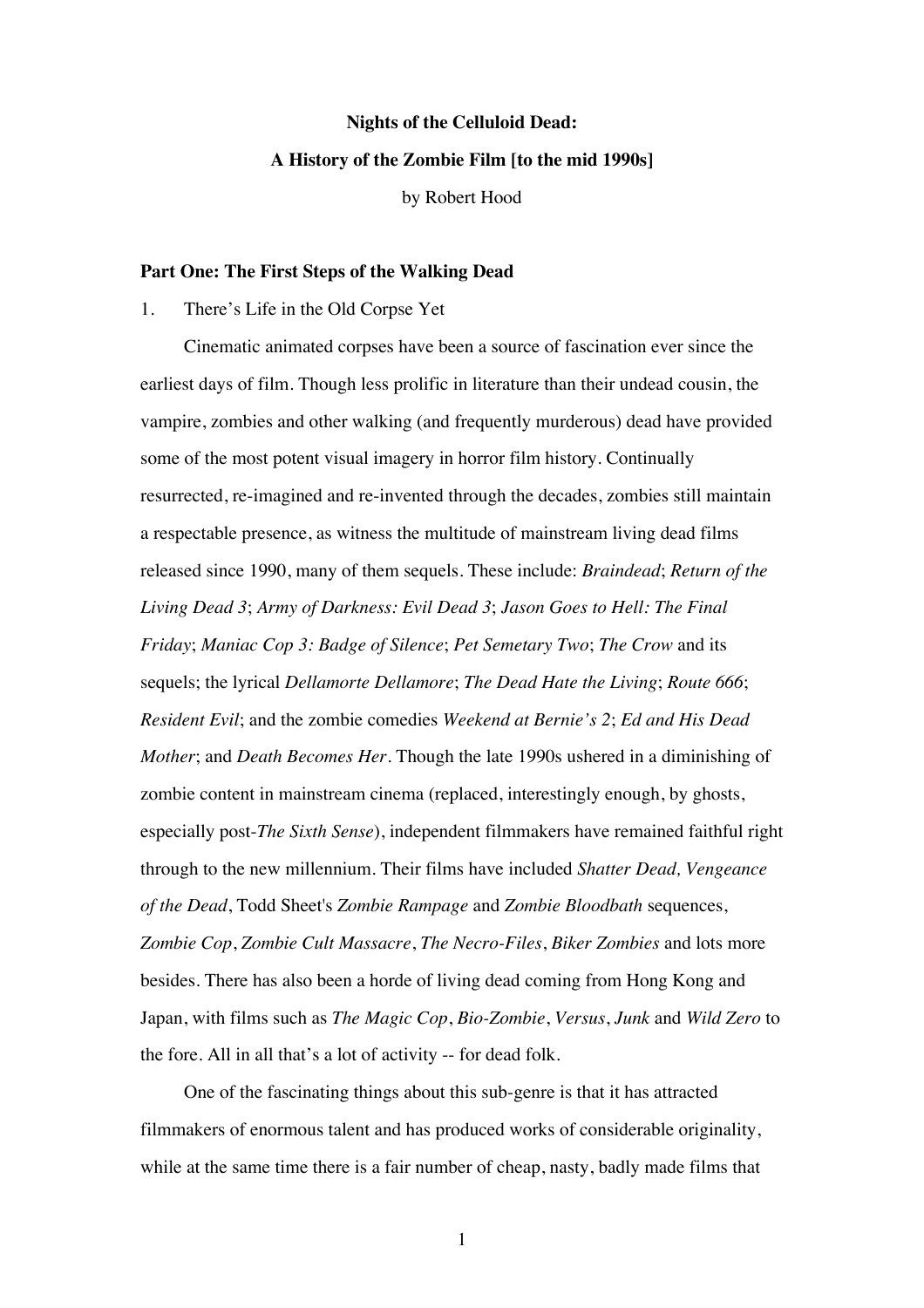# **Nights of the Celluloid Dead: A History of the Zombie Film [to the mid 1990s]**

by Robert Hood

## **Part One: The First Steps of the Walking Dead**

1. There's Life in the Old Corpse Yet

Cinematic animated corpses have been a source of fascination ever since the earliest days of film. Though less prolific in literature than their undead cousin, the vampire, zombies and other walking (and frequently murderous) dead have provided some of the most potent visual imagery in horror film history. Continually resurrected, re-imagined and re-invented through the decades, zombies still maintain a respectable presence, as witness the multitude of mainstream living dead films released since 1990, many of them sequels. These include: *Braindead*; *Return of the Living Dead 3*; *Army of Darkness: Evil Dead 3*; *Jason Goes to Hell: The Final Friday*; *Maniac Cop 3: Badge of Silence*; *Pet Semetary Two*; *The Crow* and its sequels; the lyrical *Dellamorte Dellamore*; *The Dead Hate the Living*; *Route 666*; *Resident Evil*; and the zombie comedies *Weekend at Bernie's 2*; *Ed and His Dead Mother*; and *Death Becomes Her*. Though the late 1990s ushered in a diminishing of zombie content in mainstream cinema (replaced, interestingly enough, by ghosts, especially post-*The Sixth Sense*), independent filmmakers have remained faithful right through to the new millennium. Their films have included *Shatter Dead, Vengeance of the Dead*, Todd Sheet's *Zombie Rampage* and *Zombie Bloodbath* sequences, *Zombie Cop*, *Zombie Cult Massacre*, *The Necro-Files*, *Biker Zombies* and lots more besides. There has also been a horde of living dead coming from Hong Kong and Japan, with films such as *The Magic Cop*, *Bio-Zombie*, *Versus*, *Junk* and *Wild Zero* to the fore. All in all that's a lot of activity -- for dead folk.

One of the fascinating things about this sub-genre is that it has attracted filmmakers of enormous talent and has produced works of considerable originality, while at the same time there is a fair number of cheap, nasty, badly made films that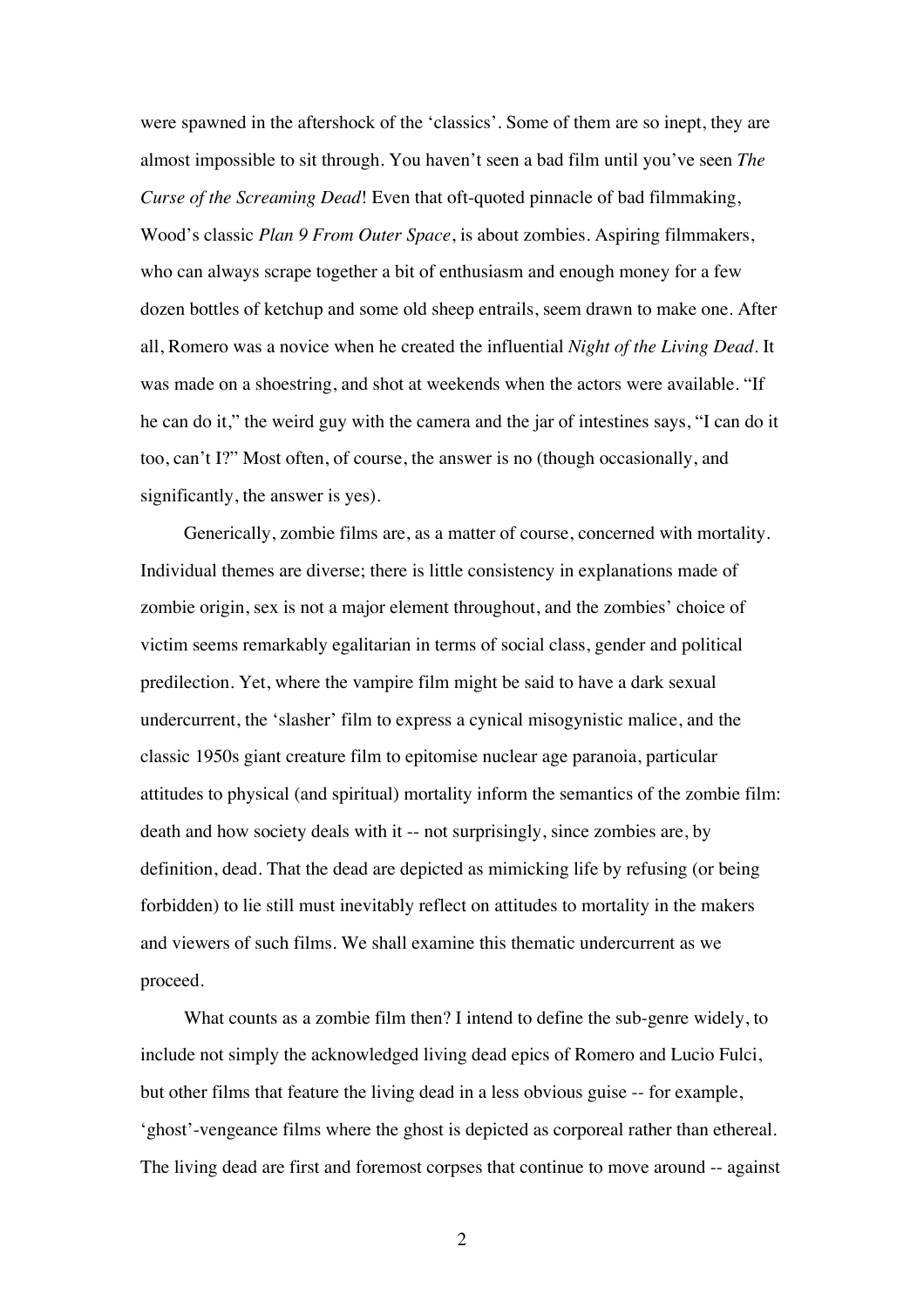were spawned in the aftershock of the 'classics'. Some of them are so inept, they are almost impossible to sit through. You haven't seen a bad film until you've seen *The Curse of the Screaming Dead*! Even that oft-quoted pinnacle of bad filmmaking, Wood's classic *Plan 9 From Outer Space*, is about zombies. Aspiring filmmakers, who can always scrape together a bit of enthusiasm and enough money for a few dozen bottles of ketchup and some old sheep entrails, seem drawn to make one. After all, Romero was a novice when he created the influential *Night of the Living Dead*. It was made on a shoestring, and shot at weekends when the actors were available. "If he can do it," the weird guy with the camera and the jar of intestines says, "I can do it too, can't I?" Most often, of course, the answer is no (though occasionally, and significantly, the answer is yes).

Generically, zombie films are, as a matter of course, concerned with mortality. Individual themes are diverse; there is little consistency in explanations made of zombie origin, sex is not a major element throughout, and the zombies' choice of victim seems remarkably egalitarian in terms of social class, gender and political predilection. Yet, where the vampire film might be said to have a dark sexual undercurrent, the 'slasher' film to express a cynical misogynistic malice, and the classic 1950s giant creature film to epitomise nuclear age paranoia, particular attitudes to physical (and spiritual) mortality inform the semantics of the zombie film: death and how society deals with it -- not surprisingly, since zombies are, by definition, dead. That the dead are depicted as mimicking life by refusing (or being forbidden) to lie still must inevitably reflect on attitudes to mortality in the makers and viewers of such films. We shall examine this thematic undercurrent as we proceed.

What counts as a zombie film then? I intend to define the sub-genre widely, to include not simply the acknowledged living dead epics of Romero and Lucio Fulci, but other films that feature the living dead in a less obvious guise -- for example, 'ghost'-vengeance films where the ghost is depicted as corporeal rather than ethereal. The living dead are first and foremost corpses that continue to move around -- against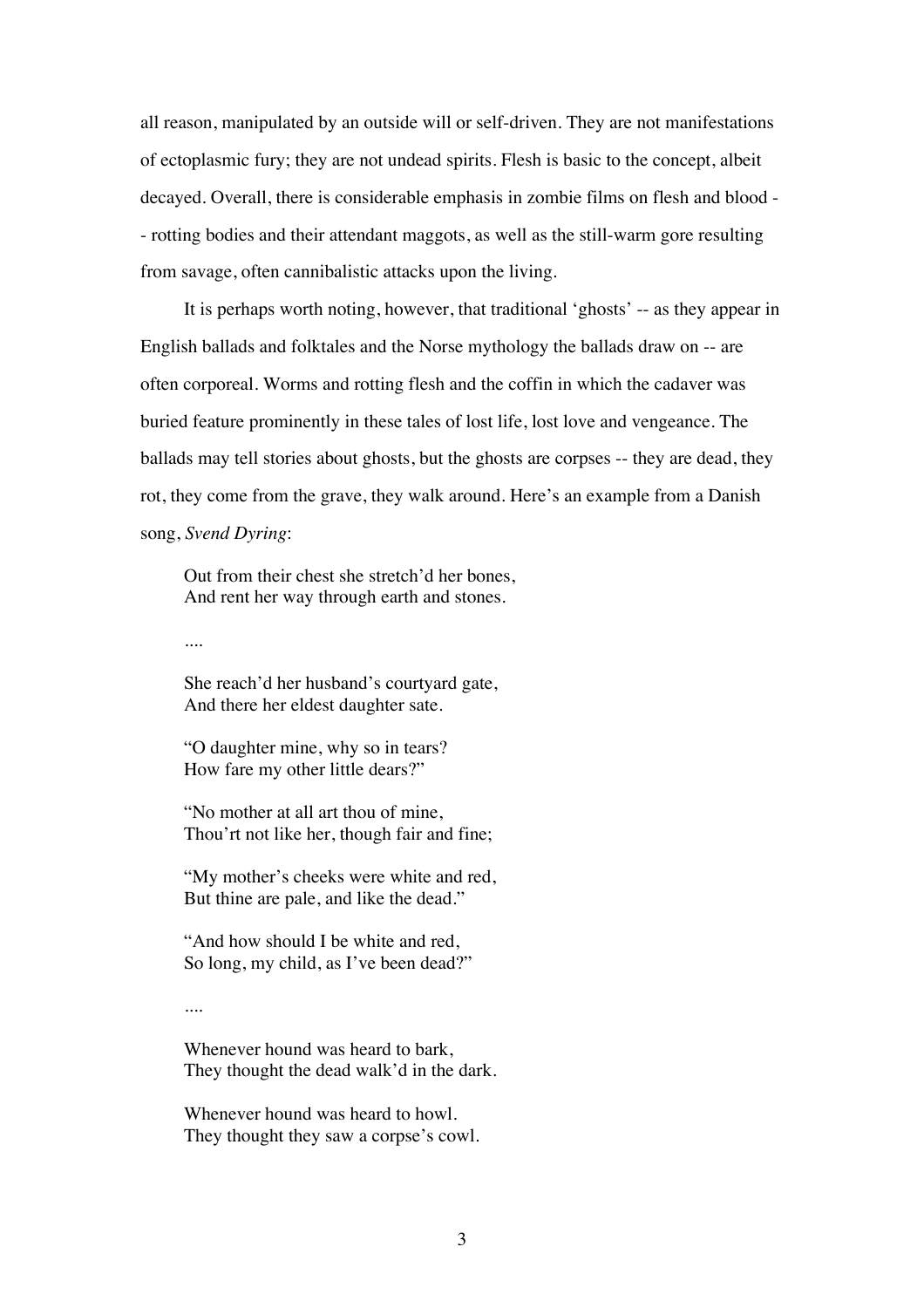all reason, manipulated by an outside will or self-driven. They are not manifestations of ectoplasmic fury; they are not undead spirits. Flesh is basic to the concept, albeit decayed. Overall, there is considerable emphasis in zombie films on flesh and blood - - rotting bodies and their attendant maggots, as well as the still-warm gore resulting from savage, often cannibalistic attacks upon the living.

It is perhaps worth noting, however, that traditional 'ghosts' -- as they appear in English ballads and folktales and the Norse mythology the ballads draw on -- are often corporeal. Worms and rotting flesh and the coffin in which the cadaver was buried feature prominently in these tales of lost life, lost love and vengeance. The ballads may tell stories about ghosts, but the ghosts are corpses -- they are dead, they rot, they come from the grave, they walk around. Here's an example from a Danish song, *Svend Dyring*:

Out from their chest she stretch'd her bones, And rent her way through earth and stones.

....

She reach'd her husband's courtyard gate, And there her eldest daughter sate.

"O daughter mine, why so in tears? How fare my other little dears?"

"No mother at all art thou of mine, Thou'rt not like her, though fair and fine;

"My mother's cheeks were white and red, But thine are pale, and like the dead."

"And how should I be white and red, So long, my child, as I've been dead?"

....

Whenever hound was heard to bark, They thought the dead walk'd in the dark.

Whenever hound was heard to howl. They thought they saw a corpse's cowl.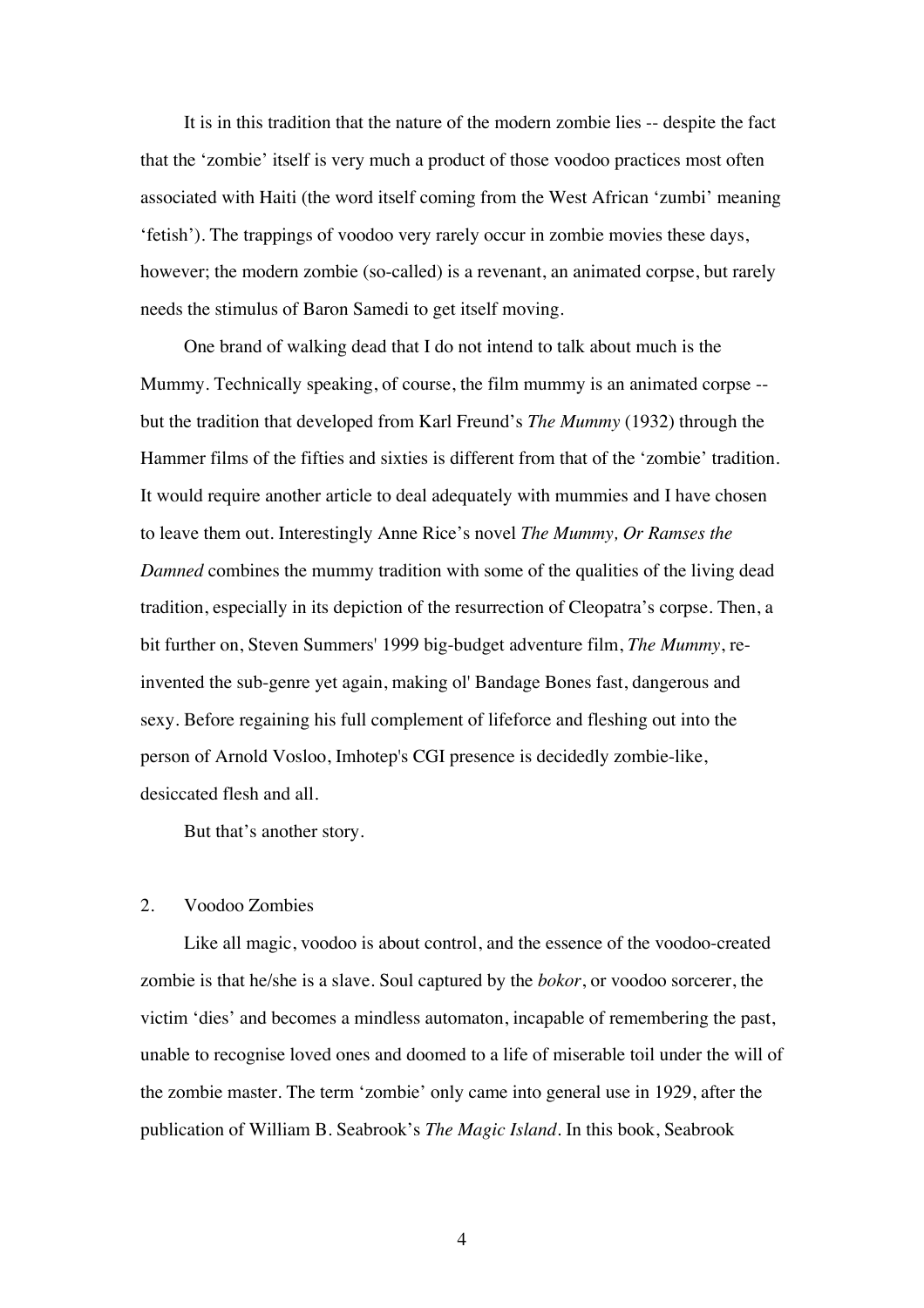It is in this tradition that the nature of the modern zombie lies -- despite the fact that the 'zombie' itself is very much a product of those voodoo practices most often associated with Haiti (the word itself coming from the West African 'zumbi' meaning 'fetish'). The trappings of voodoo very rarely occur in zombie movies these days, however; the modern zombie (so-called) is a revenant, an animated corpse, but rarely needs the stimulus of Baron Samedi to get itself moving.

One brand of walking dead that I do not intend to talk about much is the Mummy. Technically speaking, of course, the film mummy is an animated corpse - but the tradition that developed from Karl Freund's *The Mummy* (1932) through the Hammer films of the fifties and sixties is different from that of the 'zombie' tradition. It would require another article to deal adequately with mummies and I have chosen to leave them out. Interestingly Anne Rice's novel *The Mummy, Or Ramses the Damned* combines the mummy tradition with some of the qualities of the living dead tradition, especially in its depiction of the resurrection of Cleopatra's corpse. Then, a bit further on, Steven Summers' 1999 big-budget adventure film, *The Mummy*, reinvented the sub-genre yet again, making ol' Bandage Bones fast, dangerous and sexy. Before regaining his full complement of lifeforce and fleshing out into the person of Arnold Vosloo, Imhotep's CGI presence is decidedly zombie-like, desiccated flesh and all.

But that's another story.

## 2. Voodoo Zombies

Like all magic, voodoo is about control, and the essence of the voodoo-created zombie is that he/she is a slave. Soul captured by the *bokor*, or voodoo sorcerer, the victim 'dies' and becomes a mindless automaton, incapable of remembering the past, unable to recognise loved ones and doomed to a life of miserable toil under the will of the zombie master. The term 'zombie' only came into general use in 1929, after the publication of William B. Seabrook's *The Magic Island*. In this book, Seabrook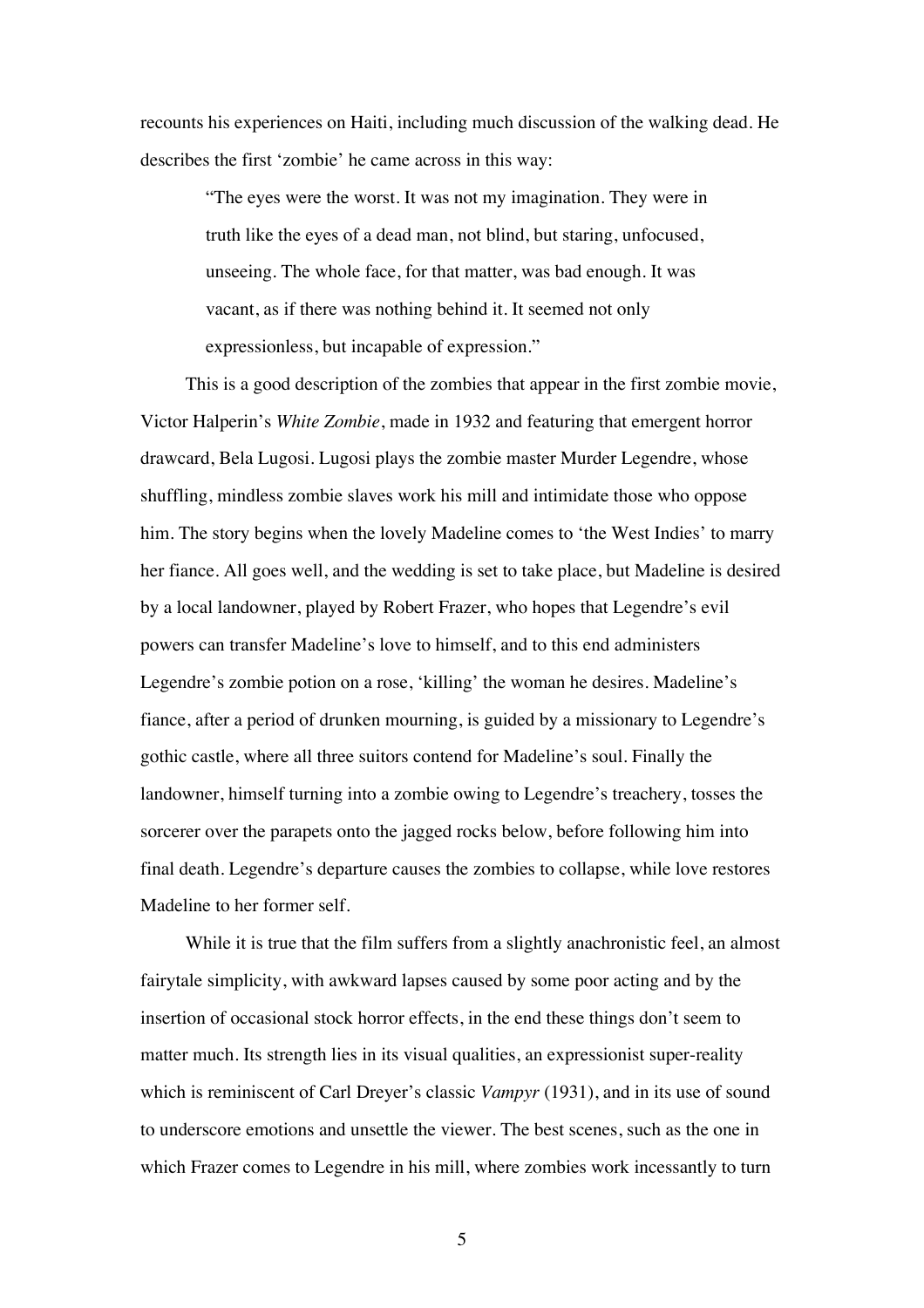recounts his experiences on Haiti, including much discussion of the walking dead. He describes the first 'zombie' he came across in this way:

> "The eyes were the worst. It was not my imagination. They were in truth like the eyes of a dead man, not blind, but staring, unfocused, unseeing. The whole face, for that matter, was bad enough. It was vacant, as if there was nothing behind it. It seemed not only expressionless, but incapable of expression."

This is a good description of the zombies that appear in the first zombie movie, Victor Halperin's *White Zombie*, made in 1932 and featuring that emergent horror drawcard, Bela Lugosi. Lugosi plays the zombie master Murder Legendre, whose shuffling, mindless zombie slaves work his mill and intimidate those who oppose him. The story begins when the lovely Madeline comes to 'the West Indies' to marry her fiance. All goes well, and the wedding is set to take place, but Madeline is desired by a local landowner, played by Robert Frazer, who hopes that Legendre's evil powers can transfer Madeline's love to himself, and to this end administers Legendre's zombie potion on a rose, 'killing' the woman he desires. Madeline's fiance, after a period of drunken mourning, is guided by a missionary to Legendre's gothic castle, where all three suitors contend for Madeline's soul. Finally the landowner, himself turning into a zombie owing to Legendre's treachery, tosses the sorcerer over the parapets onto the jagged rocks below, before following him into final death. Legendre's departure causes the zombies to collapse, while love restores Madeline to her former self.

While it is true that the film suffers from a slightly anachronistic feel, an almost fairytale simplicity, with awkward lapses caused by some poor acting and by the insertion of occasional stock horror effects, in the end these things don't seem to matter much. Its strength lies in its visual qualities, an expressionist super-reality which is reminiscent of Carl Dreyer's classic *Vampyr* (1931), and in its use of sound to underscore emotions and unsettle the viewer. The best scenes, such as the one in which Frazer comes to Legendre in his mill, where zombies work incessantly to turn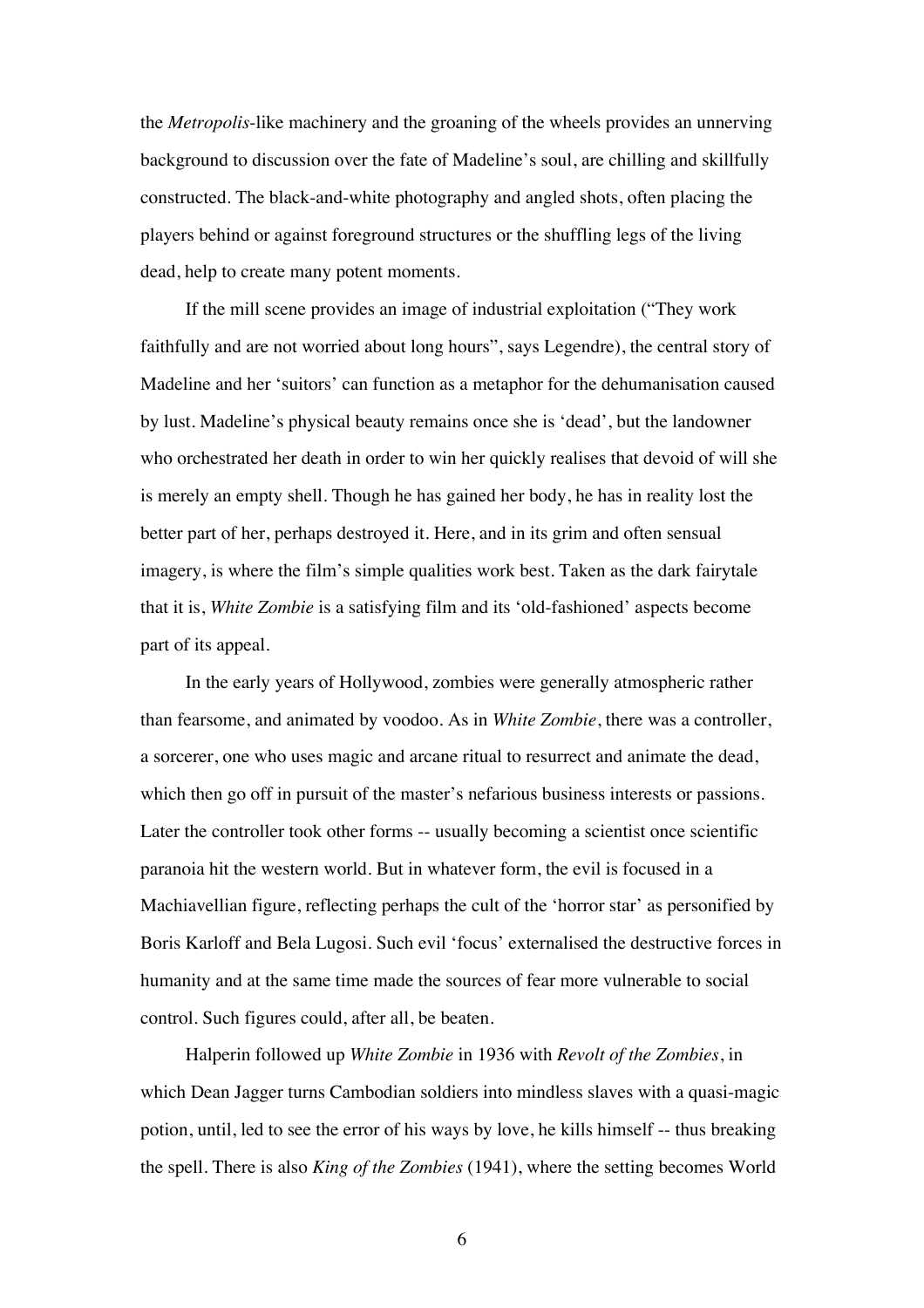the *Metropolis*-like machinery and the groaning of the wheels provides an unnerving background to discussion over the fate of Madeline's soul, are chilling and skillfully constructed. The black-and-white photography and angled shots, often placing the players behind or against foreground structures or the shuffling legs of the living dead, help to create many potent moments.

If the mill scene provides an image of industrial exploitation ("They work faithfully and are not worried about long hours", says Legendre), the central story of Madeline and her 'suitors' can function as a metaphor for the dehumanisation caused by lust. Madeline's physical beauty remains once she is 'dead', but the landowner who orchestrated her death in order to win her quickly realises that devoid of will she is merely an empty shell. Though he has gained her body, he has in reality lost the better part of her, perhaps destroyed it. Here, and in its grim and often sensual imagery, is where the film's simple qualities work best. Taken as the dark fairytale that it is, *White Zombie* is a satisfying film and its 'old-fashioned' aspects become part of its appeal.

In the early years of Hollywood, zombies were generally atmospheric rather than fearsome, and animated by voodoo. As in *White Zombie*, there was a controller, a sorcerer, one who uses magic and arcane ritual to resurrect and animate the dead, which then go off in pursuit of the master's nefarious business interests or passions. Later the controller took other forms -- usually becoming a scientist once scientific paranoia hit the western world. But in whatever form, the evil is focused in a Machiavellian figure, reflecting perhaps the cult of the 'horror star' as personified by Boris Karloff and Bela Lugosi. Such evil 'focus' externalised the destructive forces in humanity and at the same time made the sources of fear more vulnerable to social control. Such figures could, after all, be beaten.

Halperin followed up *White Zombie* in 1936 with *Revolt of the Zombies*, in which Dean Jagger turns Cambodian soldiers into mindless slaves with a quasi-magic potion, until, led to see the error of his ways by love, he kills himself -- thus breaking the spell. There is also *King of the Zombies* (1941), where the setting becomes World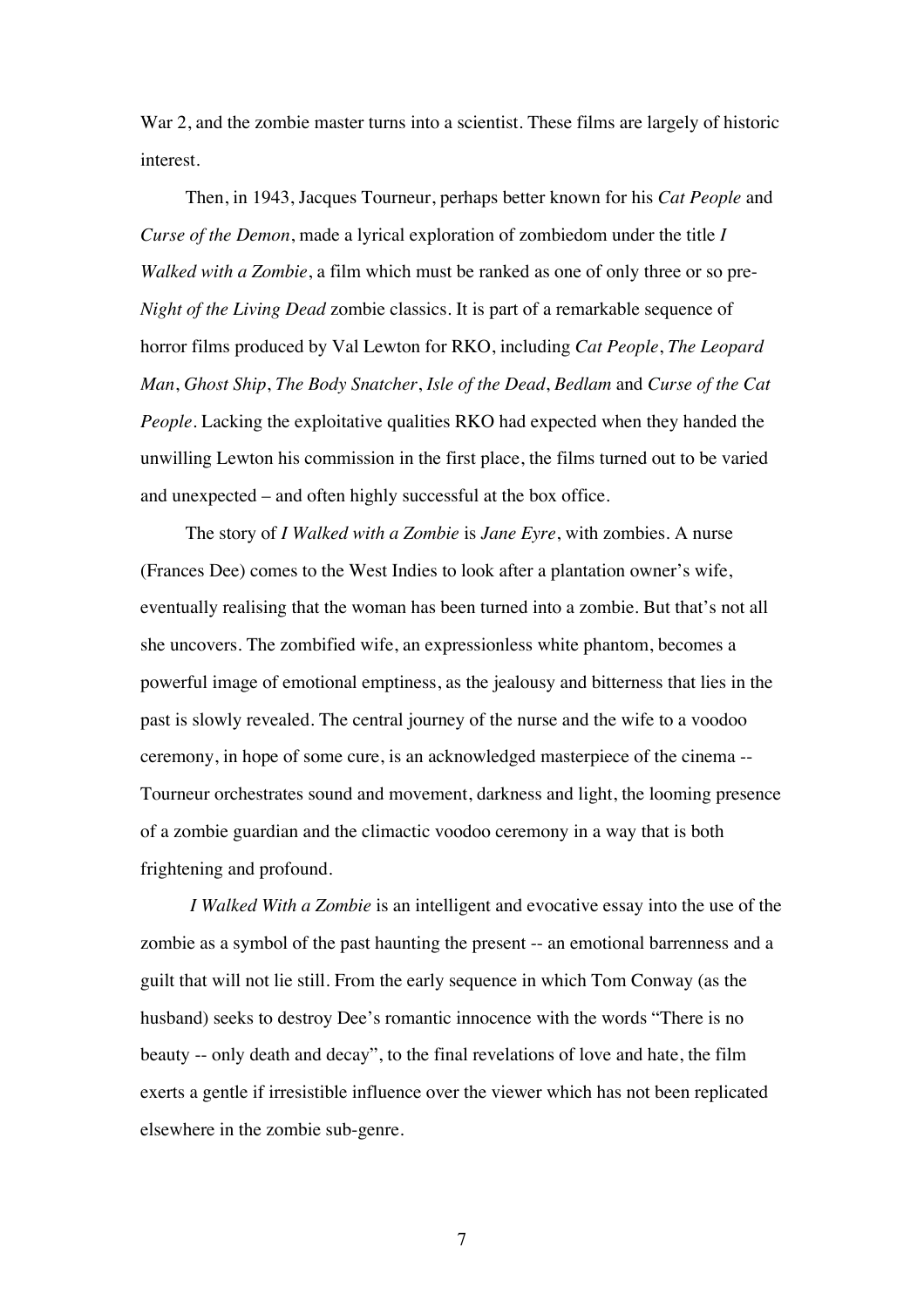War 2, and the zombie master turns into a scientist. These films are largely of historic interest.

Then, in 1943, Jacques Tourneur, perhaps better known for his *Cat People* and *Curse of the Demon*, made a lyrical exploration of zombiedom under the title *I Walked with a Zombie*, a film which must be ranked as one of only three or so pre-*Night of the Living Dead* zombie classics. It is part of a remarkable sequence of horror films produced by Val Lewton for RKO, including *Cat People*, *The Leopard Man*, *Ghost Ship*, *The Body Snatcher*, *Isle of the Dead*, *Bedlam* and *Curse of the Cat People*. Lacking the exploitative qualities RKO had expected when they handed the unwilling Lewton his commission in the first place, the films turned out to be varied and unexpected – and often highly successful at the box office.

The story of *I Walked with a Zombie* is *Jane Eyre*, with zombies. A nurse (Frances Dee) comes to the West Indies to look after a plantation owner's wife, eventually realising that the woman has been turned into a zombie. But that's not all she uncovers. The zombified wife, an expressionless white phantom, becomes a powerful image of emotional emptiness, as the jealousy and bitterness that lies in the past is slowly revealed. The central journey of the nurse and the wife to a voodoo ceremony, in hope of some cure, is an acknowledged masterpiece of the cinema -- Tourneur orchestrates sound and movement, darkness and light, the looming presence of a zombie guardian and the climactic voodoo ceremony in a way that is both frightening and profound.

*I Walked With a Zombie* is an intelligent and evocative essay into the use of the zombie as a symbol of the past haunting the present -- an emotional barrenness and a guilt that will not lie still. From the early sequence in which Tom Conway (as the husband) seeks to destroy Dee's romantic innocence with the words "There is no beauty -- only death and decay", to the final revelations of love and hate, the film exerts a gentle if irresistible influence over the viewer which has not been replicated elsewhere in the zombie sub-genre.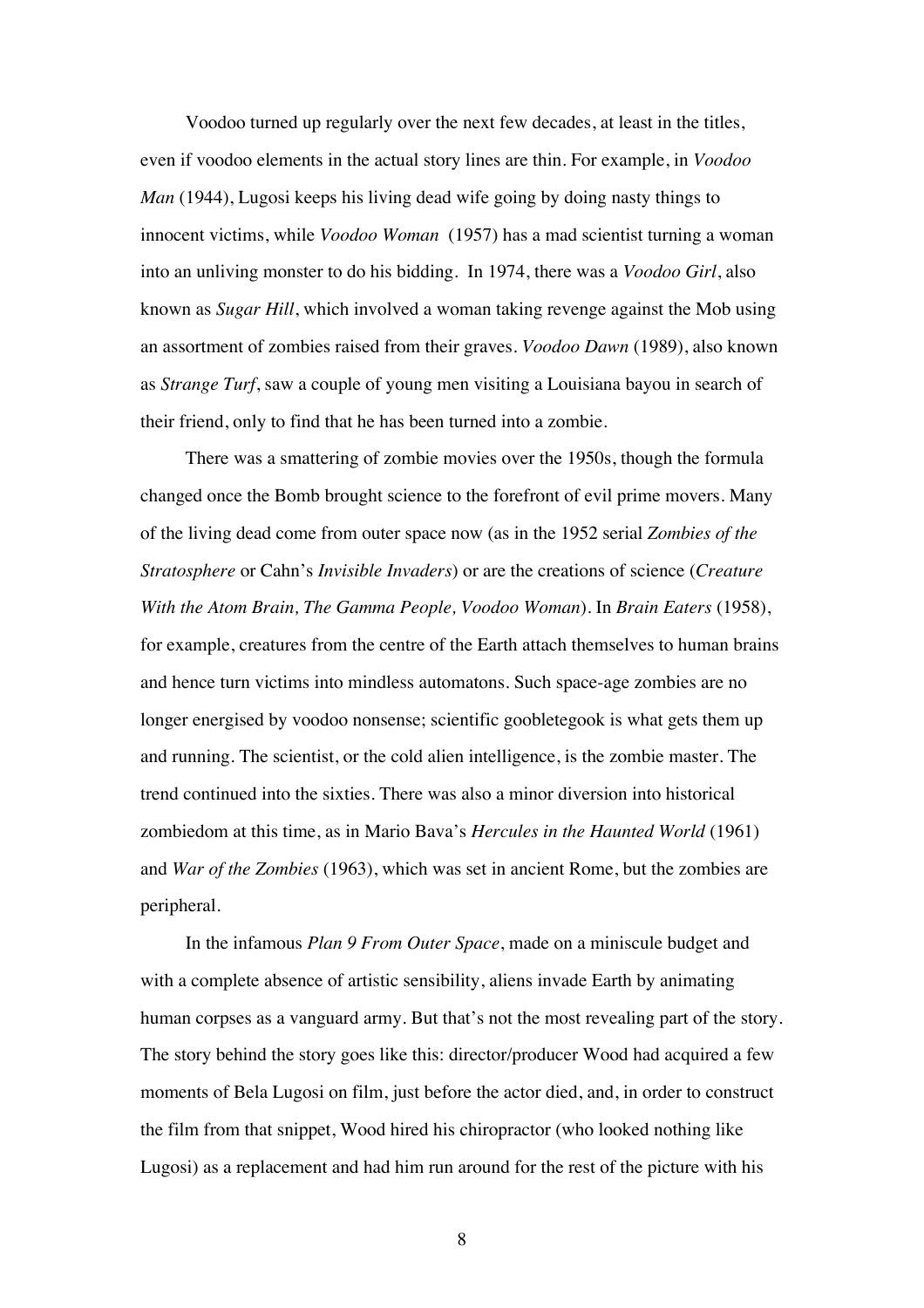Voodoo turned up regularly over the next few decades, at least in the titles, even if voodoo elements in the actual story lines are thin. For example, in *Voodoo Man* (1944), Lugosi keeps his living dead wife going by doing nasty things to innocent victims, while *Voodoo Woman* (1957) has a mad scientist turning a woman into an unliving monster to do his bidding. In 1974, there was a *Voodoo Girl*, also known as *Sugar Hill*, which involved a woman taking revenge against the Mob using an assortment of zombies raised from their graves. *Voodoo Dawn* (1989), also known as *Strange Turf*, saw a couple of young men visiting a Louisiana bayou in search of their friend, only to find that he has been turned into a zombie.

There was a smattering of zombie movies over the 1950s, though the formula changed once the Bomb brought science to the forefront of evil prime movers. Many of the living dead come from outer space now (as in the 1952 serial *Zombies of the Stratosphere* or Cahn's *Invisible Invaders*) or are the creations of science (*Creature With the Atom Brain, The Gamma People, Voodoo Woman*). In *Brain Eaters* (1958), for example, creatures from the centre of the Earth attach themselves to human brains and hence turn victims into mindless automatons. Such space-age zombies are no longer energised by voodoo nonsense; scientific goobletegook is what gets them up and running. The scientist, or the cold alien intelligence, is the zombie master. The trend continued into the sixties. There was also a minor diversion into historical zombiedom at this time, as in Mario Bava's *Hercules in the Haunted World* (1961) and *War of the Zombies* (1963), which was set in ancient Rome, but the zombies are peripheral.

In the infamous *Plan 9 From Outer Space*, made on a miniscule budget and with a complete absence of artistic sensibility, aliens invade Earth by animating human corpses as a vanguard army. But that's not the most revealing part of the story. The story behind the story goes like this: director/producer Wood had acquired a few moments of Bela Lugosi on film, just before the actor died, and, in order to construct the film from that snippet, Wood hired his chiropractor (who looked nothing like Lugosi) as a replacement and had him run around for the rest of the picture with his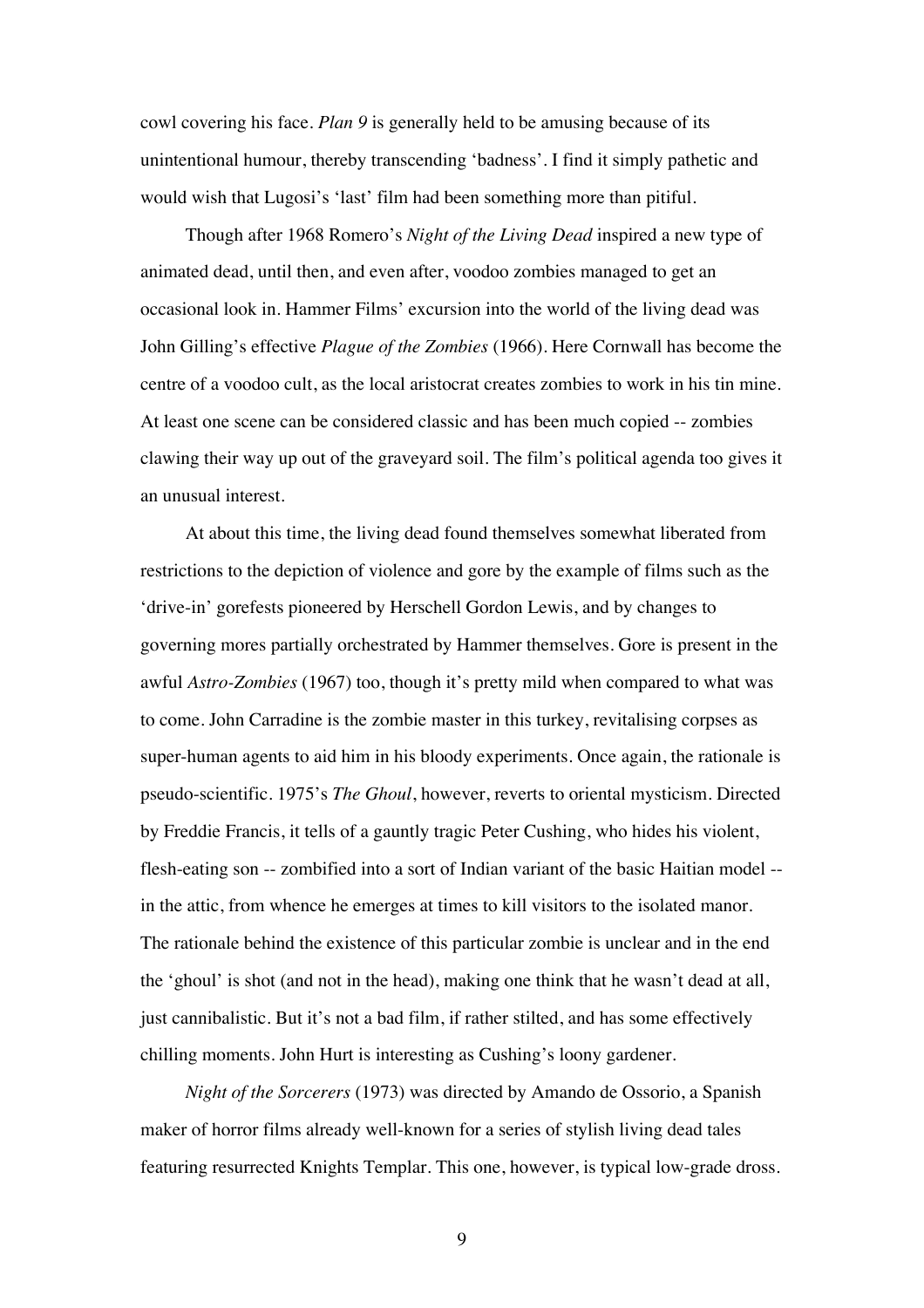cowl covering his face. *Plan 9* is generally held to be amusing because of its unintentional humour, thereby transcending 'badness'. I find it simply pathetic and would wish that Lugosi's 'last' film had been something more than pitiful.

Though after 1968 Romero's *Night of the Living Dead* inspired a new type of animated dead, until then, and even after, voodoo zombies managed to get an occasional look in. Hammer Films' excursion into the world of the living dead was John Gilling's effective *Plague of the Zombies* (1966). Here Cornwall has become the centre of a voodoo cult, as the local aristocrat creates zombies to work in his tin mine. At least one scene can be considered classic and has been much copied -- zombies clawing their way up out of the graveyard soil. The film's political agenda too gives it an unusual interest.

At about this time, the living dead found themselves somewhat liberated from restrictions to the depiction of violence and gore by the example of films such as the 'drive-in' gorefests pioneered by Herschell Gordon Lewis, and by changes to governing mores partially orchestrated by Hammer themselves. Gore is present in the awful *Astro-Zombies* (1967) too, though it's pretty mild when compared to what was to come. John Carradine is the zombie master in this turkey, revitalising corpses as super-human agents to aid him in his bloody experiments. Once again, the rationale is pseudo-scientific. 1975's *The Ghoul*, however, reverts to oriental mysticism. Directed by Freddie Francis, it tells of a gauntly tragic Peter Cushing, who hides his violent, flesh-eating son -- zombified into a sort of Indian variant of the basic Haitian model - in the attic, from whence he emerges at times to kill visitors to the isolated manor. The rationale behind the existence of this particular zombie is unclear and in the end the 'ghoul' is shot (and not in the head), making one think that he wasn't dead at all, just cannibalistic. But it's not a bad film, if rather stilted, and has some effectively chilling moments. John Hurt is interesting as Cushing's loony gardener.

*Night of the Sorcerers* (1973) was directed by Amando de Ossorio, a Spanish maker of horror films already well-known for a series of stylish living dead tales featuring resurrected Knights Templar. This one, however, is typical low-grade dross.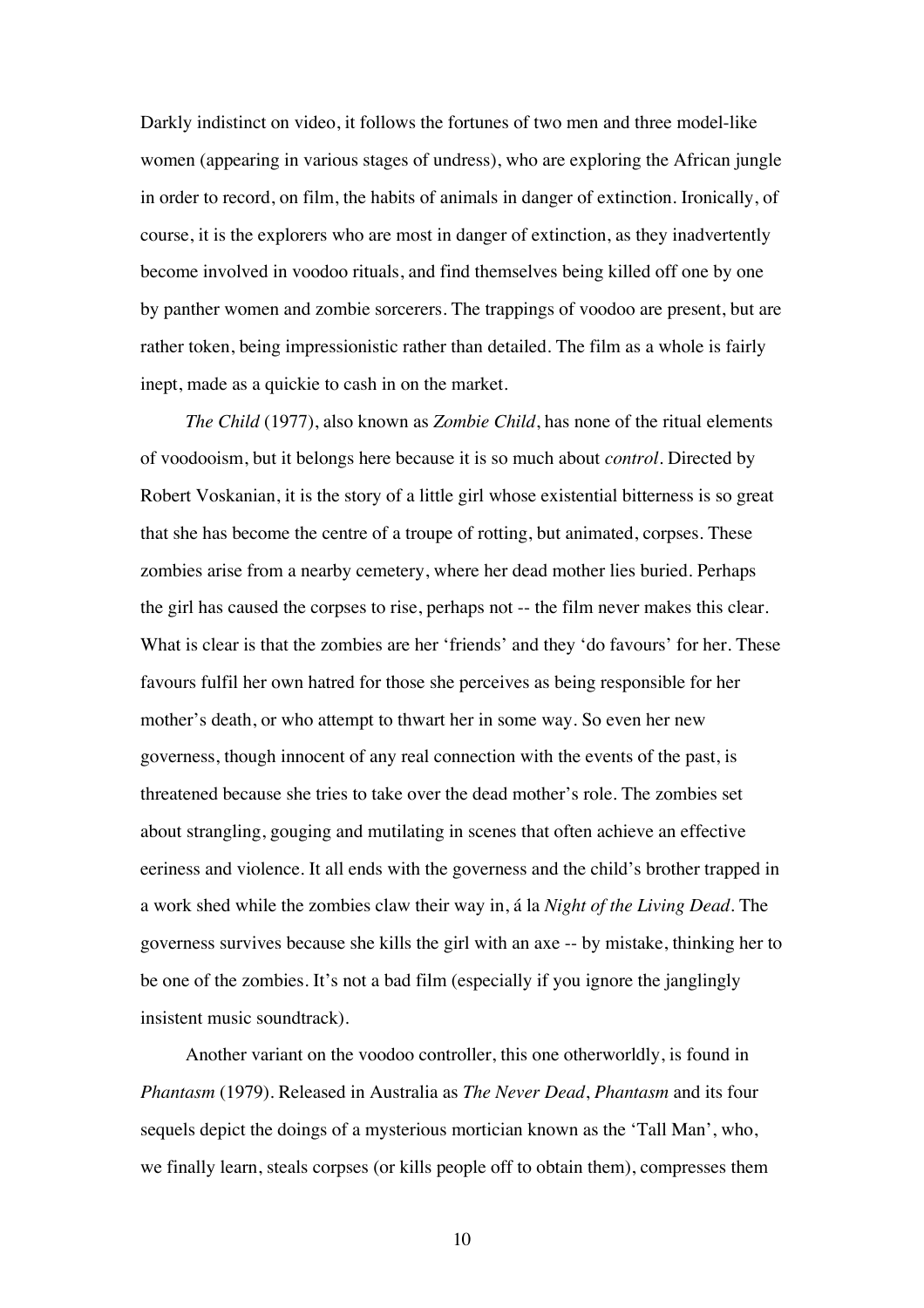Darkly indistinct on video, it follows the fortunes of two men and three model-like women (appearing in various stages of undress), who are exploring the African jungle in order to record, on film, the habits of animals in danger of extinction. Ironically, of course, it is the explorers who are most in danger of extinction, as they inadvertently become involved in voodoo rituals, and find themselves being killed off one by one by panther women and zombie sorcerers. The trappings of voodoo are present, but are rather token, being impressionistic rather than detailed. The film as a whole is fairly inept, made as a quickie to cash in on the market.

*The Child* (1977), also known as *Zombie Child*, has none of the ritual elements of voodooism, but it belongs here because it is so much about *control*. Directed by Robert Voskanian, it is the story of a little girl whose existential bitterness is so great that she has become the centre of a troupe of rotting, but animated, corpses. These zombies arise from a nearby cemetery, where her dead mother lies buried. Perhaps the girl has caused the corpses to rise, perhaps not -- the film never makes this clear. What is clear is that the zombies are her 'friends' and they 'do favours' for her. These favours fulfil her own hatred for those she perceives as being responsible for her mother's death, or who attempt to thwart her in some way. So even her new governess, though innocent of any real connection with the events of the past, is threatened because she tries to take over the dead mother's role. The zombies set about strangling, gouging and mutilating in scenes that often achieve an effective eeriness and violence. It all ends with the governess and the child's brother trapped in a work shed while the zombies claw their way in, á la *Night of the Living Dead*. The governess survives because she kills the girl with an axe -- by mistake, thinking her to be one of the zombies. It's not a bad film (especially if you ignore the janglingly insistent music soundtrack).

Another variant on the voodoo controller, this one otherworldly, is found in *Phantasm* (1979). Released in Australia as *The Never Dead*, *Phantasm* and its four sequels depict the doings of a mysterious mortician known as the 'Tall Man', who, we finally learn, steals corpses (or kills people off to obtain them), compresses them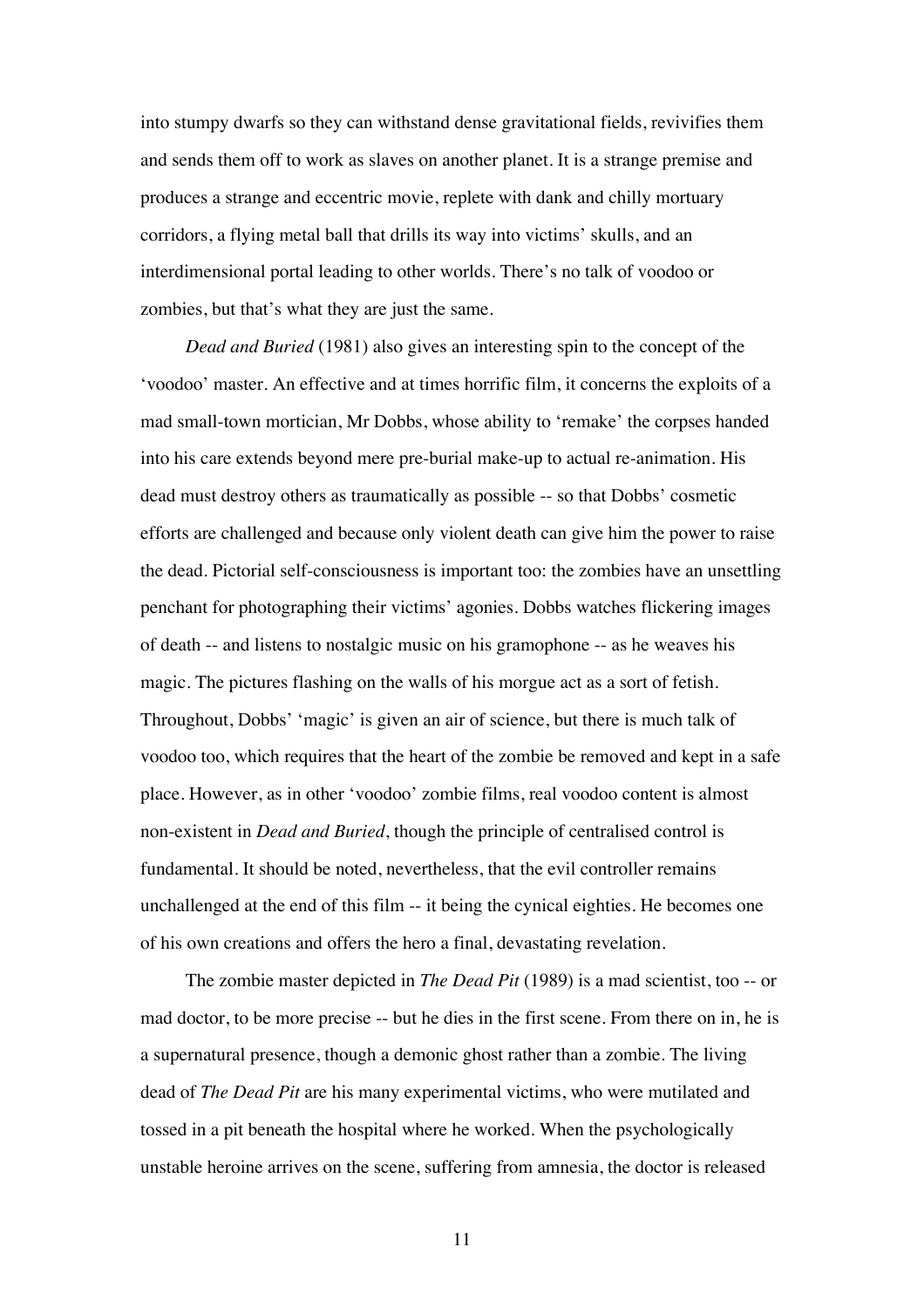into stumpy dwarfs so they can withstand dense gravitational fields, revivifies them and sends them off to work as slaves on another planet. It is a strange premise and produces a strange and eccentric movie, replete with dank and chilly mortuary corridors, a flying metal ball that drills its way into victims' skulls, and an interdimensional portal leading to other worlds. There's no talk of voodoo or zombies, but that's what they are just the same.

*Dead and Buried* (1981) also gives an interesting spin to the concept of the 'voodoo' master. An effective and at times horrific film, it concerns the exploits of a mad small-town mortician, Mr Dobbs, whose ability to 'remake' the corpses handed into his care extends beyond mere pre-burial make-up to actual re-animation. His dead must destroy others as traumatically as possible -- so that Dobbs' cosmetic efforts are challenged and because only violent death can give him the power to raise the dead. Pictorial self-consciousness is important too: the zombies have an unsettling penchant for photographing their victims' agonies. Dobbs watches flickering images of death -- and listens to nostalgic music on his gramophone -- as he weaves his magic. The pictures flashing on the walls of his morgue act as a sort of fetish. Throughout, Dobbs' 'magic' is given an air of science, but there is much talk of voodoo too, which requires that the heart of the zombie be removed and kept in a safe place. However, as in other 'voodoo' zombie films, real voodoo content is almost non-existent in *Dead and Buried*, though the principle of centralised control is fundamental. It should be noted, nevertheless, that the evil controller remains unchallenged at the end of this film -- it being the cynical eighties. He becomes one of his own creations and offers the hero a final, devastating revelation.

The zombie master depicted in *The Dead Pit* (1989) is a mad scientist, too -- or mad doctor, to be more precise -- but he dies in the first scene. From there on in, he is a supernatural presence, though a demonic ghost rather than a zombie. The living dead of *The Dead Pit* are his many experimental victims, who were mutilated and tossed in a pit beneath the hospital where he worked. When the psychologically unstable heroine arrives on the scene, suffering from amnesia, the doctor is released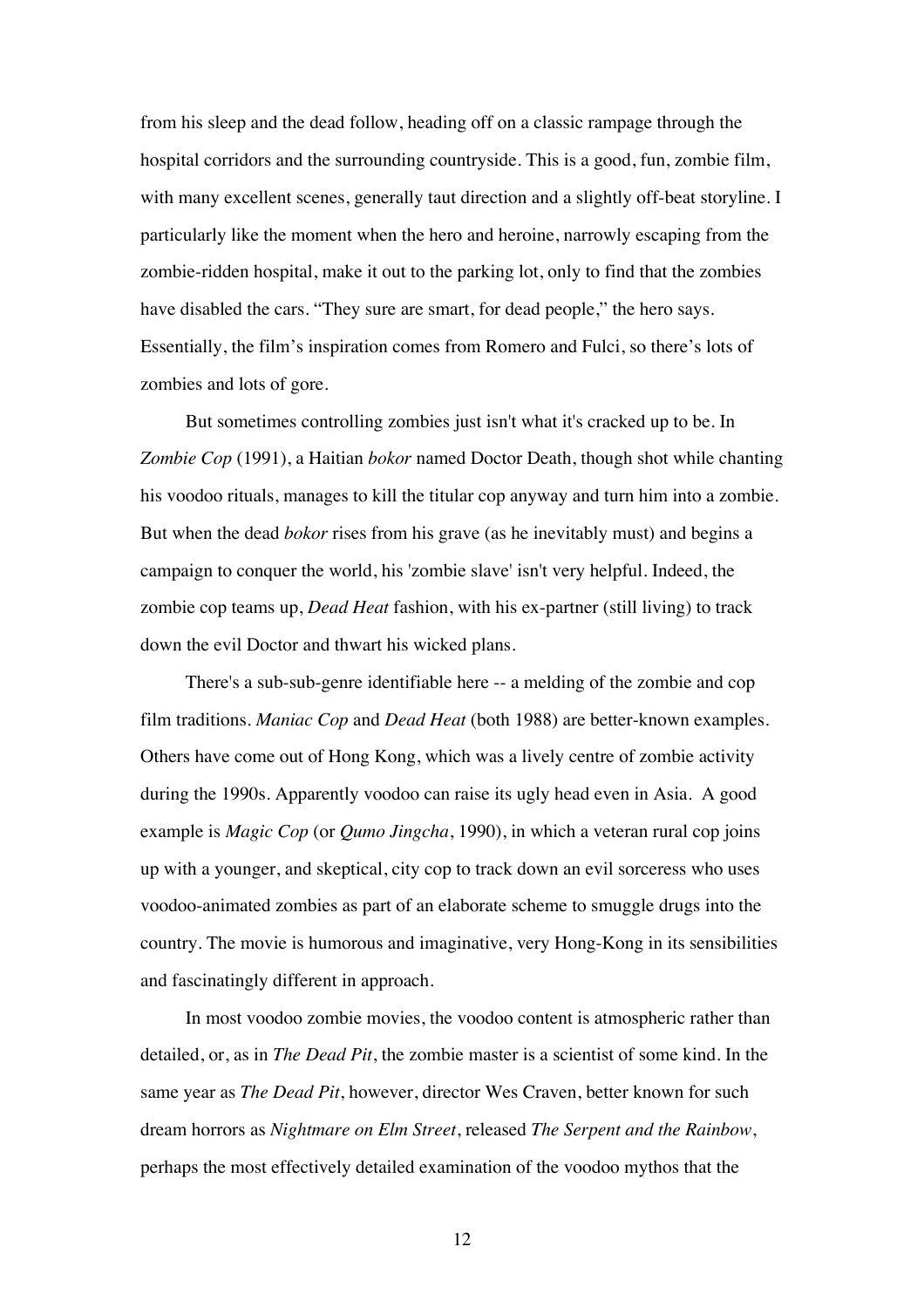from his sleep and the dead follow, heading off on a classic rampage through the hospital corridors and the surrounding countryside. This is a good, fun, zombie film, with many excellent scenes, generally taut direction and a slightly off-beat storyline. I particularly like the moment when the hero and heroine, narrowly escaping from the zombie-ridden hospital, make it out to the parking lot, only to find that the zombies have disabled the cars. "They sure are smart, for dead people," the hero says. Essentially, the film's inspiration comes from Romero and Fulci, so there's lots of zombies and lots of gore.

But sometimes controlling zombies just isn't what it's cracked up to be. In *Zombie Cop* (1991), a Haitian *bokor* named Doctor Death, though shot while chanting his voodoo rituals, manages to kill the titular cop anyway and turn him into a zombie. But when the dead *bokor* rises from his grave (as he inevitably must) and begins a campaign to conquer the world, his 'zombie slave' isn't very helpful. Indeed, the zombie cop teams up, *Dead Heat* fashion, with his ex-partner (still living) to track down the evil Doctor and thwart his wicked plans.

There's a sub-sub-genre identifiable here -- a melding of the zombie and cop film traditions. *Maniac Cop* and *Dead Heat* (both 1988) are better-known examples. Others have come out of Hong Kong, which was a lively centre of zombie activity during the 1990s. Apparently voodoo can raise its ugly head even in Asia. A good example is *Magic Cop* (or *Qumo Jingcha*, 1990), in which a veteran rural cop joins up with a younger, and skeptical, city cop to track down an evil sorceress who uses voodoo-animated zombies as part of an elaborate scheme to smuggle drugs into the country. The movie is humorous and imaginative, very Hong-Kong in its sensibilities and fascinatingly different in approach.

In most voodoo zombie movies, the voodoo content is atmospheric rather than detailed, or, as in *The Dead Pit*, the zombie master is a scientist of some kind. In the same year as *The Dead Pit*, however, director Wes Craven, better known for such dream horrors as *Nightmare on Elm Street*, released *The Serpent and the Rainbow*, perhaps the most effectively detailed examination of the voodoo mythos that the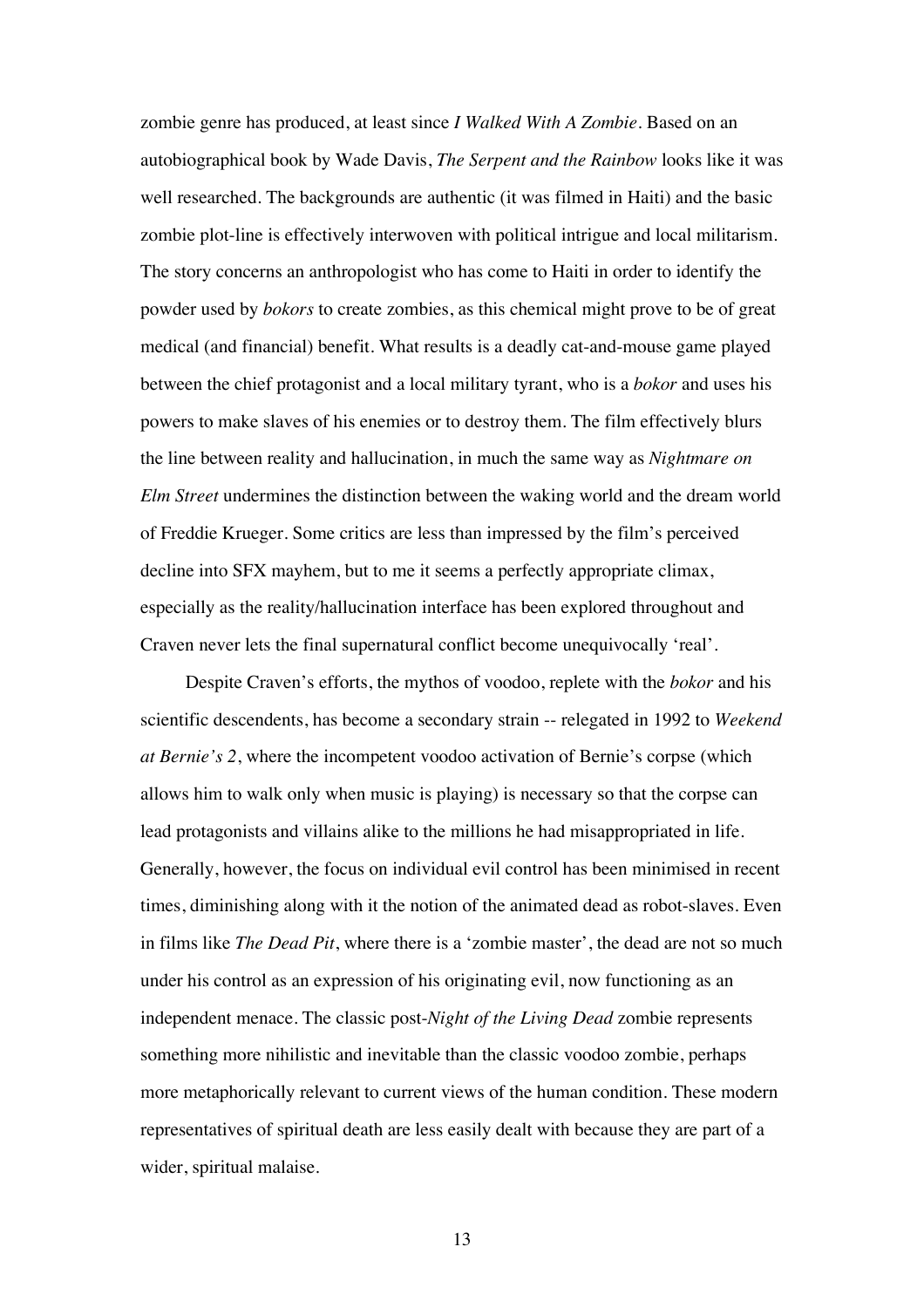zombie genre has produced, at least since *I Walked With A Zombie*. Based on an autobiographical book by Wade Davis, *The Serpent and the Rainbow* looks like it was well researched. The backgrounds are authentic (it was filmed in Haiti) and the basic zombie plot-line is effectively interwoven with political intrigue and local militarism. The story concerns an anthropologist who has come to Haiti in order to identify the powder used by *bokors* to create zombies, as this chemical might prove to be of great medical (and financial) benefit. What results is a deadly cat-and-mouse game played between the chief protagonist and a local military tyrant, who is a *bokor* and uses his powers to make slaves of his enemies or to destroy them. The film effectively blurs the line between reality and hallucination, in much the same way as *Nightmare on Elm Street* undermines the distinction between the waking world and the dream world of Freddie Krueger. Some critics are less than impressed by the film's perceived decline into SFX mayhem, but to me it seems a perfectly appropriate climax, especially as the reality/hallucination interface has been explored throughout and Craven never lets the final supernatural conflict become unequivocally 'real'.

Despite Craven's efforts, the mythos of voodoo, replete with the *bokor* and his scientific descendents, has become a secondary strain -- relegated in 1992 to *Weekend at Bernie's 2*, where the incompetent voodoo activation of Bernie's corpse (which allows him to walk only when music is playing) is necessary so that the corpse can lead protagonists and villains alike to the millions he had misappropriated in life. Generally, however, the focus on individual evil control has been minimised in recent times, diminishing along with it the notion of the animated dead as robot-slaves. Even in films like *The Dead Pit*, where there is a 'zombie master', the dead are not so much under his control as an expression of his originating evil, now functioning as an independent menace. The classic post-*Night of the Living Dead* zombie represents something more nihilistic and inevitable than the classic voodoo zombie, perhaps more metaphorically relevant to current views of the human condition. These modern representatives of spiritual death are less easily dealt with because they are part of a wider, spiritual malaise.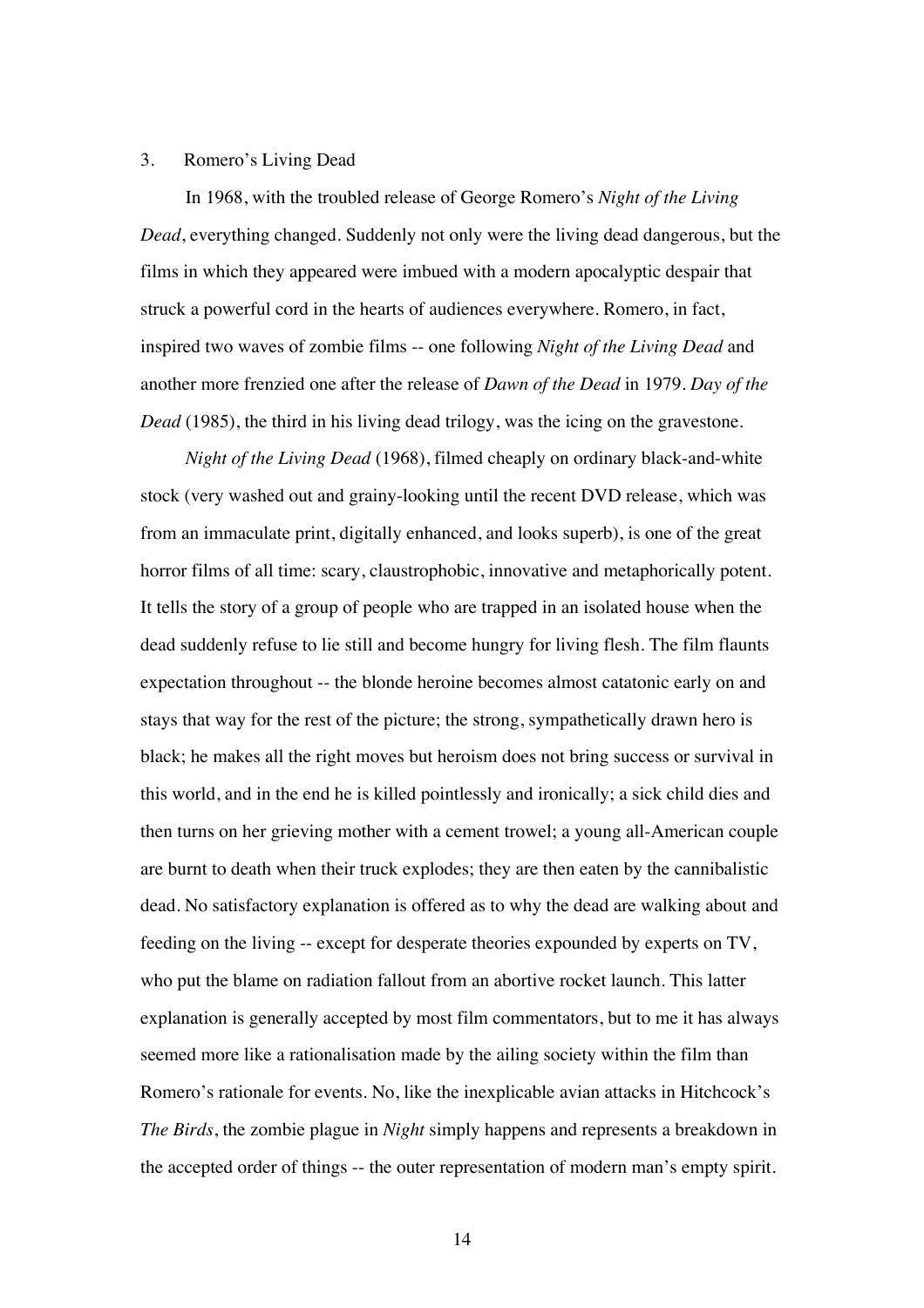### 3. Romero's Living Dead

In 1968, with the troubled release of George Romero's *Night of the Living Dead*, everything changed. Suddenly not only were the living dead dangerous, but the films in which they appeared were imbued with a modern apocalyptic despair that struck a powerful cord in the hearts of audiences everywhere. Romero, in fact, inspired two waves of zombie films -- one following *Night of the Living Dead* and another more frenzied one after the release of *Dawn of the Dead* in 1979. *Day of the Dead* (1985), the third in his living dead trilogy, was the icing on the gravestone.

*Night of the Living Dead* (1968), filmed cheaply on ordinary black-and-white stock (very washed out and grainy-looking until the recent DVD release, which was from an immaculate print, digitally enhanced, and looks superb), is one of the great horror films of all time: scary, claustrophobic, innovative and metaphorically potent. It tells the story of a group of people who are trapped in an isolated house when the dead suddenly refuse to lie still and become hungry for living flesh. The film flaunts expectation throughout -- the blonde heroine becomes almost catatonic early on and stays that way for the rest of the picture; the strong, sympathetically drawn hero is black; he makes all the right moves but heroism does not bring success or survival in this world, and in the end he is killed pointlessly and ironically; a sick child dies and then turns on her grieving mother with a cement trowel; a young all-American couple are burnt to death when their truck explodes; they are then eaten by the cannibalistic dead. No satisfactory explanation is offered as to why the dead are walking about and feeding on the living -- except for desperate theories expounded by experts on TV, who put the blame on radiation fallout from an abortive rocket launch. This latter explanation is generally accepted by most film commentators, but to me it has always seemed more like a rationalisation made by the ailing society within the film than Romero's rationale for events. No, like the inexplicable avian attacks in Hitchcock's *The Birds*, the zombie plague in *Night* simply happens and represents a breakdown in the accepted order of things -- the outer representation of modern man's empty spirit.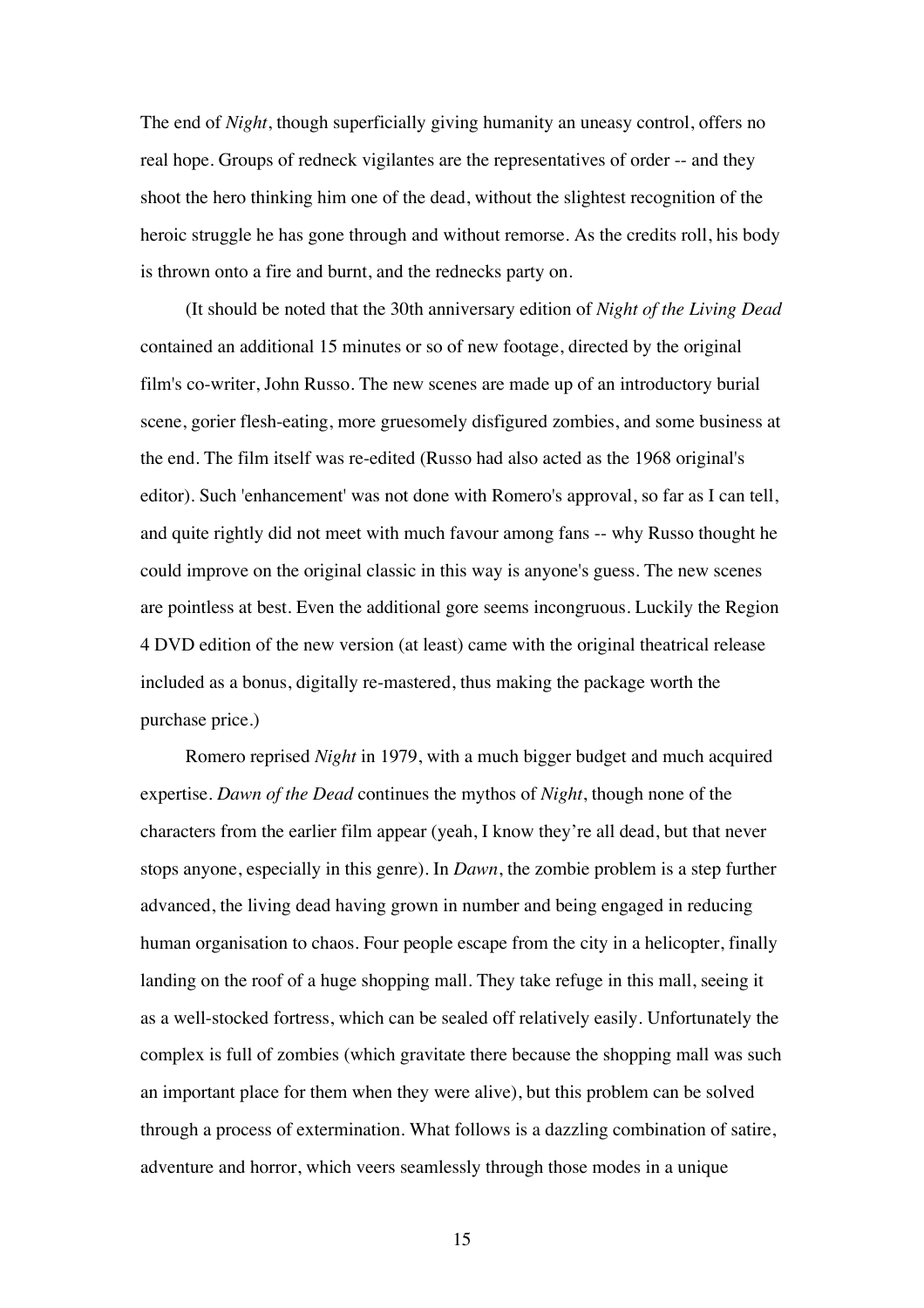The end of *Night*, though superficially giving humanity an uneasy control, offers no real hope. Groups of redneck vigilantes are the representatives of order -- and they shoot the hero thinking him one of the dead, without the slightest recognition of the heroic struggle he has gone through and without remorse. As the credits roll, his body is thrown onto a fire and burnt, and the rednecks party on.

(It should be noted that the 30th anniversary edition of *Night of the Living Dead* contained an additional 15 minutes or so of new footage, directed by the original film's co-writer, John Russo. The new scenes are made up of an introductory burial scene, gorier flesh-eating, more gruesomely disfigured zombies, and some business at the end. The film itself was re-edited (Russo had also acted as the 1968 original's editor). Such 'enhancement' was not done with Romero's approval, so far as I can tell, and quite rightly did not meet with much favour among fans -- why Russo thought he could improve on the original classic in this way is anyone's guess. The new scenes are pointless at best. Even the additional gore seems incongruous. Luckily the Region 4 DVD edition of the new version (at least) came with the original theatrical release included as a bonus, digitally re-mastered, thus making the package worth the purchase price.)

Romero reprised *Night* in 1979, with a much bigger budget and much acquired expertise. *Dawn of the Dead* continues the mythos of *Night*, though none of the characters from the earlier film appear (yeah, I know they're all dead, but that never stops anyone, especially in this genre). In *Dawn*, the zombie problem is a step further advanced, the living dead having grown in number and being engaged in reducing human organisation to chaos. Four people escape from the city in a helicopter, finally landing on the roof of a huge shopping mall. They take refuge in this mall, seeing it as a well-stocked fortress, which can be sealed off relatively easily. Unfortunately the complex is full of zombies (which gravitate there because the shopping mall was such an important place for them when they were alive), but this problem can be solved through a process of extermination. What follows is a dazzling combination of satire, adventure and horror, which veers seamlessly through those modes in a unique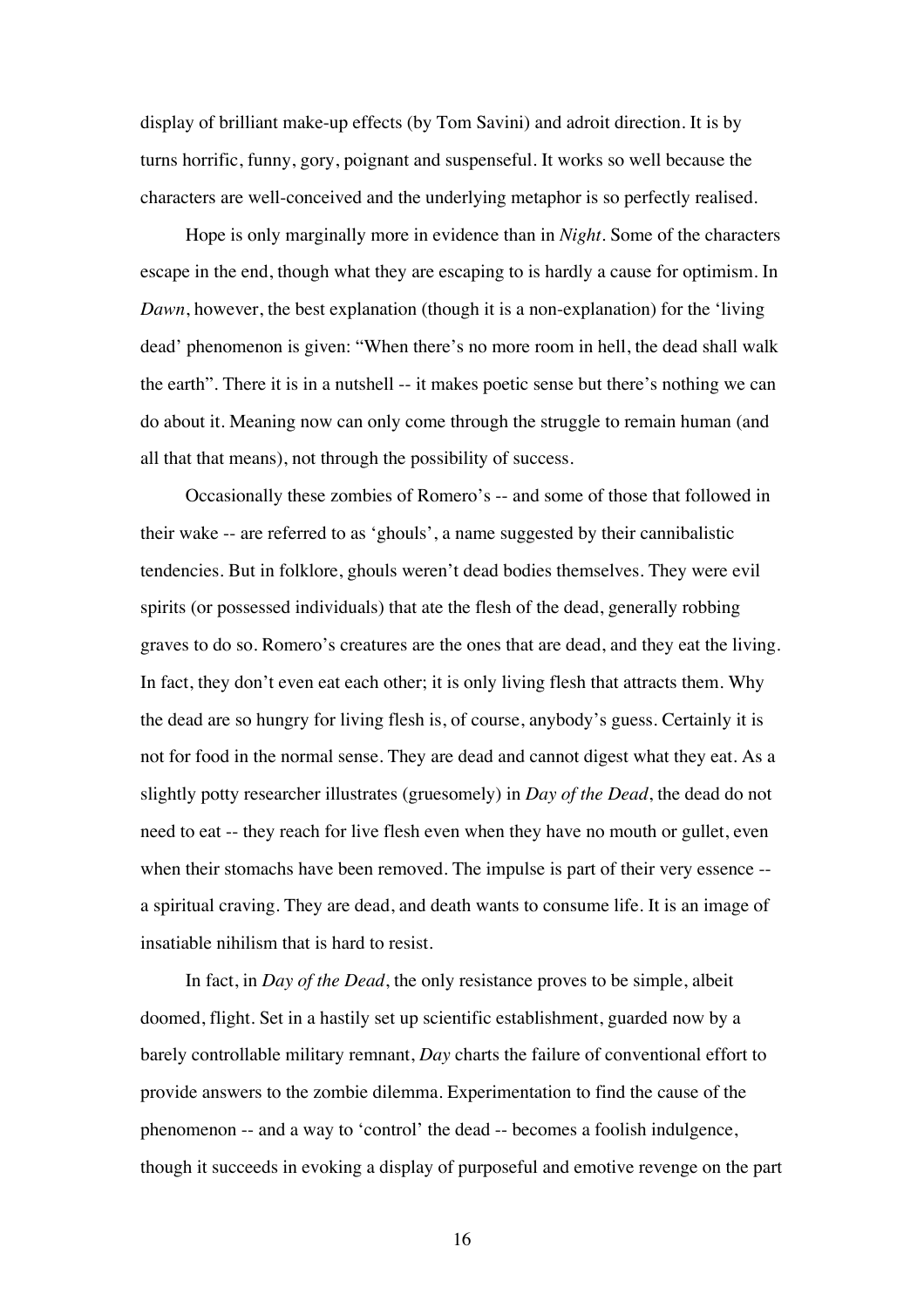display of brilliant make-up effects (by Tom Savini) and adroit direction. It is by turns horrific, funny, gory, poignant and suspenseful. It works so well because the characters are well-conceived and the underlying metaphor is so perfectly realised.

Hope is only marginally more in evidence than in *Night*. Some of the characters escape in the end, though what they are escaping to is hardly a cause for optimism. In *Dawn*, however, the best explanation (though it is a non-explanation) for the 'living dead' phenomenon is given: "When there's no more room in hell, the dead shall walk the earth". There it is in a nutshell -- it makes poetic sense but there's nothing we can do about it. Meaning now can only come through the struggle to remain human (and all that that means), not through the possibility of success.

Occasionally these zombies of Romero's -- and some of those that followed in their wake -- are referred to as 'ghouls', a name suggested by their cannibalistic tendencies. But in folklore, ghouls weren't dead bodies themselves. They were evil spirits (or possessed individuals) that ate the flesh of the dead, generally robbing graves to do so. Romero's creatures are the ones that are dead, and they eat the living. In fact, they don't even eat each other; it is only living flesh that attracts them. Why the dead are so hungry for living flesh is, of course, anybody's guess. Certainly it is not for food in the normal sense. They are dead and cannot digest what they eat. As a slightly potty researcher illustrates (gruesomely) in *Day of the Dead*, the dead do not need to eat -- they reach for live flesh even when they have no mouth or gullet, even when their stomachs have been removed. The impulse is part of their very essence - a spiritual craving. They are dead, and death wants to consume life. It is an image of insatiable nihilism that is hard to resist.

In fact, in *Day of the Dead*, the only resistance proves to be simple, albeit doomed, flight. Set in a hastily set up scientific establishment, guarded now by a barely controllable military remnant, *Day* charts the failure of conventional effort to provide answers to the zombie dilemma. Experimentation to find the cause of the phenomenon -- and a way to 'control' the dead -- becomes a foolish indulgence, though it succeeds in evoking a display of purposeful and emotive revenge on the part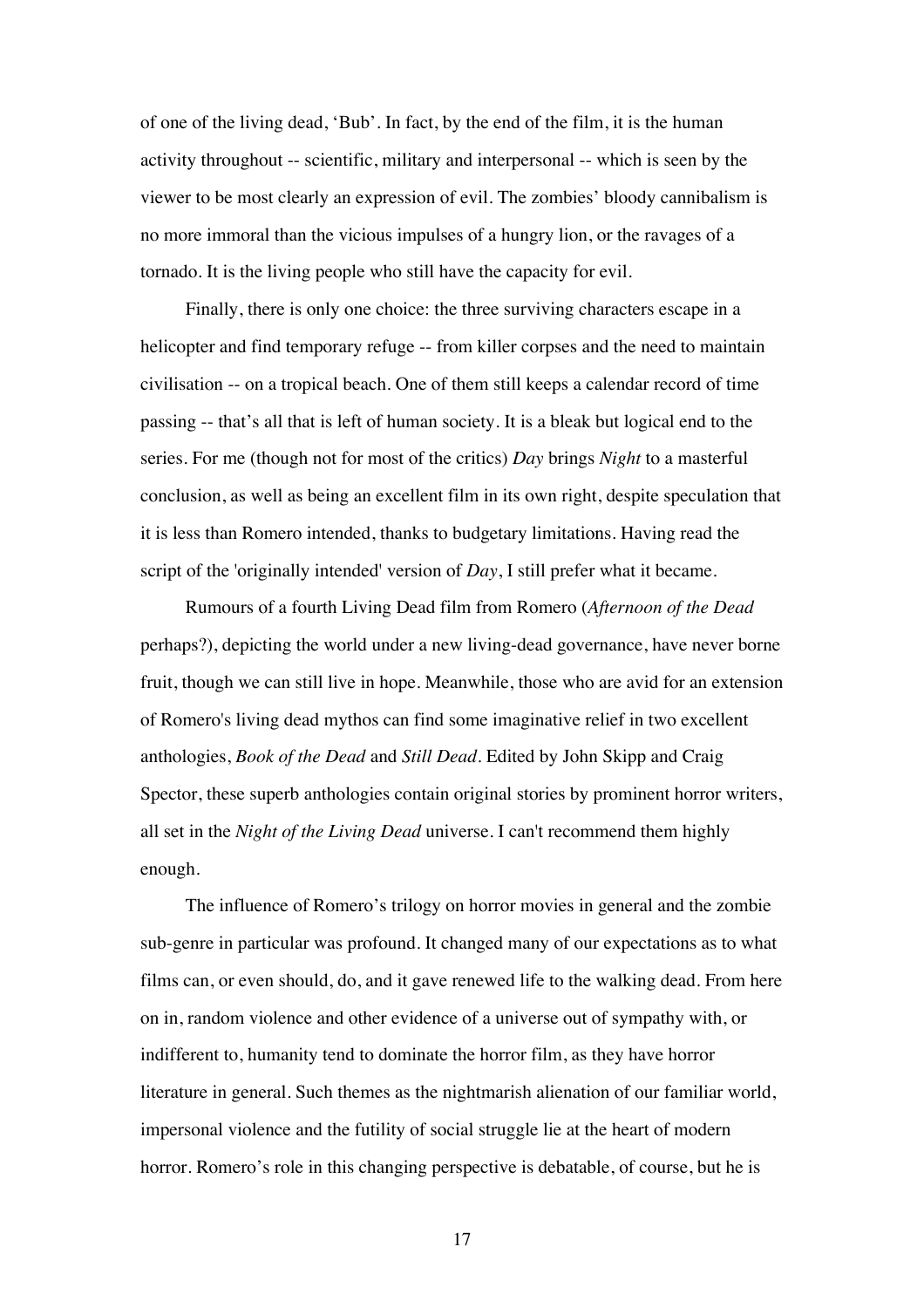of one of the living dead, 'Bub'. In fact, by the end of the film, it is the human activity throughout -- scientific, military and interpersonal -- which is seen by the viewer to be most clearly an expression of evil. The zombies' bloody cannibalism is no more immoral than the vicious impulses of a hungry lion, or the ravages of a tornado. It is the living people who still have the capacity for evil.

Finally, there is only one choice: the three surviving characters escape in a helicopter and find temporary refuge -- from killer corpses and the need to maintain civilisation -- on a tropical beach. One of them still keeps a calendar record of time passing -- that's all that is left of human society. It is a bleak but logical end to the series. For me (though not for most of the critics) *Day* brings *Night* to a masterful conclusion, as well as being an excellent film in its own right, despite speculation that it is less than Romero intended, thanks to budgetary limitations. Having read the script of the 'originally intended' version of *Day*, I still prefer what it became.

Rumours of a fourth Living Dead film from Romero (*Afternoon of the Dead* perhaps?), depicting the world under a new living-dead governance, have never borne fruit, though we can still live in hope. Meanwhile, those who are avid for an extension of Romero's living dead mythos can find some imaginative relief in two excellent anthologies, *Book of the Dead* and *Still Dead*. Edited by John Skipp and Craig Spector, these superb anthologies contain original stories by prominent horror writers, all set in the *Night of the Living Dead* universe. I can't recommend them highly enough.

The influence of Romero's trilogy on horror movies in general and the zombie sub-genre in particular was profound. It changed many of our expectations as to what films can, or even should, do, and it gave renewed life to the walking dead. From here on in, random violence and other evidence of a universe out of sympathy with, or indifferent to, humanity tend to dominate the horror film, as they have horror literature in general. Such themes as the nightmarish alienation of our familiar world, impersonal violence and the futility of social struggle lie at the heart of modern horror. Romero's role in this changing perspective is debatable, of course, but he is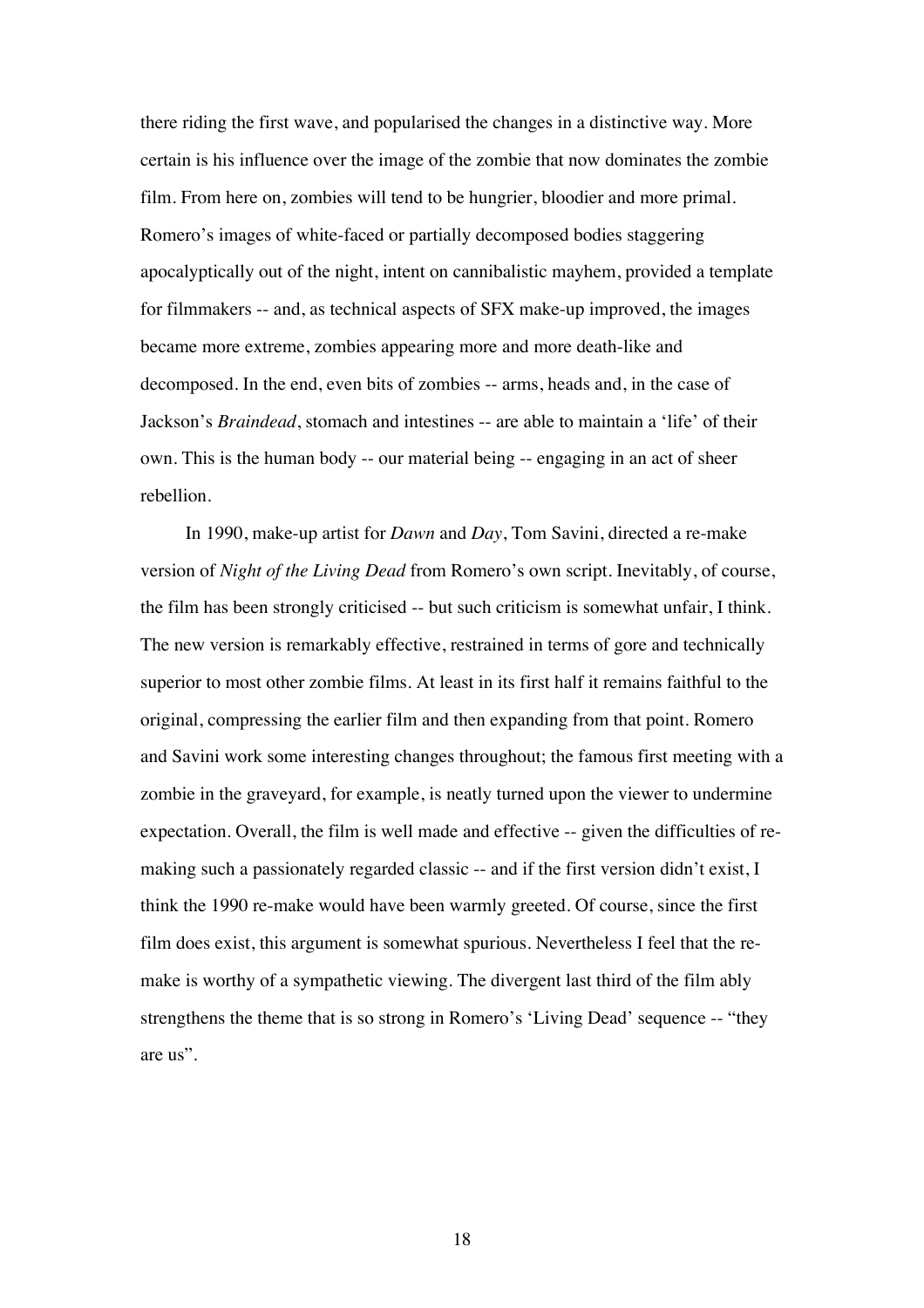there riding the first wave, and popularised the changes in a distinctive way. More certain is his influence over the image of the zombie that now dominates the zombie film. From here on, zombies will tend to be hungrier, bloodier and more primal. Romero's images of white-faced or partially decomposed bodies staggering apocalyptically out of the night, intent on cannibalistic mayhem, provided a template for filmmakers -- and, as technical aspects of SFX make-up improved, the images became more extreme, zombies appearing more and more death-like and decomposed. In the end, even bits of zombies -- arms, heads and, in the case of Jackson's *Braindead*, stomach and intestines -- are able to maintain a 'life' of their own. This is the human body -- our material being -- engaging in an act of sheer rebellion.

In 1990, make-up artist for *Dawn* and *Day*, Tom Savini, directed a re-make version of *Night of the Living Dead* from Romero's own script. Inevitably, of course, the film has been strongly criticised -- but such criticism is somewhat unfair, I think. The new version is remarkably effective, restrained in terms of gore and technically superior to most other zombie films. At least in its first half it remains faithful to the original, compressing the earlier film and then expanding from that point. Romero and Savini work some interesting changes throughout; the famous first meeting with a zombie in the graveyard, for example, is neatly turned upon the viewer to undermine expectation. Overall, the film is well made and effective -- given the difficulties of remaking such a passionately regarded classic -- and if the first version didn't exist, I think the 1990 re-make would have been warmly greeted. Of course, since the first film does exist, this argument is somewhat spurious. Nevertheless I feel that the remake is worthy of a sympathetic viewing. The divergent last third of the film ably strengthens the theme that is so strong in Romero's 'Living Dead' sequence -- "they are us".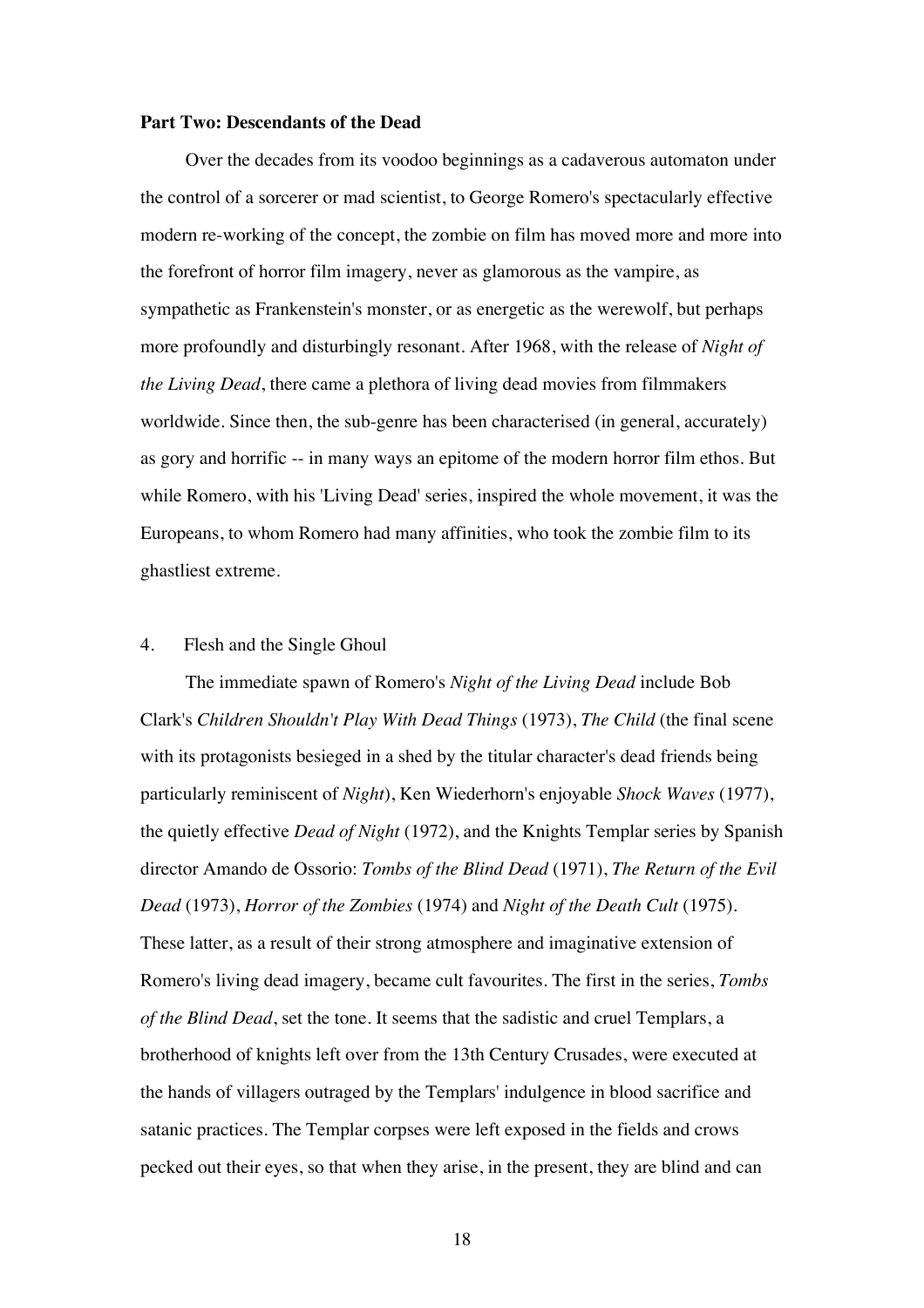#### **Part Two: Descendants of the Dead**

Over the decades from its voodoo beginnings as a cadaverous automaton under the control of a sorcerer or mad scientist, to George Romero's spectacularly effective modern re-working of the concept, the zombie on film has moved more and more into the forefront of horror film imagery, never as glamorous as the vampire, as sympathetic as Frankenstein's monster, or as energetic as the werewolf, but perhaps more profoundly and disturbingly resonant. After 1968, with the release of *Night of the Living Dead*, there came a plethora of living dead movies from filmmakers worldwide. Since then, the sub-genre has been characterised (in general, accurately) as gory and horrific -- in many ways an epitome of the modern horror film ethos. But while Romero, with his 'Living Dead' series, inspired the whole movement, it was the Europeans, to whom Romero had many affinities, who took the zombie film to its ghastliest extreme.

#### 4. Flesh and the Single Ghoul

The immediate spawn of Romero's *Night of the Living Dead* include Bob Clark's *Children Shouldn't Play With Dead Things* (1973), *The Child* (the final scene with its protagonists besieged in a shed by the titular character's dead friends being particularly reminiscent of *Night*), Ken Wiederhorn's enjoyable *Shock Waves* (1977), the quietly effective *Dead of Night* (1972), and the Knights Templar series by Spanish director Amando de Ossorio: *Tombs of the Blind Dead* (1971), *The Return of the Evil Dead* (1973), *Horror of the Zombies* (1974) and *Night of the Death Cult* (1975). These latter, as a result of their strong atmosphere and imaginative extension of Romero's living dead imagery, became cult favourites. The first in the series, *Tombs of the Blind Dead*, set the tone. It seems that the sadistic and cruel Templars, a brotherhood of knights left over from the 13th Century Crusades, were executed at the hands of villagers outraged by the Templars' indulgence in blood sacrifice and satanic practices. The Templar corpses were left exposed in the fields and crows pecked out their eyes, so that when they arise, in the present, they are blind and can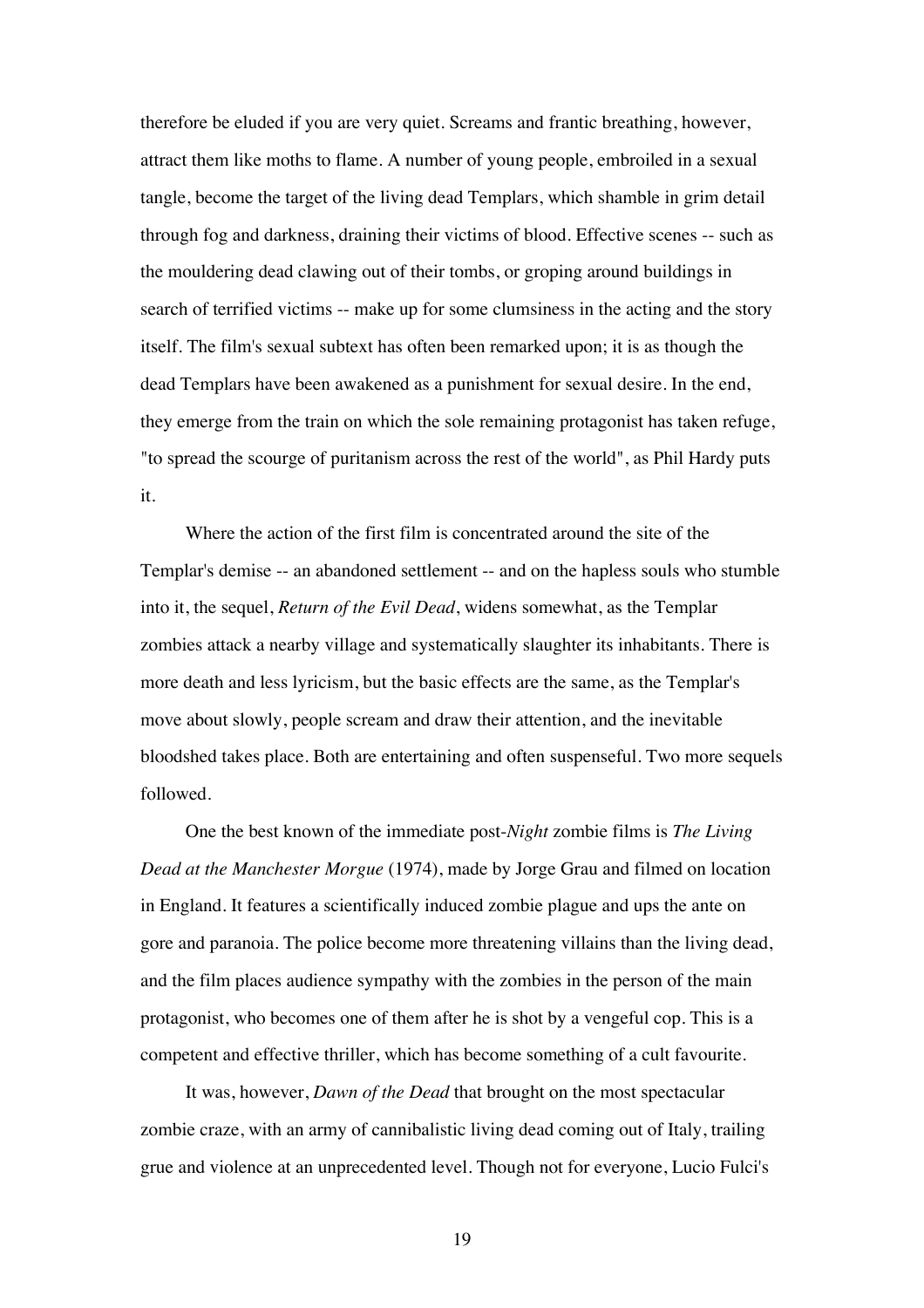therefore be eluded if you are very quiet. Screams and frantic breathing, however, attract them like moths to flame. A number of young people, embroiled in a sexual tangle, become the target of the living dead Templars, which shamble in grim detail through fog and darkness, draining their victims of blood. Effective scenes -- such as the mouldering dead clawing out of their tombs, or groping around buildings in search of terrified victims -- make up for some clumsiness in the acting and the story itself. The film's sexual subtext has often been remarked upon; it is as though the dead Templars have been awakened as a punishment for sexual desire. In the end, they emerge from the train on which the sole remaining protagonist has taken refuge, "to spread the scourge of puritanism across the rest of the world", as Phil Hardy puts it.

Where the action of the first film is concentrated around the site of the Templar's demise -- an abandoned settlement -- and on the hapless souls who stumble into it, the sequel, *Return of the Evil Dead*, widens somewhat, as the Templar zombies attack a nearby village and systematically slaughter its inhabitants. There is more death and less lyricism, but the basic effects are the same, as the Templar's move about slowly, people scream and draw their attention, and the inevitable bloodshed takes place. Both are entertaining and often suspenseful. Two more sequels followed.

One the best known of the immediate post-*Night* zombie films is *The Living Dead at the Manchester Morgue* (1974), made by Jorge Grau and filmed on location in England. It features a scientifically induced zombie plague and ups the ante on gore and paranoia. The police become more threatening villains than the living dead, and the film places audience sympathy with the zombies in the person of the main protagonist, who becomes one of them after he is shot by a vengeful cop. This is a competent and effective thriller, which has become something of a cult favourite.

It was, however, *Dawn of the Dead* that brought on the most spectacular zombie craze, with an army of cannibalistic living dead coming out of Italy, trailing grue and violence at an unprecedented level. Though not for everyone, Lucio Fulci's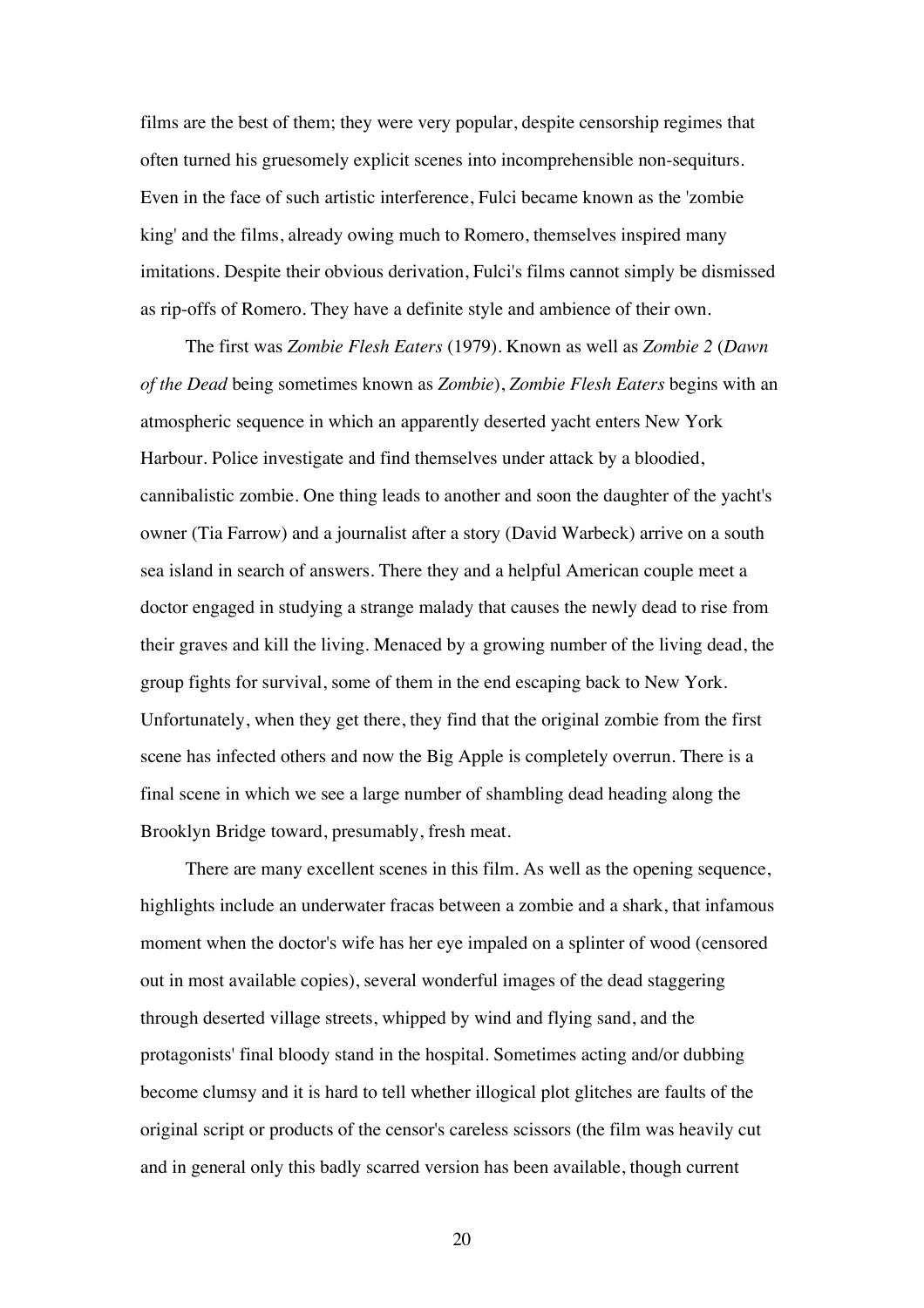films are the best of them; they were very popular, despite censorship regimes that often turned his gruesomely explicit scenes into incomprehensible non-sequiturs. Even in the face of such artistic interference, Fulci became known as the 'zombie king' and the films, already owing much to Romero, themselves inspired many imitations. Despite their obvious derivation, Fulci's films cannot simply be dismissed as rip-offs of Romero. They have a definite style and ambience of their own.

The first was *Zombie Flesh Eaters* (1979). Known as well as *Zombie 2* (*Dawn of the Dead* being sometimes known as *Zombie*), *Zombie Flesh Eaters* begins with an atmospheric sequence in which an apparently deserted yacht enters New York Harbour. Police investigate and find themselves under attack by a bloodied, cannibalistic zombie. One thing leads to another and soon the daughter of the yacht's owner (Tia Farrow) and a journalist after a story (David Warbeck) arrive on a south sea island in search of answers. There they and a helpful American couple meet a doctor engaged in studying a strange malady that causes the newly dead to rise from their graves and kill the living. Menaced by a growing number of the living dead, the group fights for survival, some of them in the end escaping back to New York. Unfortunately, when they get there, they find that the original zombie from the first scene has infected others and now the Big Apple is completely overrun. There is a final scene in which we see a large number of shambling dead heading along the Brooklyn Bridge toward, presumably, fresh meat.

There are many excellent scenes in this film. As well as the opening sequence, highlights include an underwater fracas between a zombie and a shark, that infamous moment when the doctor's wife has her eye impaled on a splinter of wood (censored out in most available copies), several wonderful images of the dead staggering through deserted village streets, whipped by wind and flying sand, and the protagonists' final bloody stand in the hospital. Sometimes acting and/or dubbing become clumsy and it is hard to tell whether illogical plot glitches are faults of the original script or products of the censor's careless scissors (the film was heavily cut and in general only this badly scarred version has been available, though current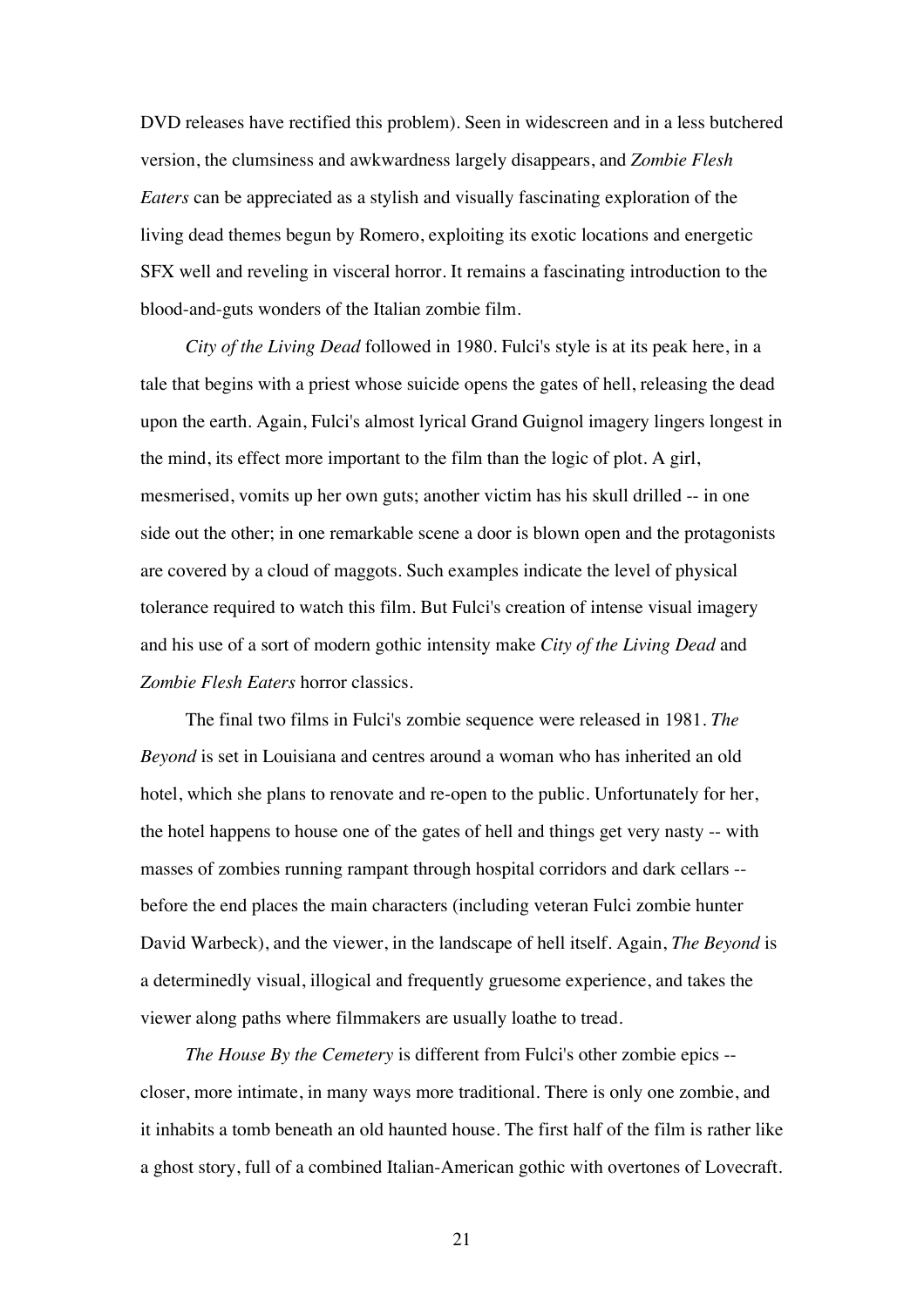DVD releases have rectified this problem). Seen in widescreen and in a less butchered version, the clumsiness and awkwardness largely disappears, and *Zombie Flesh Eaters* can be appreciated as a stylish and visually fascinating exploration of the living dead themes begun by Romero, exploiting its exotic locations and energetic SFX well and reveling in visceral horror. It remains a fascinating introduction to the blood-and-guts wonders of the Italian zombie film.

*City of the Living Dead* followed in 1980. Fulci's style is at its peak here, in a tale that begins with a priest whose suicide opens the gates of hell, releasing the dead upon the earth. Again, Fulci's almost lyrical Grand Guignol imagery lingers longest in the mind, its effect more important to the film than the logic of plot. A girl, mesmerised, vomits up her own guts; another victim has his skull drilled -- in one side out the other; in one remarkable scene a door is blown open and the protagonists are covered by a cloud of maggots. Such examples indicate the level of physical tolerance required to watch this film. But Fulci's creation of intense visual imagery and his use of a sort of modern gothic intensity make *City of the Living Dead* and *Zombie Flesh Eaters* horror classics.

The final two films in Fulci's zombie sequence were released in 1981. *The Beyond* is set in Louisiana and centres around a woman who has inherited an old hotel, which she plans to renovate and re-open to the public. Unfortunately for her, the hotel happens to house one of the gates of hell and things get very nasty -- with masses of zombies running rampant through hospital corridors and dark cellars - before the end places the main characters (including veteran Fulci zombie hunter David Warbeck), and the viewer, in the landscape of hell itself. Again, *The Beyond* is a determinedly visual, illogical and frequently gruesome experience, and takes the viewer along paths where filmmakers are usually loathe to tread.

*The House By the Cemetery* is different from Fulci's other zombie epics - closer, more intimate, in many ways more traditional. There is only one zombie, and it inhabits a tomb beneath an old haunted house. The first half of the film is rather like a ghost story, full of a combined Italian-American gothic with overtones of Lovecraft.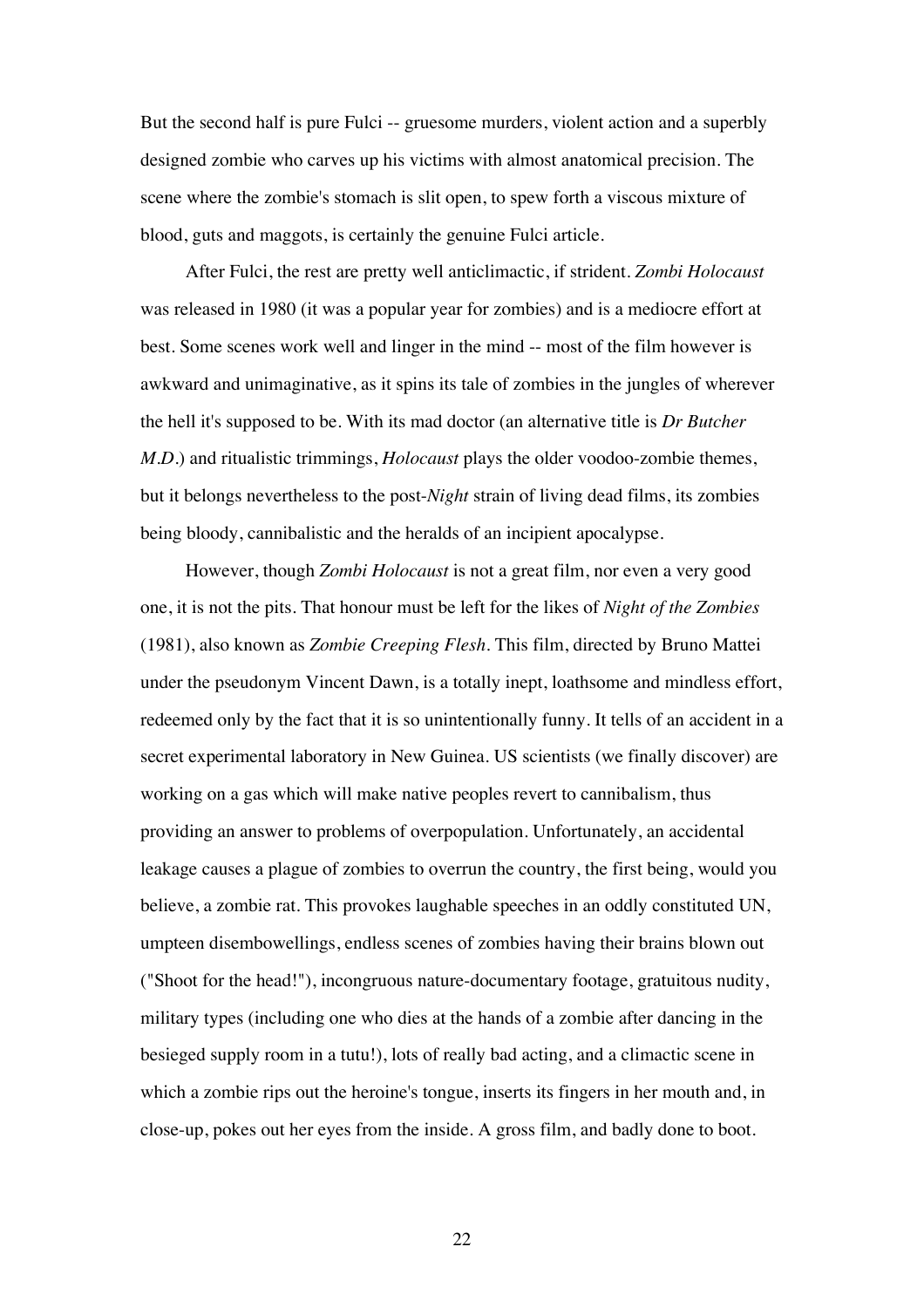But the second half is pure Fulci -- gruesome murders, violent action and a superbly designed zombie who carves up his victims with almost anatomical precision. The scene where the zombie's stomach is slit open, to spew forth a viscous mixture of blood, guts and maggots, is certainly the genuine Fulci article.

After Fulci, the rest are pretty well anticlimactic, if strident. *Zombi Holocaust* was released in 1980 (it was a popular year for zombies) and is a mediocre effort at best. Some scenes work well and linger in the mind -- most of the film however is awkward and unimaginative, as it spins its tale of zombies in the jungles of wherever the hell it's supposed to be. With its mad doctor (an alternative title is *Dr Butcher M.D.*) and ritualistic trimmings, *Holocaust* plays the older voodoo-zombie themes, but it belongs nevertheless to the post-*Night* strain of living dead films, its zombies being bloody, cannibalistic and the heralds of an incipient apocalypse.

However, though *Zombi Holocaust* is not a great film, nor even a very good one, it is not the pits. That honour must be left for the likes of *Night of the Zombies* (1981), also known as *Zombie Creeping Flesh*. This film, directed by Bruno Mattei under the pseudonym Vincent Dawn, is a totally inept, loathsome and mindless effort, redeemed only by the fact that it is so unintentionally funny. It tells of an accident in a secret experimental laboratory in New Guinea. US scientists (we finally discover) are working on a gas which will make native peoples revert to cannibalism, thus providing an answer to problems of overpopulation. Unfortunately, an accidental leakage causes a plague of zombies to overrun the country, the first being, would you believe, a zombie rat. This provokes laughable speeches in an oddly constituted UN, umpteen disembowellings, endless scenes of zombies having their brains blown out ("Shoot for the head!"), incongruous nature-documentary footage, gratuitous nudity, military types (including one who dies at the hands of a zombie after dancing in the besieged supply room in a tutu!), lots of really bad acting, and a climactic scene in which a zombie rips out the heroine's tongue, inserts its fingers in her mouth and, in close-up, pokes out her eyes from the inside. A gross film, and badly done to boot.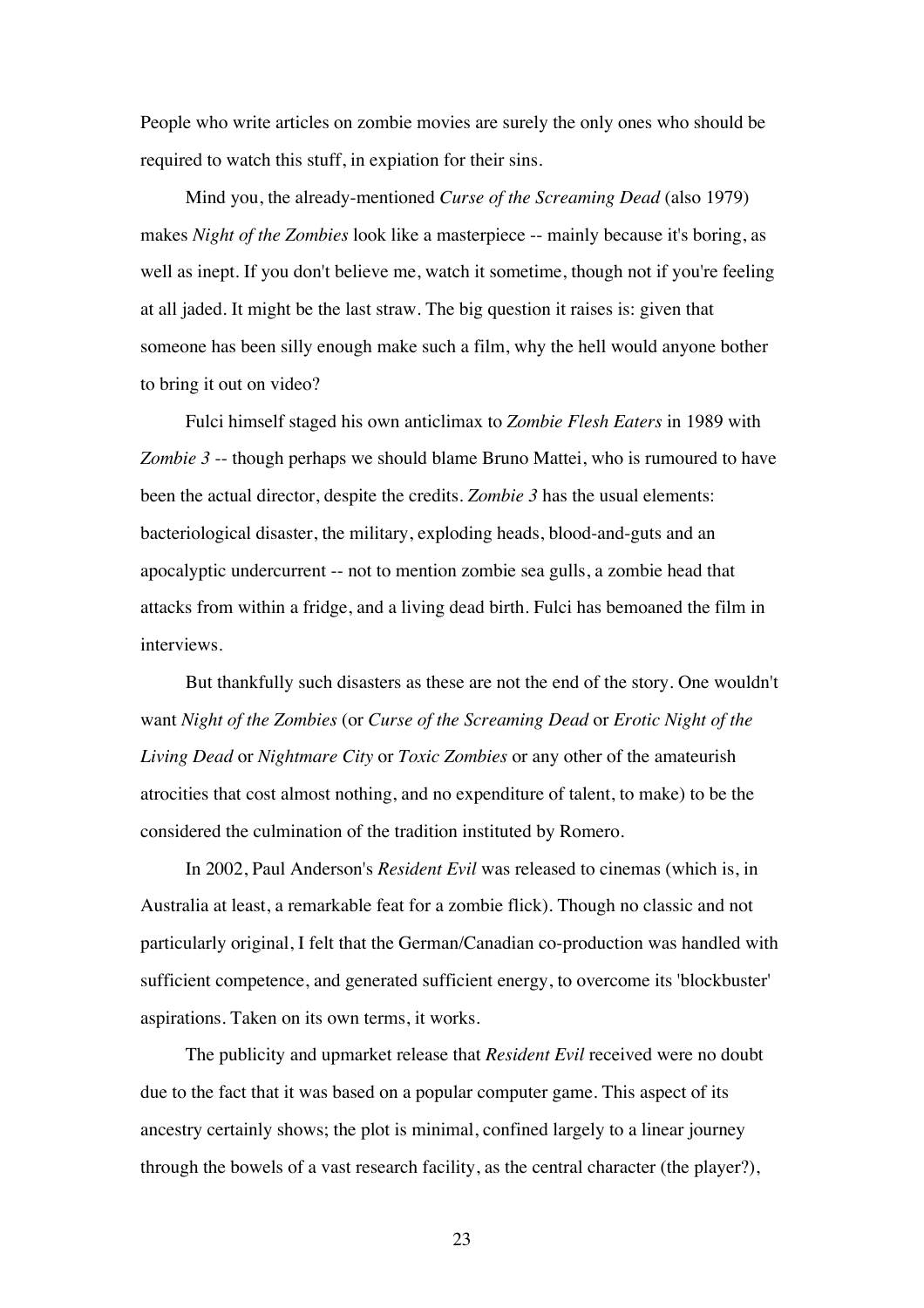People who write articles on zombie movies are surely the only ones who should be required to watch this stuff, in expiation for their sins.

Mind you, the already-mentioned *Curse of the Screaming Dead* (also 1979) makes *Night of the Zombies* look like a masterpiece -- mainly because it's boring, as well as inept. If you don't believe me, watch it sometime, though not if you're feeling at all jaded. It might be the last straw. The big question it raises is: given that someone has been silly enough make such a film, why the hell would anyone bother to bring it out on video?

Fulci himself staged his own anticlimax to *Zombie Flesh Eaters* in 1989 with *Zombie 3* -- though perhaps we should blame Bruno Mattei, who is rumoured to have been the actual director, despite the credits. *Zombie 3* has the usual elements: bacteriological disaster, the military, exploding heads, blood-and-guts and an apocalyptic undercurrent -- not to mention zombie sea gulls, a zombie head that attacks from within a fridge, and a living dead birth. Fulci has bemoaned the film in interviews.

But thankfully such disasters as these are not the end of the story. One wouldn't want *Night of the Zombies* (or *Curse of the Screaming Dead* or *Erotic Night of the Living Dead* or *Nightmare City* or *Toxic Zombies* or any other of the amateurish atrocities that cost almost nothing, and no expenditure of talent, to make) to be the considered the culmination of the tradition instituted by Romero.

In 2002, Paul Anderson's *Resident Evil* was released to cinemas (which is, in Australia at least, a remarkable feat for a zombie flick). Though no classic and not particularly original, I felt that the German/Canadian co-production was handled with sufficient competence, and generated sufficient energy, to overcome its 'blockbuster' aspirations. Taken on its own terms, it works.

The publicity and upmarket release that *Resident Evil* received were no doubt due to the fact that it was based on a popular computer game. This aspect of its ancestry certainly shows; the plot is minimal, confined largely to a linear journey through the bowels of a vast research facility, as the central character (the player?),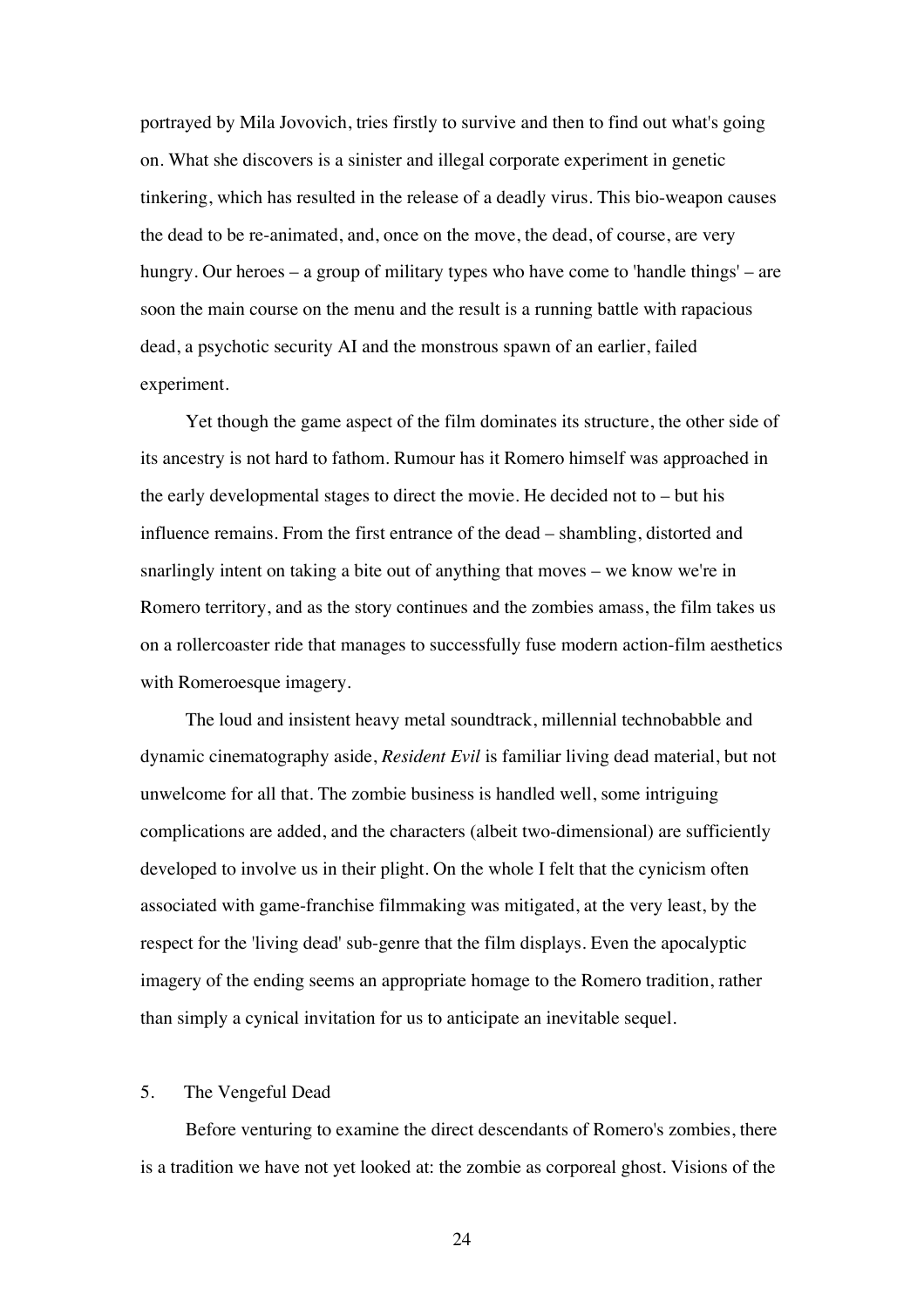portrayed by Mila Jovovich, tries firstly to survive and then to find out what's going on. What she discovers is a sinister and illegal corporate experiment in genetic tinkering, which has resulted in the release of a deadly virus. This bio-weapon causes the dead to be re-animated, and, once on the move, the dead, of course, are very hungry. Our heroes – a group of military types who have come to 'handle things' – are soon the main course on the menu and the result is a running battle with rapacious dead, a psychotic security AI and the monstrous spawn of an earlier, failed experiment.

Yet though the game aspect of the film dominates its structure, the other side of its ancestry is not hard to fathom. Rumour has it Romero himself was approached in the early developmental stages to direct the movie. He decided not to – but his influence remains. From the first entrance of the dead – shambling, distorted and snarlingly intent on taking a bite out of anything that moves – we know we're in Romero territory, and as the story continues and the zombies amass, the film takes us on a rollercoaster ride that manages to successfully fuse modern action-film aesthetics with Romeroesque imagery.

The loud and insistent heavy metal soundtrack, millennial technobabble and dynamic cinematography aside, *Resident Evil* is familiar living dead material, but not unwelcome for all that. The zombie business is handled well, some intriguing complications are added, and the characters (albeit two-dimensional) are sufficiently developed to involve us in their plight. On the whole I felt that the cynicism often associated with game-franchise filmmaking was mitigated, at the very least, by the respect for the 'living dead' sub-genre that the film displays. Even the apocalyptic imagery of the ending seems an appropriate homage to the Romero tradition, rather than simply a cynical invitation for us to anticipate an inevitable sequel.

## 5. The Vengeful Dead

Before venturing to examine the direct descendants of Romero's zombies, there is a tradition we have not yet looked at: the zombie as corporeal ghost. Visions of the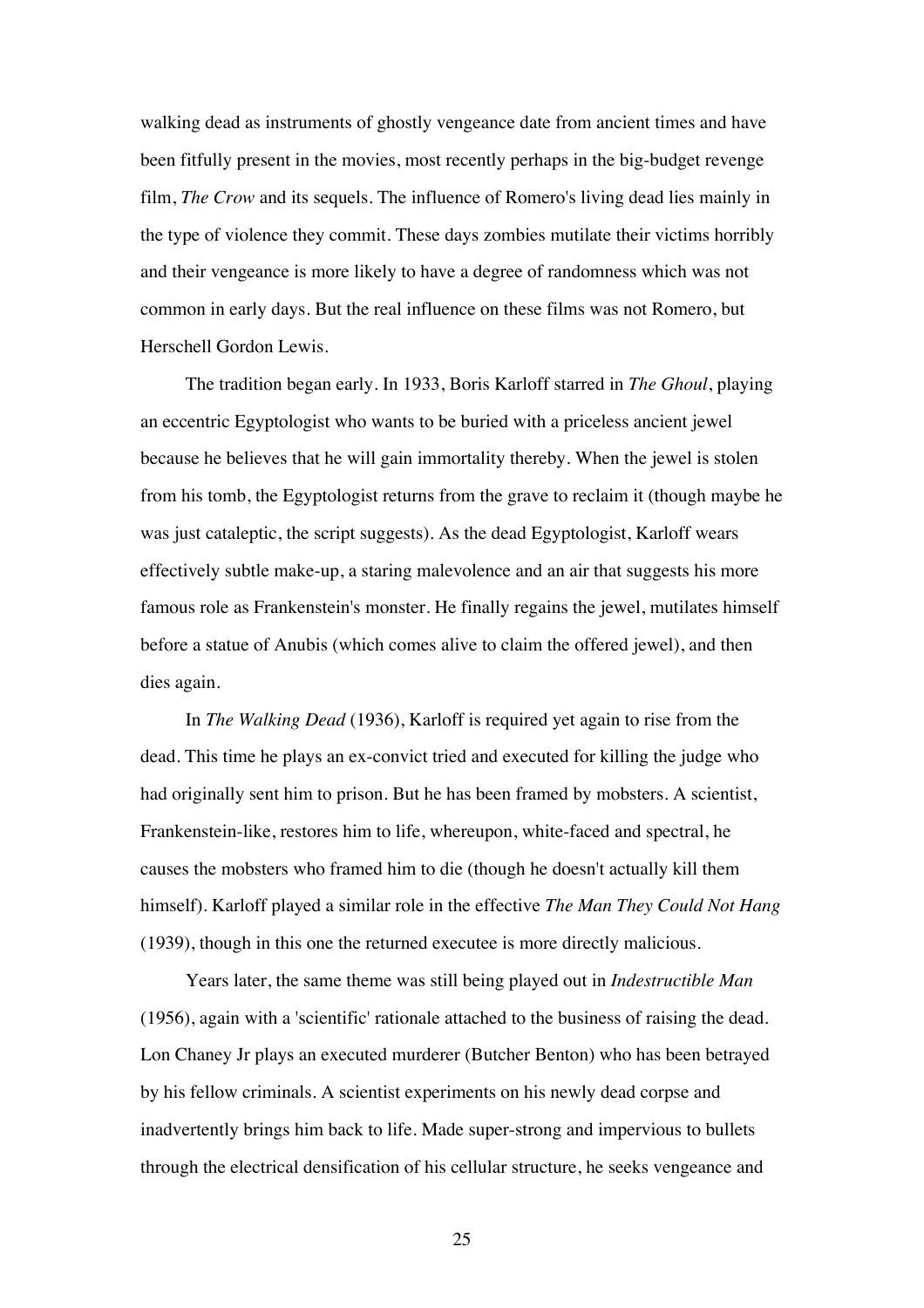walking dead as instruments of ghostly vengeance date from ancient times and have been fitfully present in the movies, most recently perhaps in the big-budget revenge film, *The Crow* and its sequels. The influence of Romero's living dead lies mainly in the type of violence they commit. These days zombies mutilate their victims horribly and their vengeance is more likely to have a degree of randomness which was not common in early days. But the real influence on these films was not Romero, but Herschell Gordon Lewis.

The tradition began early. In 1933, Boris Karloff starred in *The Ghoul*, playing an eccentric Egyptologist who wants to be buried with a priceless ancient jewel because he believes that he will gain immortality thereby. When the jewel is stolen from his tomb, the Egyptologist returns from the grave to reclaim it (though maybe he was just cataleptic, the script suggests). As the dead Egyptologist, Karloff wears effectively subtle make-up, a staring malevolence and an air that suggests his more famous role as Frankenstein's monster. He finally regains the jewel, mutilates himself before a statue of Anubis (which comes alive to claim the offered jewel), and then dies again.

In *The Walking Dead* (1936), Karloff is required yet again to rise from the dead. This time he plays an ex-convict tried and executed for killing the judge who had originally sent him to prison. But he has been framed by mobsters. A scientist, Frankenstein-like, restores him to life, whereupon, white-faced and spectral, he causes the mobsters who framed him to die (though he doesn't actually kill them himself). Karloff played a similar role in the effective *The Man They Could Not Hang* (1939), though in this one the returned executee is more directly malicious.

Years later, the same theme was still being played out in *Indestructible Man* (1956), again with a 'scientific' rationale attached to the business of raising the dead. Lon Chaney Jr plays an executed murderer (Butcher Benton) who has been betrayed by his fellow criminals. A scientist experiments on his newly dead corpse and inadvertently brings him back to life. Made super-strong and impervious to bullets through the electrical densification of his cellular structure, he seeks vengeance and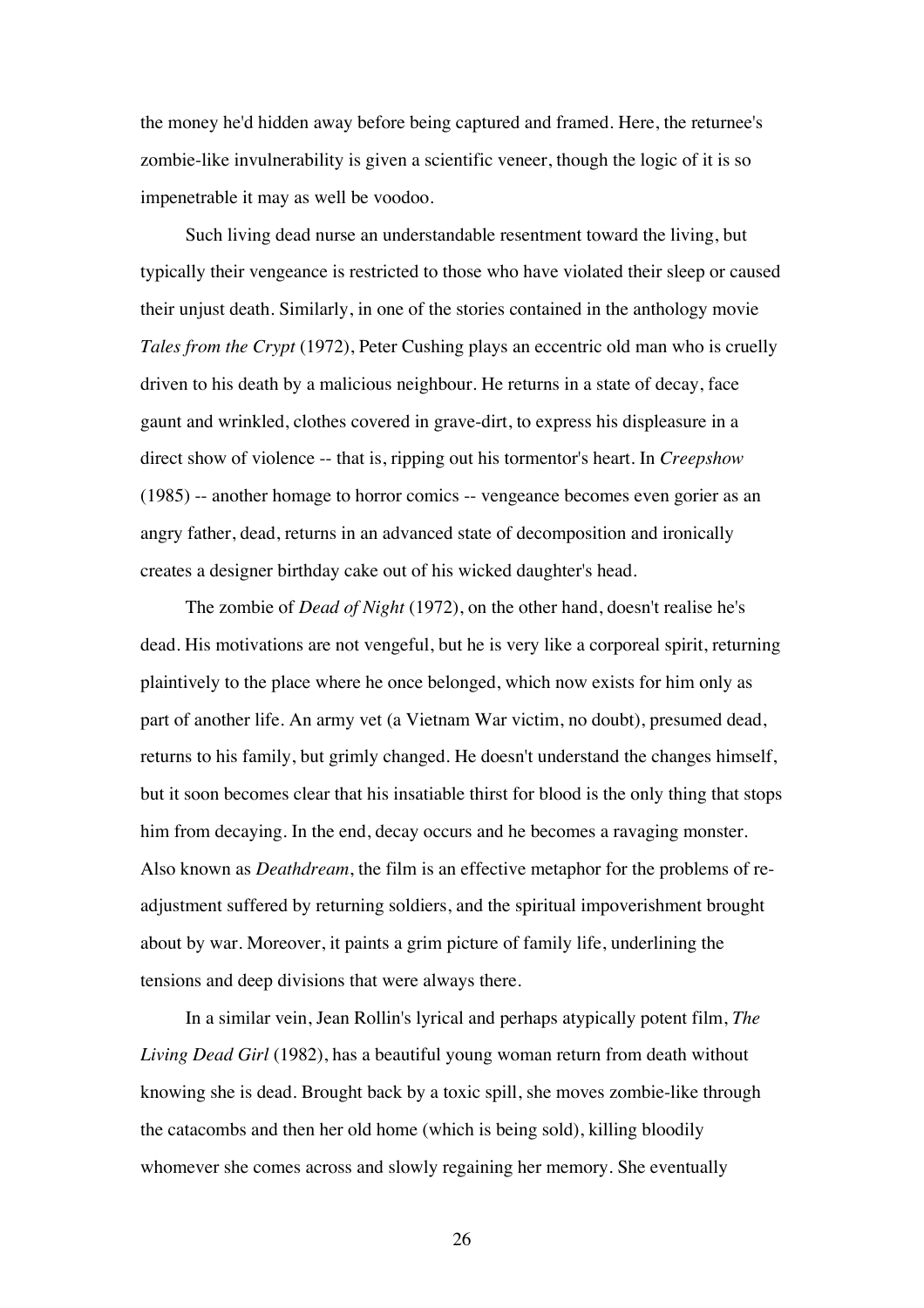the money he'd hidden away before being captured and framed. Here, the returnee's zombie-like invulnerability is given a scientific veneer, though the logic of it is so impenetrable it may as well be voodoo.

Such living dead nurse an understandable resentment toward the living, but typically their vengeance is restricted to those who have violated their sleep or caused their unjust death. Similarly, in one of the stories contained in the anthology movie *Tales from the Crypt* (1972), Peter Cushing plays an eccentric old man who is cruelly driven to his death by a malicious neighbour. He returns in a state of decay, face gaunt and wrinkled, clothes covered in grave-dirt, to express his displeasure in a direct show of violence -- that is, ripping out his tormentor's heart. In *Creepshow* (1985) -- another homage to horror comics -- vengeance becomes even gorier as an angry father, dead, returns in an advanced state of decomposition and ironically creates a designer birthday cake out of his wicked daughter's head.

The zombie of *Dead of Night* (1972), on the other hand, doesn't realise he's dead. His motivations are not vengeful, but he is very like a corporeal spirit, returning plaintively to the place where he once belonged, which now exists for him only as part of another life. An army vet (a Vietnam War victim, no doubt), presumed dead, returns to his family, but grimly changed. He doesn't understand the changes himself, but it soon becomes clear that his insatiable thirst for blood is the only thing that stops him from decaying. In the end, decay occurs and he becomes a ravaging monster. Also known as *Deathdream*, the film is an effective metaphor for the problems of readjustment suffered by returning soldiers, and the spiritual impoverishment brought about by war. Moreover, it paints a grim picture of family life, underlining the tensions and deep divisions that were always there.

In a similar vein, Jean Rollin's lyrical and perhaps atypically potent film, *The Living Dead Girl* (1982), has a beautiful young woman return from death without knowing she is dead. Brought back by a toxic spill, she moves zombie-like through the catacombs and then her old home (which is being sold), killing bloodily whomever she comes across and slowly regaining her memory. She eventually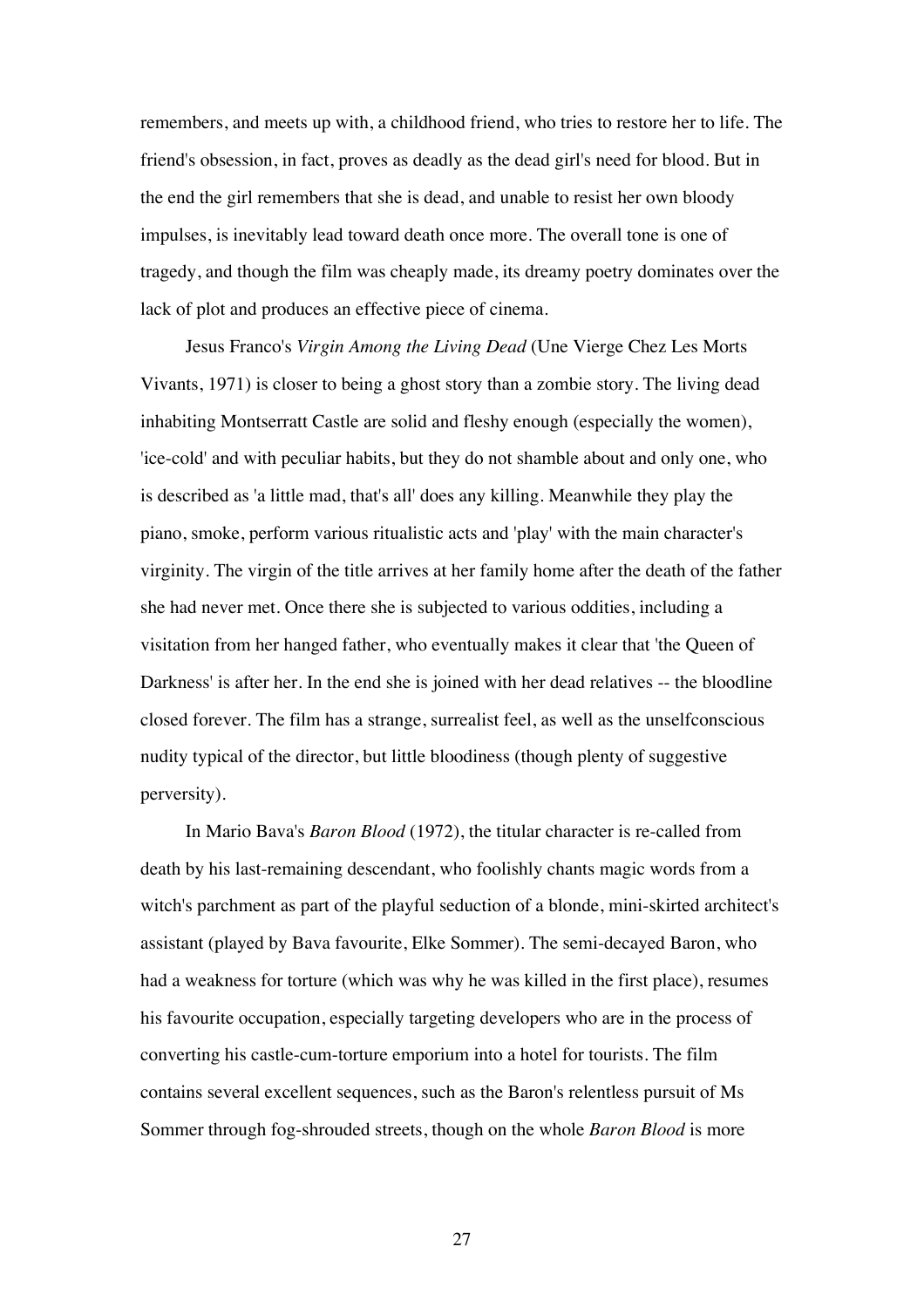remembers, and meets up with, a childhood friend, who tries to restore her to life. The friend's obsession, in fact, proves as deadly as the dead girl's need for blood. But in the end the girl remembers that she is dead, and unable to resist her own bloody impulses, is inevitably lead toward death once more. The overall tone is one of tragedy, and though the film was cheaply made, its dreamy poetry dominates over the lack of plot and produces an effective piece of cinema.

Jesus Franco's *Virgin Among the Living Dead* (Une Vierge Chez Les Morts Vivants, 1971) is closer to being a ghost story than a zombie story. The living dead inhabiting Montserratt Castle are solid and fleshy enough (especially the women), 'ice-cold' and with peculiar habits, but they do not shamble about and only one, who is described as 'a little mad, that's all' does any killing. Meanwhile they play the piano, smoke, perform various ritualistic acts and 'play' with the main character's virginity. The virgin of the title arrives at her family home after the death of the father she had never met. Once there she is subjected to various oddities, including a visitation from her hanged father, who eventually makes it clear that 'the Queen of Darkness' is after her. In the end she is joined with her dead relatives -- the bloodline closed forever. The film has a strange, surrealist feel, as well as the unselfconscious nudity typical of the director, but little bloodiness (though plenty of suggestive perversity).

In Mario Bava's *Baron Blood* (1972), the titular character is re-called from death by his last-remaining descendant, who foolishly chants magic words from a witch's parchment as part of the playful seduction of a blonde, mini-skirted architect's assistant (played by Bava favourite, Elke Sommer). The semi-decayed Baron, who had a weakness for torture (which was why he was killed in the first place), resumes his favourite occupation, especially targeting developers who are in the process of converting his castle-cum-torture emporium into a hotel for tourists. The film contains several excellent sequences, such as the Baron's relentless pursuit of Ms Sommer through fog-shrouded streets, though on the whole *Baron Blood* is more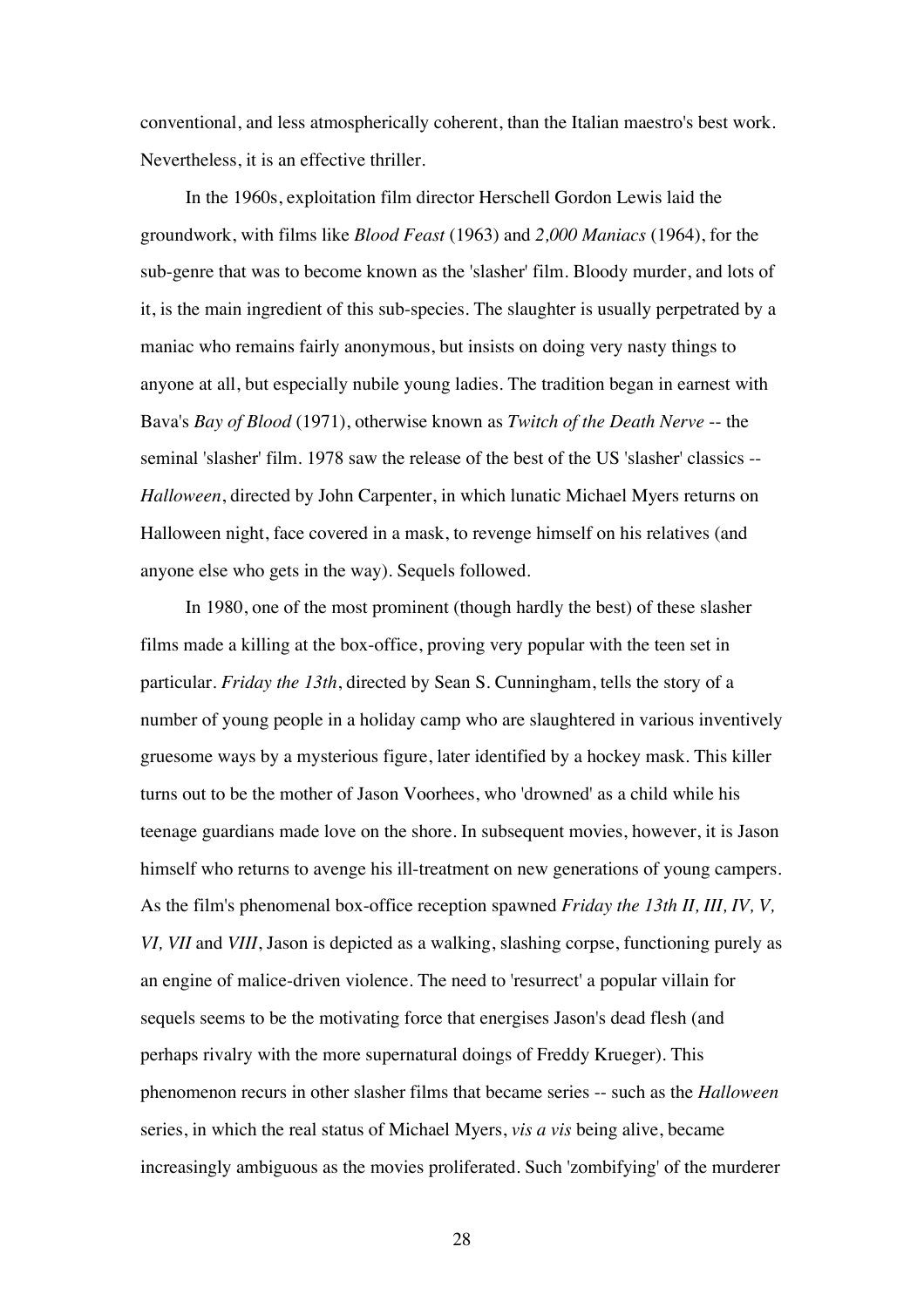conventional, and less atmospherically coherent, than the Italian maestro's best work. Nevertheless, it is an effective thriller.

In the 1960s, exploitation film director Herschell Gordon Lewis laid the groundwork, with films like *Blood Feast* (1963) and *2,000 Maniacs* (1964), for the sub-genre that was to become known as the 'slasher' film. Bloody murder, and lots of it, is the main ingredient of this sub-species. The slaughter is usually perpetrated by a maniac who remains fairly anonymous, but insists on doing very nasty things to anyone at all, but especially nubile young ladies. The tradition began in earnest with Bava's *Bay of Blood* (1971), otherwise known as *Twitch of the Death Nerve* -- the seminal 'slasher' film. 1978 saw the release of the best of the US 'slasher' classics -- *Halloween*, directed by John Carpenter, in which lunatic Michael Myers returns on Halloween night, face covered in a mask, to revenge himself on his relatives (and anyone else who gets in the way). Sequels followed.

In 1980, one of the most prominent (though hardly the best) of these slasher films made a killing at the box-office, proving very popular with the teen set in particular. *Friday the 13th*, directed by Sean S. Cunningham, tells the story of a number of young people in a holiday camp who are slaughtered in various inventively gruesome ways by a mysterious figure, later identified by a hockey mask. This killer turns out to be the mother of Jason Voorhees, who 'drowned' as a child while his teenage guardians made love on the shore. In subsequent movies, however, it is Jason himself who returns to avenge his ill-treatment on new generations of young campers. As the film's phenomenal box-office reception spawned *Friday the 13th II, III, IV, V, VI, VII* and *VIII*, Jason is depicted as a walking, slashing corpse, functioning purely as an engine of malice-driven violence. The need to 'resurrect' a popular villain for sequels seems to be the motivating force that energises Jason's dead flesh (and perhaps rivalry with the more supernatural doings of Freddy Krueger). This phenomenon recurs in other slasher films that became series -- such as the *Halloween* series, in which the real status of Michael Myers, *vis a vis* being alive, became increasingly ambiguous as the movies proliferated. Such 'zombifying' of the murderer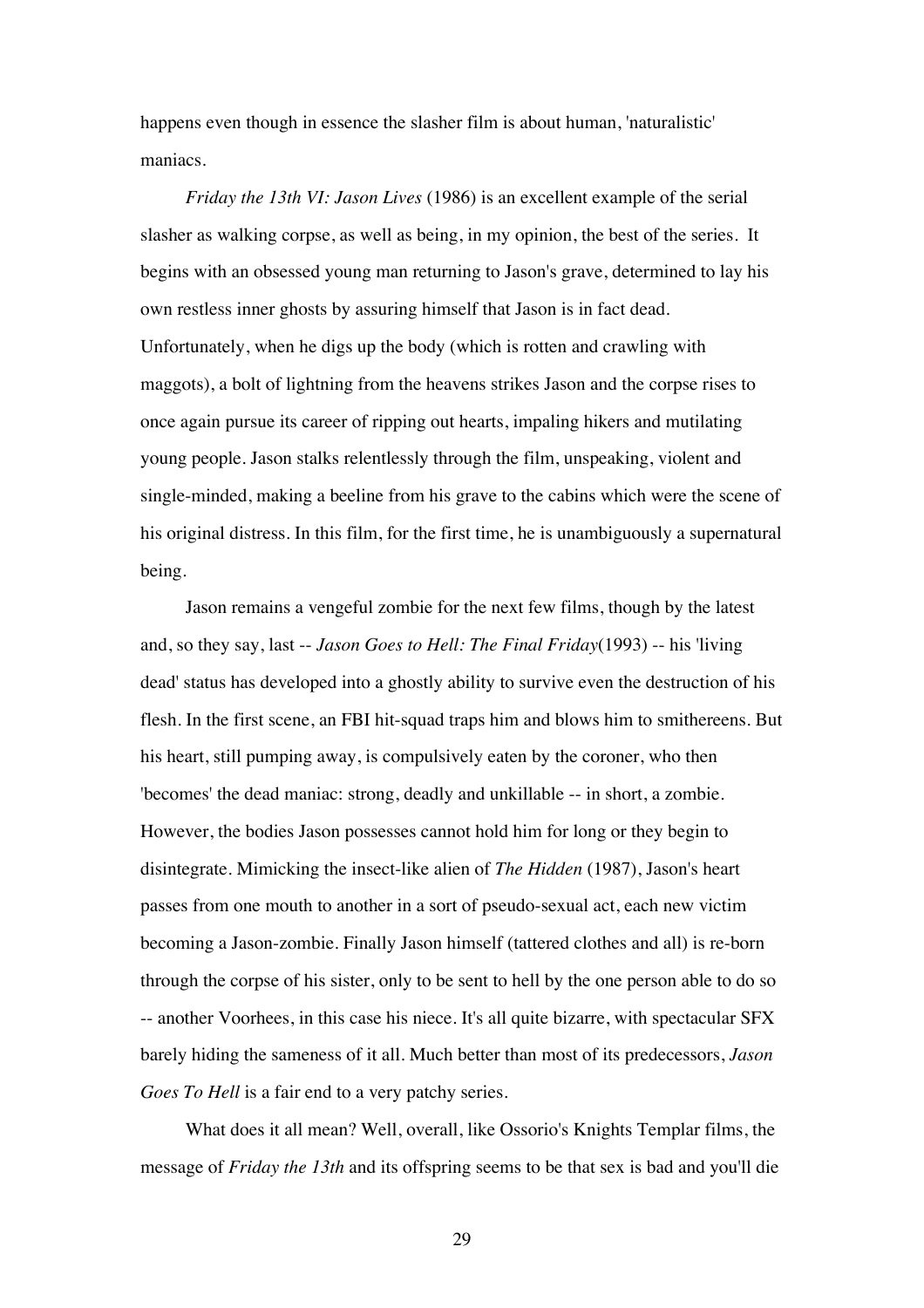happens even though in essence the slasher film is about human, 'naturalistic' maniacs.

*Friday the 13th VI: Jason Lives* (1986) is an excellent example of the serial slasher as walking corpse, as well as being, in my opinion, the best of the series. It begins with an obsessed young man returning to Jason's grave, determined to lay his own restless inner ghosts by assuring himself that Jason is in fact dead. Unfortunately, when he digs up the body (which is rotten and crawling with maggots), a bolt of lightning from the heavens strikes Jason and the corpse rises to once again pursue its career of ripping out hearts, impaling hikers and mutilating young people. Jason stalks relentlessly through the film, unspeaking, violent and single-minded, making a beeline from his grave to the cabins which were the scene of his original distress. In this film, for the first time, he is unambiguously a supernatural being.

Jason remains a vengeful zombie for the next few films, though by the latest and, so they say, last -- *Jason Goes to Hell: The Final Friday*(1993) -- his 'living dead' status has developed into a ghostly ability to survive even the destruction of his flesh. In the first scene, an FBI hit-squad traps him and blows him to smithereens. But his heart, still pumping away, is compulsively eaten by the coroner, who then 'becomes' the dead maniac: strong, deadly and unkillable -- in short, a zombie. However, the bodies Jason possesses cannot hold him for long or they begin to disintegrate. Mimicking the insect-like alien of *The Hidden* (1987), Jason's heart passes from one mouth to another in a sort of pseudo-sexual act, each new victim becoming a Jason-zombie. Finally Jason himself (tattered clothes and all) is re-born through the corpse of his sister, only to be sent to hell by the one person able to do so -- another Voorhees, in this case his niece. It's all quite bizarre, with spectacular SFX barely hiding the sameness of it all. Much better than most of its predecessors, *Jason Goes To Hell* is a fair end to a very patchy series.

What does it all mean? Well, overall, like Ossorio's Knights Templar films, the message of *Friday the 13th* and its offspring seems to be that sex is bad and you'll die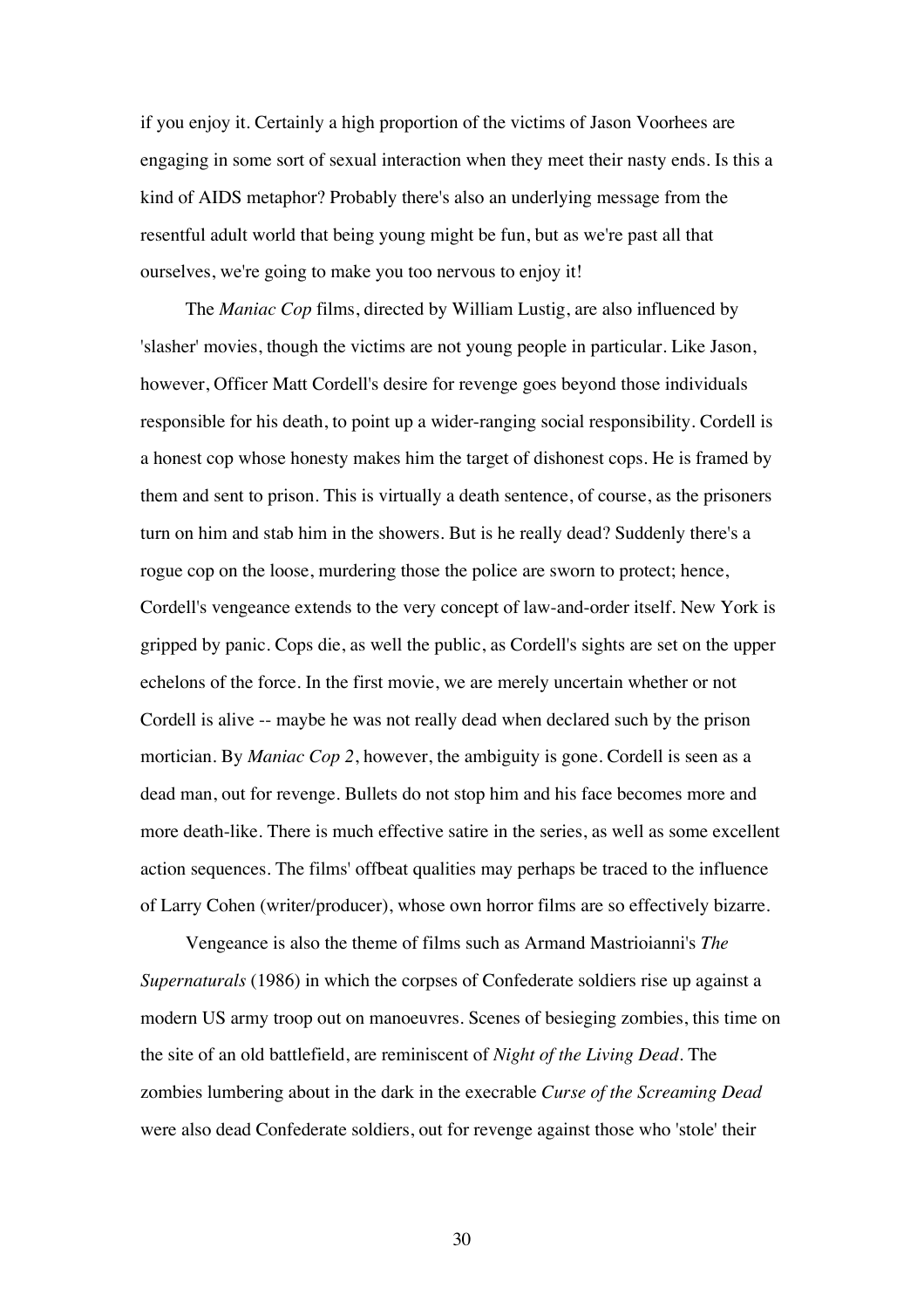if you enjoy it. Certainly a high proportion of the victims of Jason Voorhees are engaging in some sort of sexual interaction when they meet their nasty ends. Is this a kind of AIDS metaphor? Probably there's also an underlying message from the resentful adult world that being young might be fun, but as we're past all that ourselves, we're going to make you too nervous to enjoy it!

The *Maniac Cop* films, directed by William Lustig, are also influenced by 'slasher' movies, though the victims are not young people in particular. Like Jason, however, Officer Matt Cordell's desire for revenge goes beyond those individuals responsible for his death, to point up a wider-ranging social responsibility. Cordell is a honest cop whose honesty makes him the target of dishonest cops. He is framed by them and sent to prison. This is virtually a death sentence, of course, as the prisoners turn on him and stab him in the showers. But is he really dead? Suddenly there's a rogue cop on the loose, murdering those the police are sworn to protect; hence, Cordell's vengeance extends to the very concept of law-and-order itself. New York is gripped by panic. Cops die, as well the public, as Cordell's sights are set on the upper echelons of the force. In the first movie, we are merely uncertain whether or not Cordell is alive -- maybe he was not really dead when declared such by the prison mortician. By *Maniac Cop 2*, however, the ambiguity is gone. Cordell is seen as a dead man, out for revenge. Bullets do not stop him and his face becomes more and more death-like. There is much effective satire in the series, as well as some excellent action sequences. The films' offbeat qualities may perhaps be traced to the influence of Larry Cohen (writer/producer), whose own horror films are so effectively bizarre.

Vengeance is also the theme of films such as Armand Mastrioianni's *The Supernaturals* (1986) in which the corpses of Confederate soldiers rise up against a modern US army troop out on manoeuvres. Scenes of besieging zombies, this time on the site of an old battlefield, are reminiscent of *Night of the Living Dead*. The zombies lumbering about in the dark in the execrable *Curse of the Screaming Dead* were also dead Confederate soldiers, out for revenge against those who 'stole' their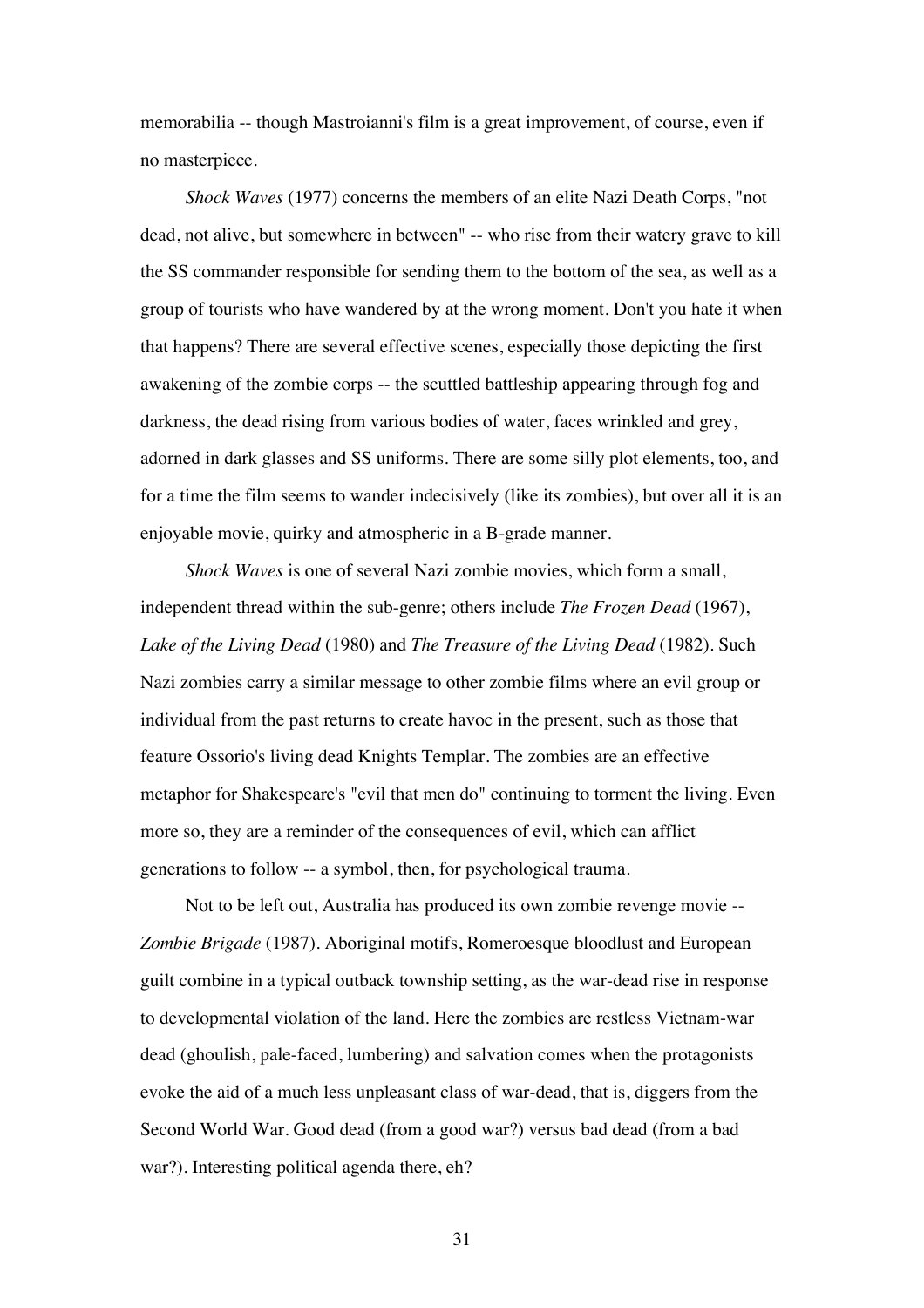memorabilia -- though Mastroianni's film is a great improvement, of course, even if no masterpiece.

*Shock Waves* (1977) concerns the members of an elite Nazi Death Corps, "not dead, not alive, but somewhere in between" -- who rise from their watery grave to kill the SS commander responsible for sending them to the bottom of the sea, as well as a group of tourists who have wandered by at the wrong moment. Don't you hate it when that happens? There are several effective scenes, especially those depicting the first awakening of the zombie corps -- the scuttled battleship appearing through fog and darkness, the dead rising from various bodies of water, faces wrinkled and grey, adorned in dark glasses and SS uniforms. There are some silly plot elements, too, and for a time the film seems to wander indecisively (like its zombies), but over all it is an enjoyable movie, quirky and atmospheric in a B-grade manner.

*Shock Waves* is one of several Nazi zombie movies, which form a small, independent thread within the sub-genre; others include *The Frozen Dead* (1967), *Lake of the Living Dead* (1980) and *The Treasure of the Living Dead* (1982). Such Nazi zombies carry a similar message to other zombie films where an evil group or individual from the past returns to create havoc in the present, such as those that feature Ossorio's living dead Knights Templar. The zombies are an effective metaphor for Shakespeare's "evil that men do" continuing to torment the living. Even more so, they are a reminder of the consequences of evil, which can afflict generations to follow -- a symbol, then, for psychological trauma.

Not to be left out, Australia has produced its own zombie revenge movie -- *Zombie Brigade* (1987). Aboriginal motifs, Romeroesque bloodlust and European guilt combine in a typical outback township setting, as the war-dead rise in response to developmental violation of the land. Here the zombies are restless Vietnam-war dead (ghoulish, pale-faced, lumbering) and salvation comes when the protagonists evoke the aid of a much less unpleasant class of war-dead, that is, diggers from the Second World War. Good dead (from a good war?) versus bad dead (from a bad war?). Interesting political agenda there, eh?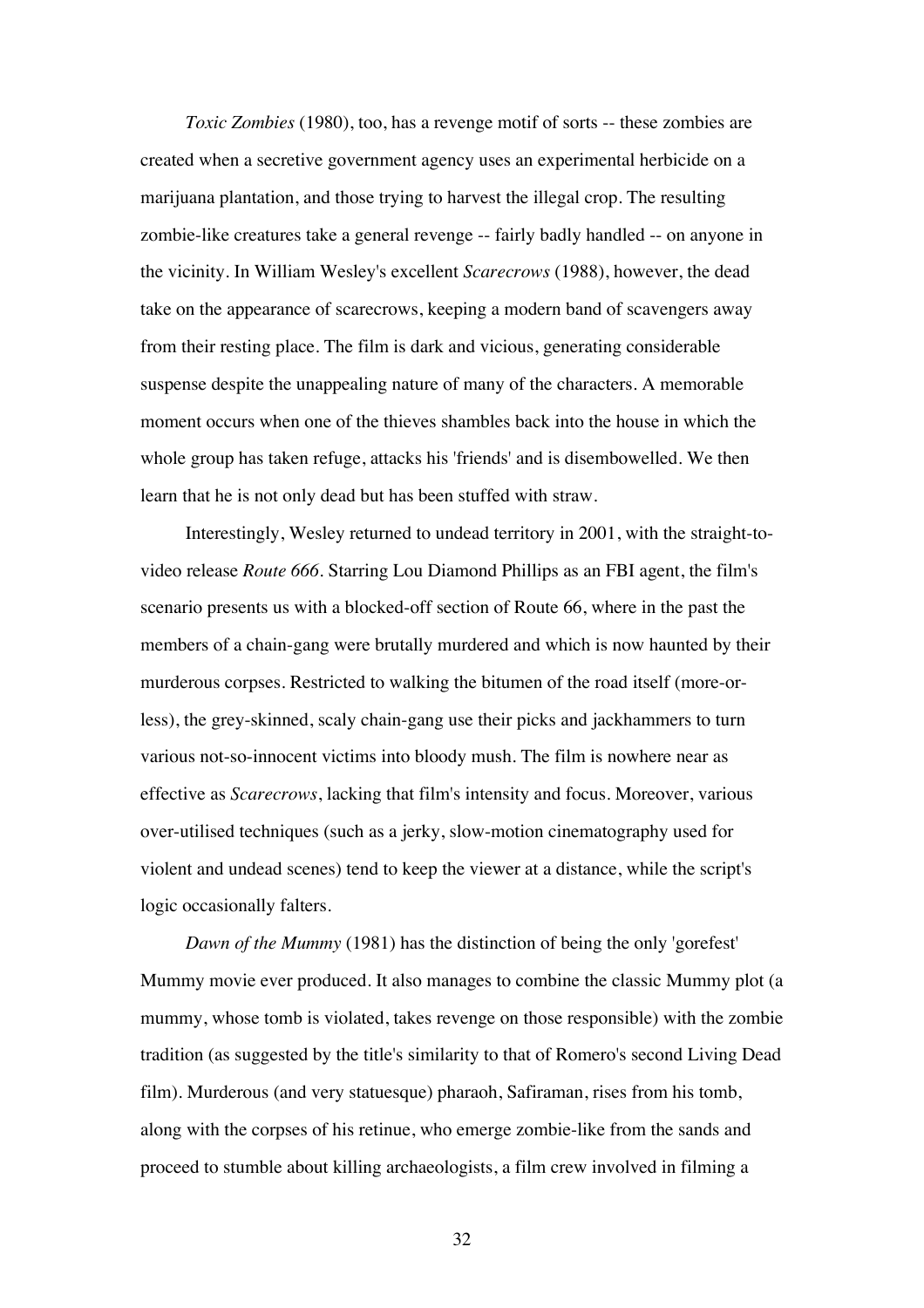*Toxic Zombies* (1980), too, has a revenge motif of sorts -- these zombies are created when a secretive government agency uses an experimental herbicide on a marijuana plantation, and those trying to harvest the illegal crop. The resulting zombie-like creatures take a general revenge -- fairly badly handled -- on anyone in the vicinity. In William Wesley's excellent *Scarecrows* (1988), however, the dead take on the appearance of scarecrows, keeping a modern band of scavengers away from their resting place. The film is dark and vicious, generating considerable suspense despite the unappealing nature of many of the characters. A memorable moment occurs when one of the thieves shambles back into the house in which the whole group has taken refuge, attacks his 'friends' and is disembowelled. We then learn that he is not only dead but has been stuffed with straw.

Interestingly, Wesley returned to undead territory in 2001, with the straight-tovideo release *Route 666*. Starring Lou Diamond Phillips as an FBI agent, the film's scenario presents us with a blocked-off section of Route 66, where in the past the members of a chain-gang were brutally murdered and which is now haunted by their murderous corpses. Restricted to walking the bitumen of the road itself (more-orless), the grey-skinned, scaly chain-gang use their picks and jackhammers to turn various not-so-innocent victims into bloody mush. The film is nowhere near as effective as *Scarecrows*, lacking that film's intensity and focus. Moreover, various over-utilised techniques (such as a jerky, slow-motion cinematography used for violent and undead scenes) tend to keep the viewer at a distance, while the script's logic occasionally falters.

*Dawn of the Mummy* (1981) has the distinction of being the only 'gorefest' Mummy movie ever produced. It also manages to combine the classic Mummy plot (a mummy, whose tomb is violated, takes revenge on those responsible) with the zombie tradition (as suggested by the title's similarity to that of Romero's second Living Dead film). Murderous (and very statuesque) pharaoh, Safiraman, rises from his tomb, along with the corpses of his retinue, who emerge zombie-like from the sands and proceed to stumble about killing archaeologists, a film crew involved in filming a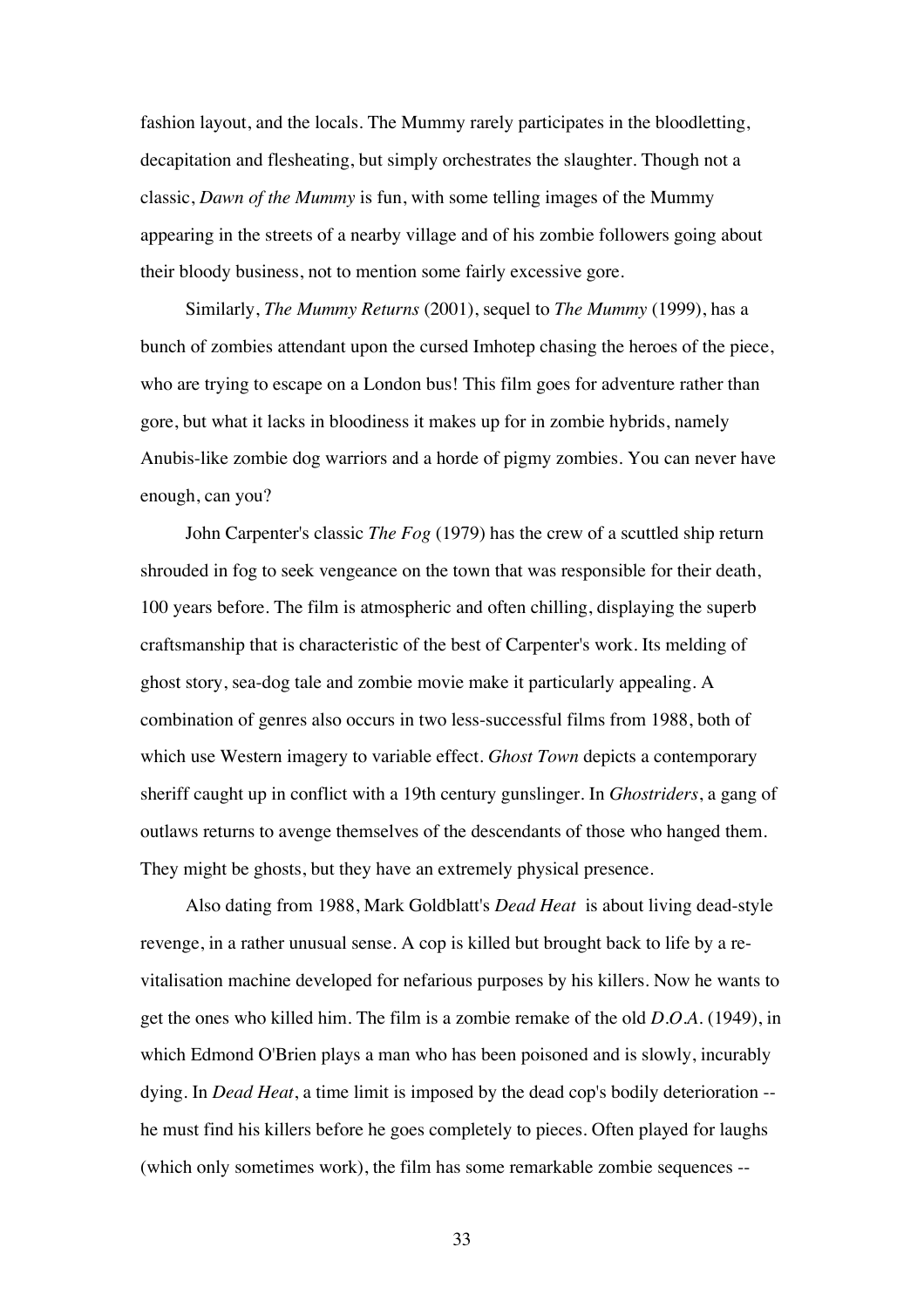fashion layout, and the locals. The Mummy rarely participates in the bloodletting, decapitation and flesheating, but simply orchestrates the slaughter. Though not a classic, *Dawn of the Mummy* is fun, with some telling images of the Mummy appearing in the streets of a nearby village and of his zombie followers going about their bloody business, not to mention some fairly excessive gore.

Similarly, *The Mummy Returns* (2001), sequel to *The Mummy* (1999), has a bunch of zombies attendant upon the cursed Imhotep chasing the heroes of the piece, who are trying to escape on a London bus! This film goes for adventure rather than gore, but what it lacks in bloodiness it makes up for in zombie hybrids, namely Anubis-like zombie dog warriors and a horde of pigmy zombies. You can never have enough, can you?

John Carpenter's classic *The Fog* (1979) has the crew of a scuttled ship return shrouded in fog to seek vengeance on the town that was responsible for their death, 100 years before. The film is atmospheric and often chilling, displaying the superb craftsmanship that is characteristic of the best of Carpenter's work. Its melding of ghost story, sea-dog tale and zombie movie make it particularly appealing. A combination of genres also occurs in two less-successful films from 1988, both of which use Western imagery to variable effect. *Ghost Town* depicts a contemporary sheriff caught up in conflict with a 19th century gunslinger. In *Ghostriders*, a gang of outlaws returns to avenge themselves of the descendants of those who hanged them. They might be ghosts, but they have an extremely physical presence.

Also dating from 1988, Mark Goldblatt's *Dead Heat* is about living dead-style revenge, in a rather unusual sense. A cop is killed but brought back to life by a revitalisation machine developed for nefarious purposes by his killers. Now he wants to get the ones who killed him. The film is a zombie remake of the old *D.O.A.* (1949), in which Edmond O'Brien plays a man who has been poisoned and is slowly, incurably dying. In *Dead Heat*, a time limit is imposed by the dead cop's bodily deterioration - he must find his killers before he goes completely to pieces. Often played for laughs (which only sometimes work), the film has some remarkable zombie sequences --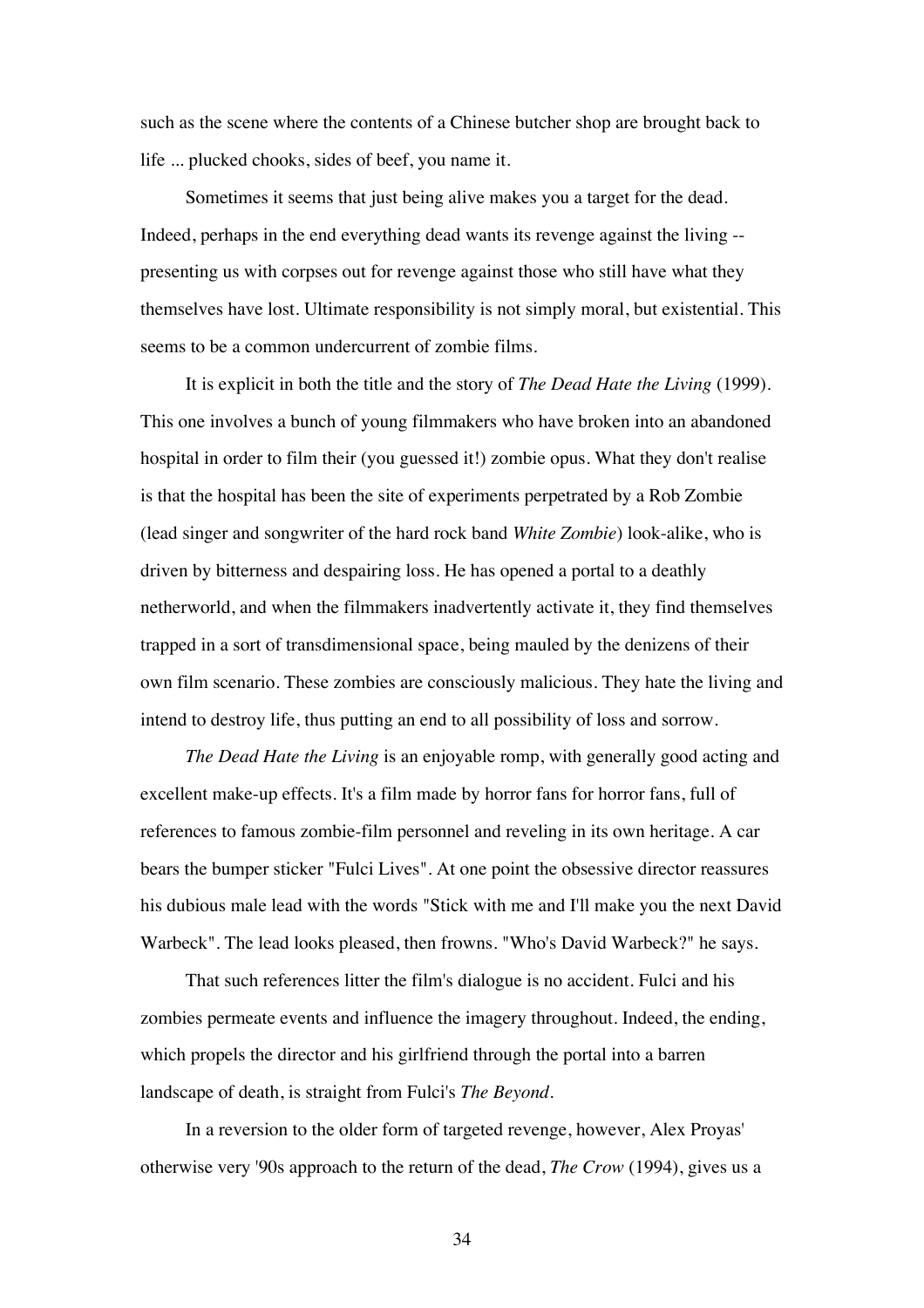such as the scene where the contents of a Chinese butcher shop are brought back to life ... plucked chooks, sides of beef, you name it.

Sometimes it seems that just being alive makes you a target for the dead. Indeed, perhaps in the end everything dead wants its revenge against the living - presenting us with corpses out for revenge against those who still have what they themselves have lost. Ultimate responsibility is not simply moral, but existential. This seems to be a common undercurrent of zombie films.

It is explicit in both the title and the story of *The Dead Hate the Living* (1999). This one involves a bunch of young filmmakers who have broken into an abandoned hospital in order to film their (you guessed it!) zombie opus. What they don't realise is that the hospital has been the site of experiments perpetrated by a Rob Zombie (lead singer and songwriter of the hard rock band *White Zombie*) look-alike, who is driven by bitterness and despairing loss. He has opened a portal to a deathly netherworld, and when the filmmakers inadvertently activate it, they find themselves trapped in a sort of transdimensional space, being mauled by the denizens of their own film scenario. These zombies are consciously malicious. They hate the living and intend to destroy life, thus putting an end to all possibility of loss and sorrow.

*The Dead Hate the Living* is an enjoyable romp, with generally good acting and excellent make-up effects. It's a film made by horror fans for horror fans, full of references to famous zombie-film personnel and reveling in its own heritage. A car bears the bumper sticker "Fulci Lives". At one point the obsessive director reassures his dubious male lead with the words "Stick with me and I'll make you the next David Warbeck". The lead looks pleased, then frowns. "Who's David Warbeck?" he says.

That such references litter the film's dialogue is no accident. Fulci and his zombies permeate events and influence the imagery throughout. Indeed, the ending, which propels the director and his girlfriend through the portal into a barren landscape of death, is straight from Fulci's *The Beyond*.

In a reversion to the older form of targeted revenge, however, Alex Proyas' otherwise very '90s approach to the return of the dead, *The Crow* (1994), gives us a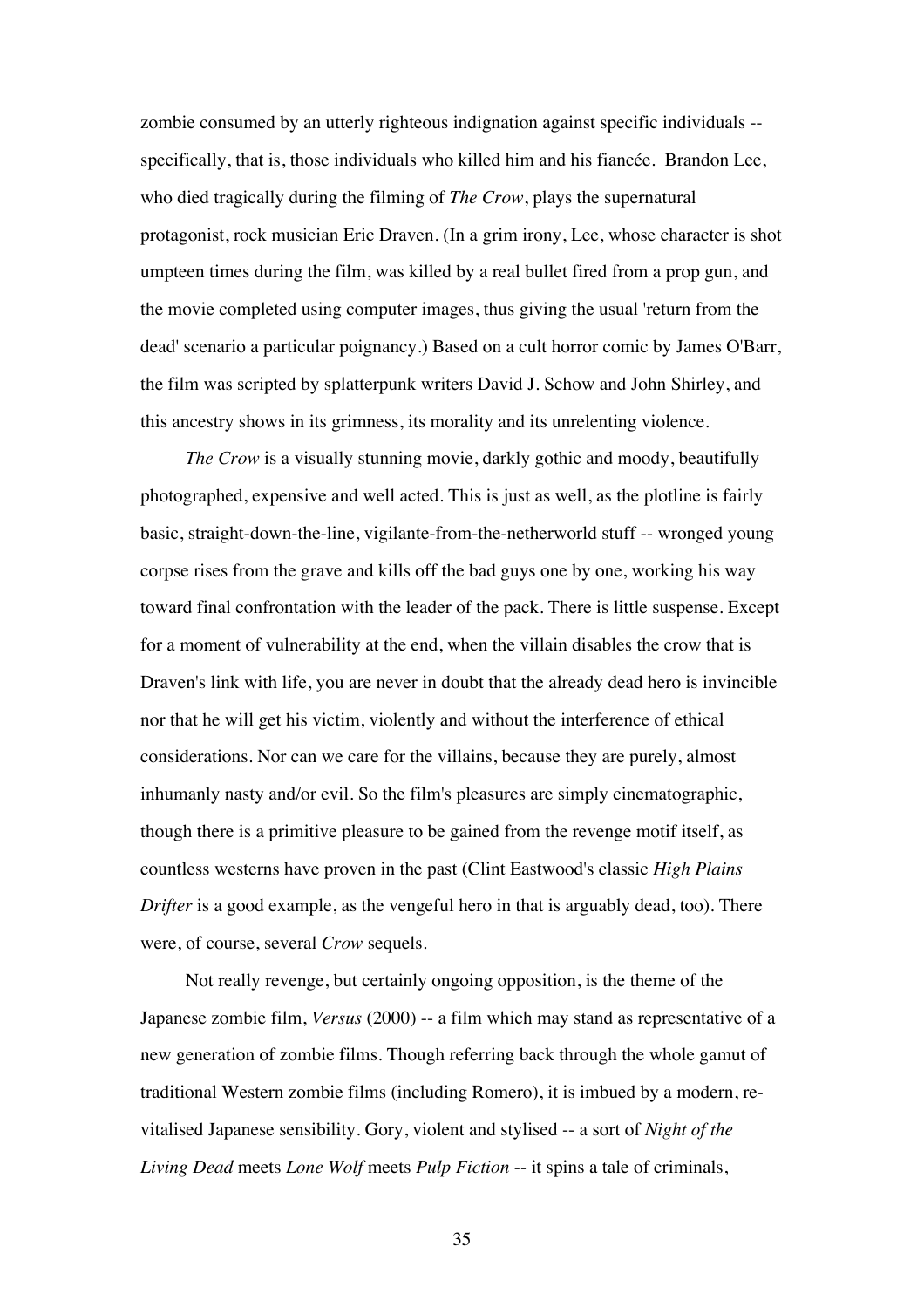zombie consumed by an utterly righteous indignation against specific individuals - specifically, that is, those individuals who killed him and his fiancée. Brandon Lee, who died tragically during the filming of *The Crow*, plays the supernatural protagonist, rock musician Eric Draven. (In a grim irony, Lee, whose character is shot umpteen times during the film, was killed by a real bullet fired from a prop gun, and the movie completed using computer images, thus giving the usual 'return from the dead' scenario a particular poignancy.) Based on a cult horror comic by James O'Barr, the film was scripted by splatterpunk writers David J. Schow and John Shirley, and this ancestry shows in its grimness, its morality and its unrelenting violence.

*The Crow* is a visually stunning movie, darkly gothic and moody, beautifully photographed, expensive and well acted. This is just as well, as the plotline is fairly basic, straight-down-the-line, vigilante-from-the-netherworld stuff -- wronged young corpse rises from the grave and kills off the bad guys one by one, working his way toward final confrontation with the leader of the pack. There is little suspense. Except for a moment of vulnerability at the end, when the villain disables the crow that is Draven's link with life, you are never in doubt that the already dead hero is invincible nor that he will get his victim, violently and without the interference of ethical considerations. Nor can we care for the villains, because they are purely, almost inhumanly nasty and/or evil. So the film's pleasures are simply cinematographic, though there is a primitive pleasure to be gained from the revenge motif itself, as countless westerns have proven in the past (Clint Eastwood's classic *High Plains Drifter* is a good example, as the vengeful hero in that is arguably dead, too). There were, of course, several *Crow* sequels.

Not really revenge, but certainly ongoing opposition, is the theme of the Japanese zombie film, *Versus* (2000) -- a film which may stand as representative of a new generation of zombie films. Though referring back through the whole gamut of traditional Western zombie films (including Romero), it is imbued by a modern, revitalised Japanese sensibility. Gory, violent and stylised -- a sort of *Night of the Living Dead* meets *Lone Wolf* meets *Pulp Fiction* -- it spins a tale of criminals,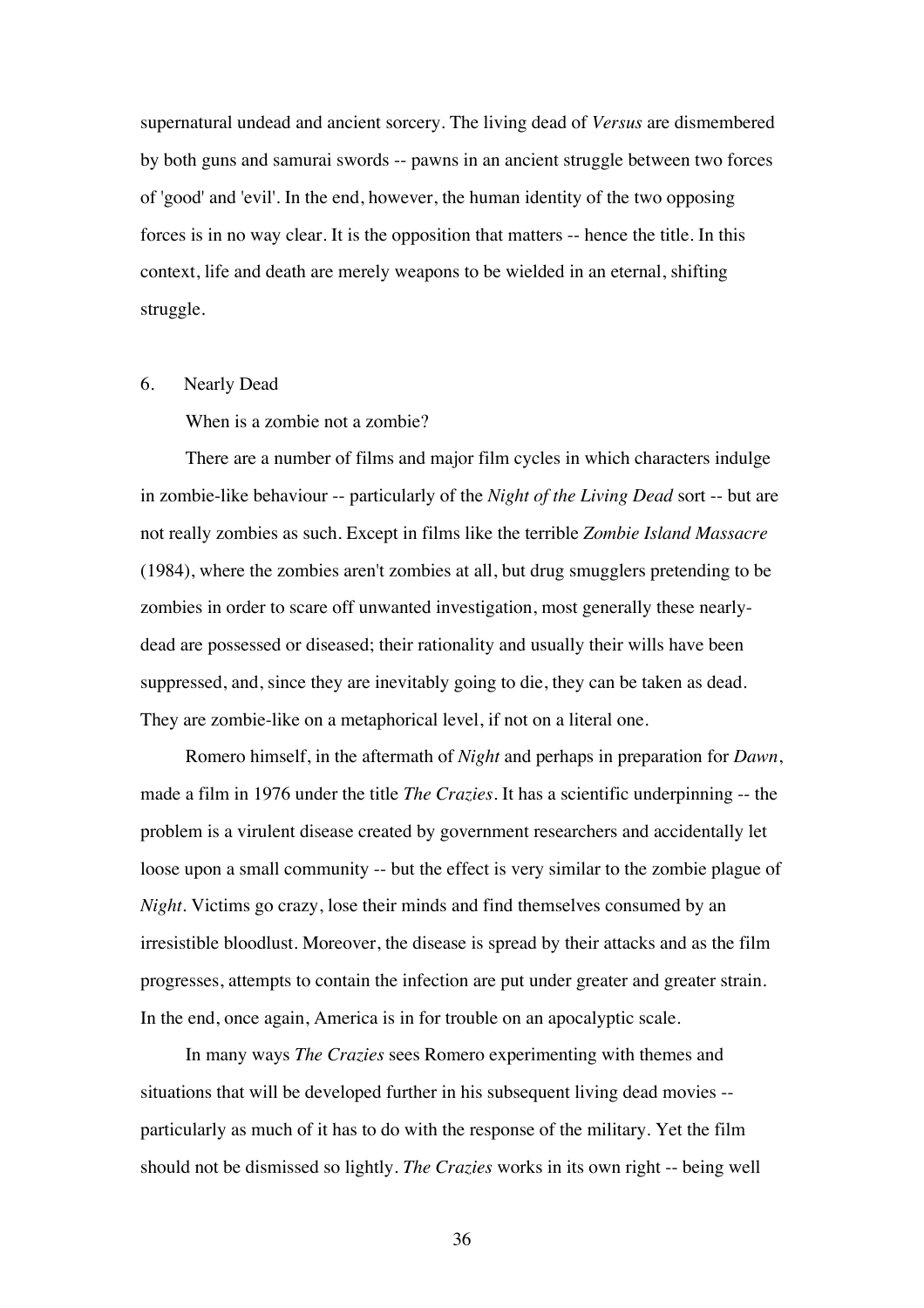supernatural undead and ancient sorcery. The living dead of *Versus* are dismembered by both guns and samurai swords -- pawns in an ancient struggle between two forces of 'good' and 'evil'. In the end, however, the human identity of the two opposing forces is in no way clear. It is the opposition that matters -- hence the title. In this context, life and death are merely weapons to be wielded in an eternal, shifting struggle.

## 6. Nearly Dead

When is a zombie not a zombie?

There are a number of films and major film cycles in which characters indulge in zombie-like behaviour -- particularly of the *Night of the Living Dead* sort -- but are not really zombies as such. Except in films like the terrible *Zombie Island Massacre* (1984), where the zombies aren't zombies at all, but drug smugglers pretending to be zombies in order to scare off unwanted investigation, most generally these nearlydead are possessed or diseased; their rationality and usually their wills have been suppressed, and, since they are inevitably going to die, they can be taken as dead. They are zombie-like on a metaphorical level, if not on a literal one.

Romero himself, in the aftermath of *Night* and perhaps in preparation for *Dawn*, made a film in 1976 under the title *The Crazies*. It has a scientific underpinning -- the problem is a virulent disease created by government researchers and accidentally let loose upon a small community -- but the effect is very similar to the zombie plague of *Night*. Victims go crazy, lose their minds and find themselves consumed by an irresistible bloodlust. Moreover, the disease is spread by their attacks and as the film progresses, attempts to contain the infection are put under greater and greater strain. In the end, once again, America is in for trouble on an apocalyptic scale.

In many ways *The Crazies* sees Romero experimenting with themes and situations that will be developed further in his subsequent living dead movies - particularly as much of it has to do with the response of the military. Yet the film should not be dismissed so lightly. *The Crazies* works in its own right -- being well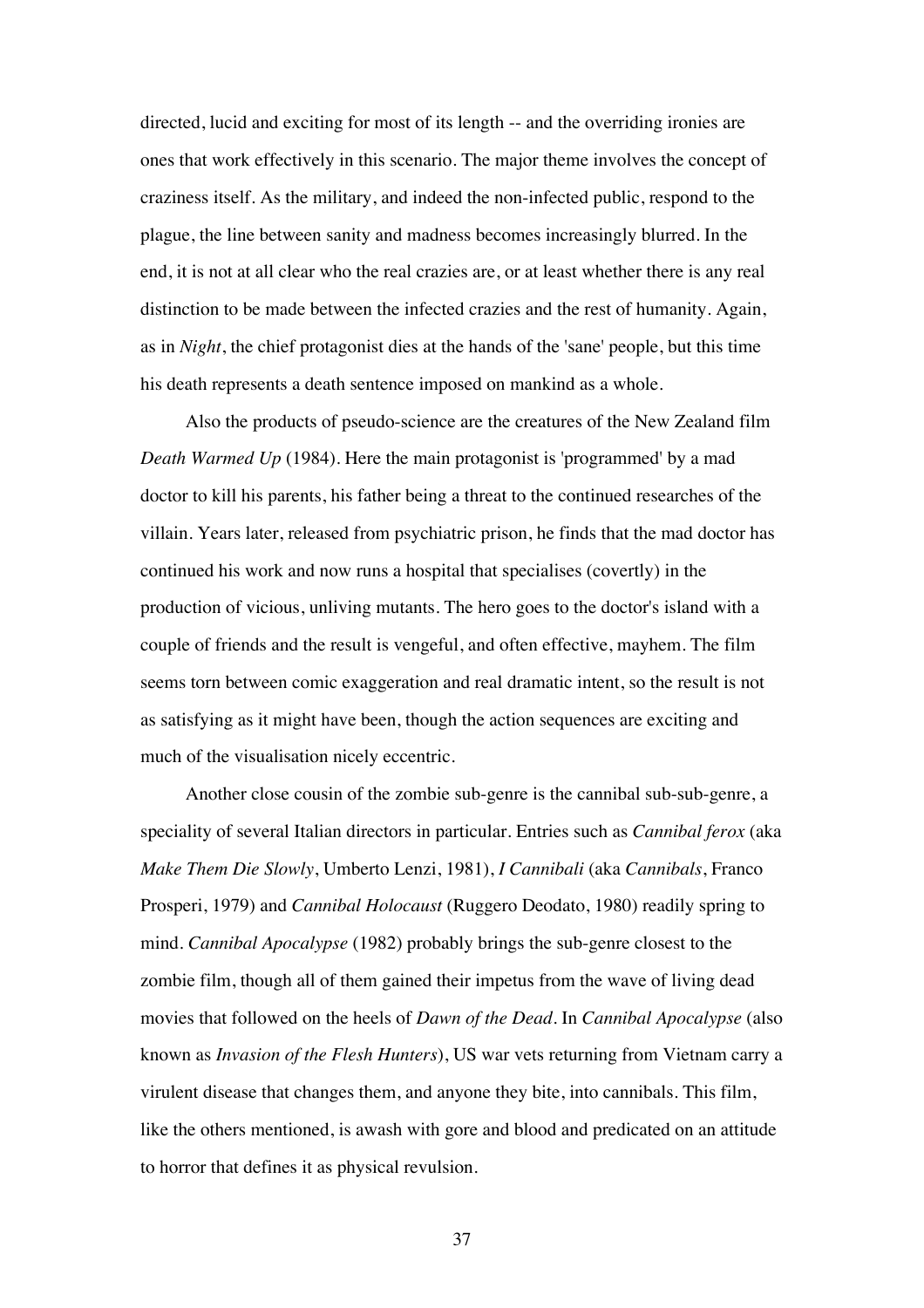directed, lucid and exciting for most of its length -- and the overriding ironies are ones that work effectively in this scenario. The major theme involves the concept of craziness itself. As the military, and indeed the non-infected public, respond to the plague, the line between sanity and madness becomes increasingly blurred. In the end, it is not at all clear who the real crazies are, or at least whether there is any real distinction to be made between the infected crazies and the rest of humanity. Again, as in *Night*, the chief protagonist dies at the hands of the 'sane' people, but this time his death represents a death sentence imposed on mankind as a whole.

Also the products of pseudo-science are the creatures of the New Zealand film *Death Warmed Up* (1984). Here the main protagonist is 'programmed' by a mad doctor to kill his parents, his father being a threat to the continued researches of the villain. Years later, released from psychiatric prison, he finds that the mad doctor has continued his work and now runs a hospital that specialises (covertly) in the production of vicious, unliving mutants. The hero goes to the doctor's island with a couple of friends and the result is vengeful, and often effective, mayhem. The film seems torn between comic exaggeration and real dramatic intent, so the result is not as satisfying as it might have been, though the action sequences are exciting and much of the visualisation nicely eccentric.

Another close cousin of the zombie sub-genre is the cannibal sub-sub-genre, a speciality of several Italian directors in particular. Entries such as *Cannibal ferox* (aka *Make Them Die Slowly*, Umberto Lenzi, 1981), *I Cannibali* (aka *Cannibals*, Franco Prosperi, 1979) and *Cannibal Holocaust* (Ruggero Deodato, 1980) readily spring to mind. *Cannibal Apocalypse* (1982) probably brings the sub-genre closest to the zombie film, though all of them gained their impetus from the wave of living dead movies that followed on the heels of *Dawn of the Dead*. In *Cannibal Apocalypse* (also known as *Invasion of the Flesh Hunters*), US war vets returning from Vietnam carry a virulent disease that changes them, and anyone they bite, into cannibals. This film, like the others mentioned, is awash with gore and blood and predicated on an attitude to horror that defines it as physical revulsion.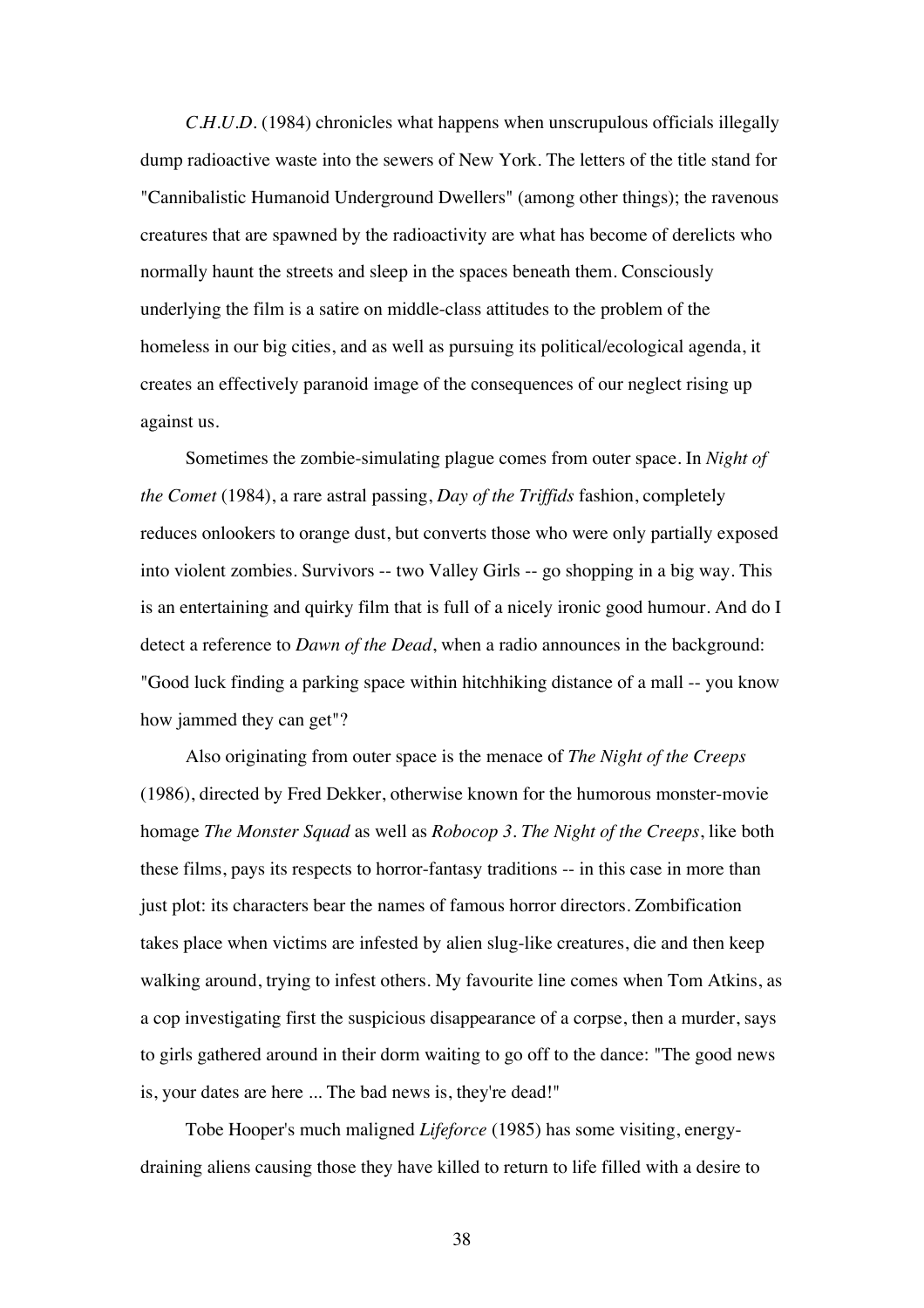*C.H.U.D.* (1984) chronicles what happens when unscrupulous officials illegally dump radioactive waste into the sewers of New York. The letters of the title stand for "Cannibalistic Humanoid Underground Dwellers" (among other things); the ravenous creatures that are spawned by the radioactivity are what has become of derelicts who normally haunt the streets and sleep in the spaces beneath them. Consciously underlying the film is a satire on middle-class attitudes to the problem of the homeless in our big cities, and as well as pursuing its political/ecological agenda, it creates an effectively paranoid image of the consequences of our neglect rising up against us.

Sometimes the zombie-simulating plague comes from outer space. In *Night of the Comet* (1984), a rare astral passing, *Day of the Triffids* fashion, completely reduces onlookers to orange dust, but converts those who were only partially exposed into violent zombies. Survivors -- two Valley Girls -- go shopping in a big way. This is an entertaining and quirky film that is full of a nicely ironic good humour. And do I detect a reference to *Dawn of the Dead*, when a radio announces in the background: "Good luck finding a parking space within hitchhiking distance of a mall -- you know how jammed they can get"?

Also originating from outer space is the menace of *The Night of the Creeps* (1986), directed by Fred Dekker, otherwise known for the humorous monster-movie homage *The Monster Squad* as well as *Robocop 3*. *The Night of the Creeps*, like both these films, pays its respects to horror-fantasy traditions -- in this case in more than just plot: its characters bear the names of famous horror directors. Zombification takes place when victims are infested by alien slug-like creatures, die and then keep walking around, trying to infest others. My favourite line comes when Tom Atkins, as a cop investigating first the suspicious disappearance of a corpse, then a murder, says to girls gathered around in their dorm waiting to go off to the dance: "The good news is, your dates are here ... The bad news is, they're dead!"

Tobe Hooper's much maligned *Lifeforce* (1985) has some visiting, energydraining aliens causing those they have killed to return to life filled with a desire to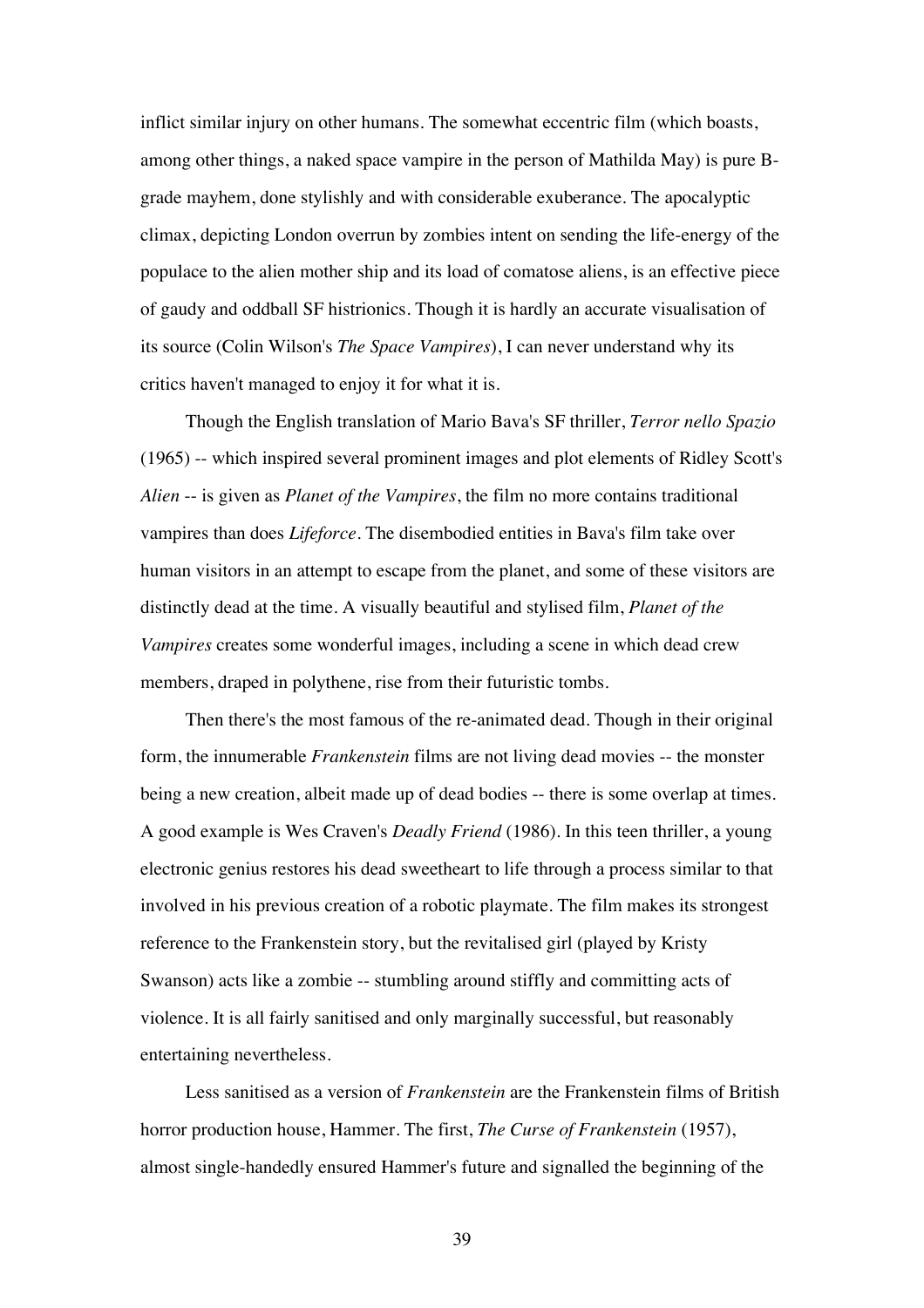inflict similar injury on other humans. The somewhat eccentric film (which boasts, among other things, a naked space vampire in the person of Mathilda May) is pure Bgrade mayhem, done stylishly and with considerable exuberance. The apocalyptic climax, depicting London overrun by zombies intent on sending the life-energy of the populace to the alien mother ship and its load of comatose aliens, is an effective piece of gaudy and oddball SF histrionics. Though it is hardly an accurate visualisation of its source (Colin Wilson's *The Space Vampires*), I can never understand why its critics haven't managed to enjoy it for what it is.

Though the English translation of Mario Bava's SF thriller, *Terror nello Spazio* (1965) -- which inspired several prominent images and plot elements of Ridley Scott's *Alien* -- is given as *Planet of the Vampires*, the film no more contains traditional vampires than does *Lifeforce*. The disembodied entities in Bava's film take over human visitors in an attempt to escape from the planet, and some of these visitors are distinctly dead at the time. A visually beautiful and stylised film, *Planet of the Vampires* creates some wonderful images, including a scene in which dead crew members, draped in polythene, rise from their futuristic tombs.

Then there's the most famous of the re-animated dead. Though in their original form, the innumerable *Frankenstein* films are not living dead movies -- the monster being a new creation, albeit made up of dead bodies -- there is some overlap at times. A good example is Wes Craven's *Deadly Friend* (1986). In this teen thriller, a young electronic genius restores his dead sweetheart to life through a process similar to that involved in his previous creation of a robotic playmate. The film makes its strongest reference to the Frankenstein story, but the revitalised girl (played by Kristy Swanson) acts like a zombie -- stumbling around stiffly and committing acts of violence. It is all fairly sanitised and only marginally successful, but reasonably entertaining nevertheless.

Less sanitised as a version of *Frankenstein* are the Frankenstein films of British horror production house, Hammer. The first, *The Curse of Frankenstein* (1957), almost single-handedly ensured Hammer's future and signalled the beginning of the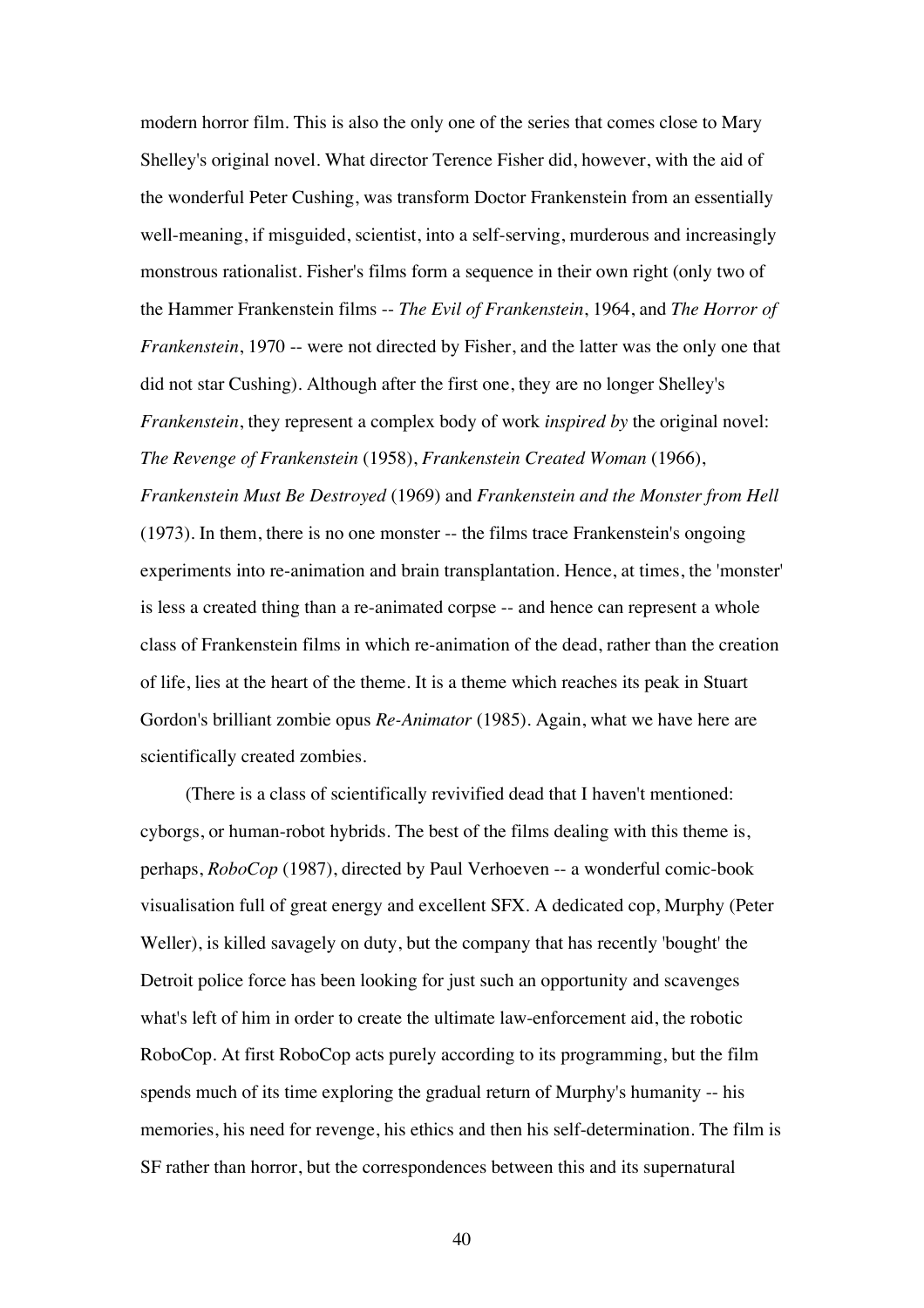modern horror film. This is also the only one of the series that comes close to Mary Shelley's original novel. What director Terence Fisher did, however, with the aid of the wonderful Peter Cushing, was transform Doctor Frankenstein from an essentially well-meaning, if misguided, scientist, into a self-serving, murderous and increasingly monstrous rationalist. Fisher's films form a sequence in their own right (only two of the Hammer Frankenstein films -- *The Evil of Frankenstein*, 1964, and *The Horror of Frankenstein*, 1970 -- were not directed by Fisher, and the latter was the only one that did not star Cushing). Although after the first one, they are no longer Shelley's *Frankenstein*, they represent a complex body of work *inspired by* the original novel: *The Revenge of Frankenstein* (1958), *Frankenstein Created Woman* (1966), *Frankenstein Must Be Destroyed* (1969) and *Frankenstein and the Monster from Hell* (1973). In them, there is no one monster -- the films trace Frankenstein's ongoing experiments into re-animation and brain transplantation. Hence, at times, the 'monster' is less a created thing than a re-animated corpse -- and hence can represent a whole class of Frankenstein films in which re-animation of the dead, rather than the creation of life, lies at the heart of the theme. It is a theme which reaches its peak in Stuart Gordon's brilliant zombie opus *Re-Animator* (1985). Again, what we have here are scientifically created zombies.

(There is a class of scientifically revivified dead that I haven't mentioned: cyborgs, or human-robot hybrids. The best of the films dealing with this theme is, perhaps, *RoboCop* (1987), directed by Paul Verhoeven -- a wonderful comic-book visualisation full of great energy and excellent SFX. A dedicated cop, Murphy (Peter Weller), is killed savagely on duty, but the company that has recently 'bought' the Detroit police force has been looking for just such an opportunity and scavenges what's left of him in order to create the ultimate law-enforcement aid, the robotic RoboCop. At first RoboCop acts purely according to its programming, but the film spends much of its time exploring the gradual return of Murphy's humanity -- his memories, his need for revenge, his ethics and then his self-determination. The film is SF rather than horror, but the correspondences between this and its supernatural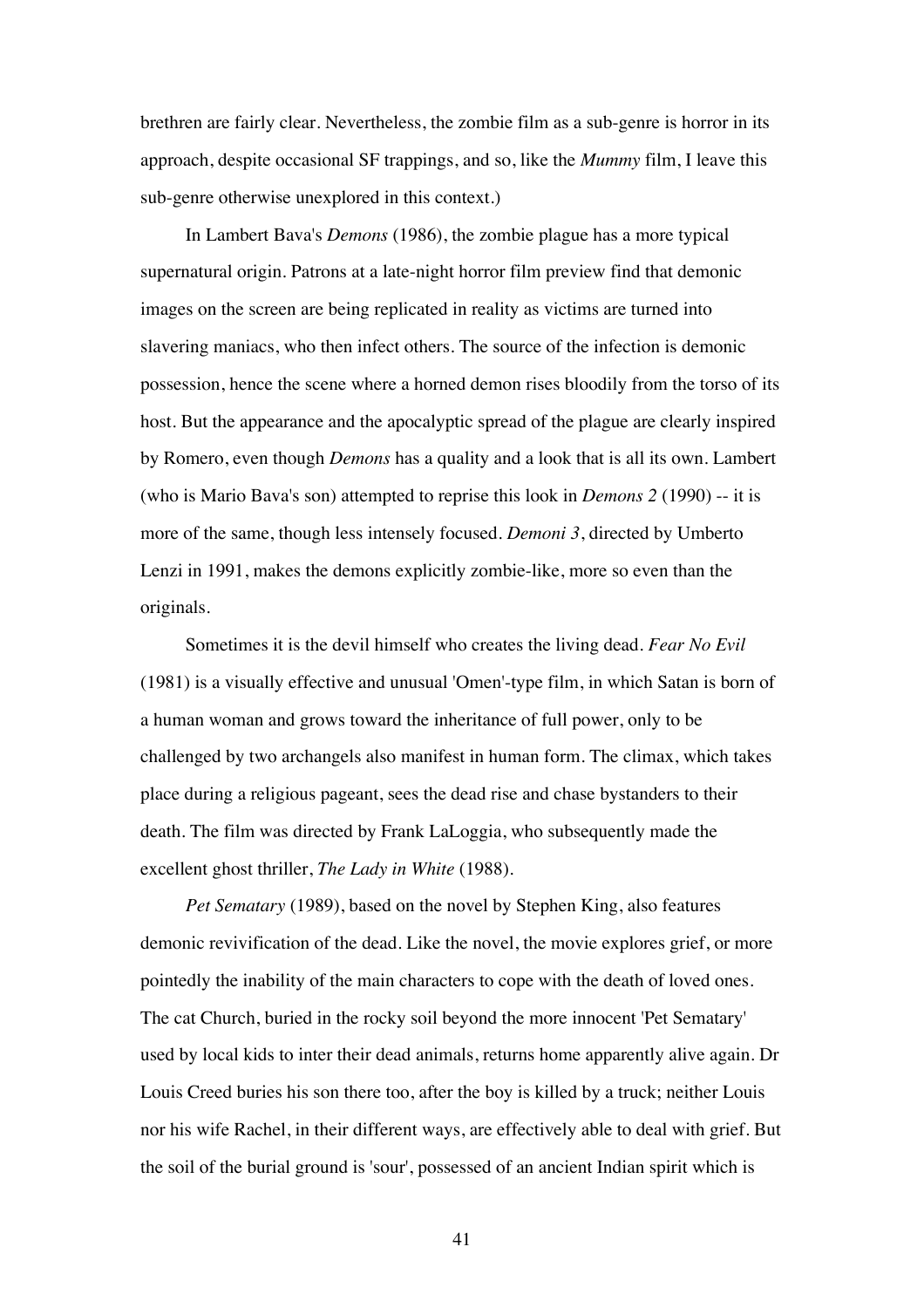brethren are fairly clear. Nevertheless, the zombie film as a sub-genre is horror in its approach, despite occasional SF trappings, and so, like the *Mummy* film, I leave this sub-genre otherwise unexplored in this context.)

In Lambert Bava's *Demons* (1986), the zombie plague has a more typical supernatural origin. Patrons at a late-night horror film preview find that demonic images on the screen are being replicated in reality as victims are turned into slavering maniacs, who then infect others. The source of the infection is demonic possession, hence the scene where a horned demon rises bloodily from the torso of its host. But the appearance and the apocalyptic spread of the plague are clearly inspired by Romero, even though *Demons* has a quality and a look that is all its own. Lambert (who is Mario Bava's son) attempted to reprise this look in *Demons 2* (1990) -- it is more of the same, though less intensely focused. *Demoni 3*, directed by Umberto Lenzi in 1991, makes the demons explicitly zombie-like, more so even than the originals.

Sometimes it is the devil himself who creates the living dead. *Fear No Evil* (1981) is a visually effective and unusual 'Omen'-type film, in which Satan is born of a human woman and grows toward the inheritance of full power, only to be challenged by two archangels also manifest in human form. The climax, which takes place during a religious pageant, sees the dead rise and chase bystanders to their death. The film was directed by Frank LaLoggia, who subsequently made the excellent ghost thriller, *The Lady in White* (1988).

*Pet Sematary* (1989), based on the novel by Stephen King, also features demonic revivification of the dead. Like the novel, the movie explores grief, or more pointedly the inability of the main characters to cope with the death of loved ones. The cat Church, buried in the rocky soil beyond the more innocent 'Pet Sematary' used by local kids to inter their dead animals, returns home apparently alive again. Dr Louis Creed buries his son there too, after the boy is killed by a truck; neither Louis nor his wife Rachel, in their different ways, are effectively able to deal with grief. But the soil of the burial ground is 'sour', possessed of an ancient Indian spirit which is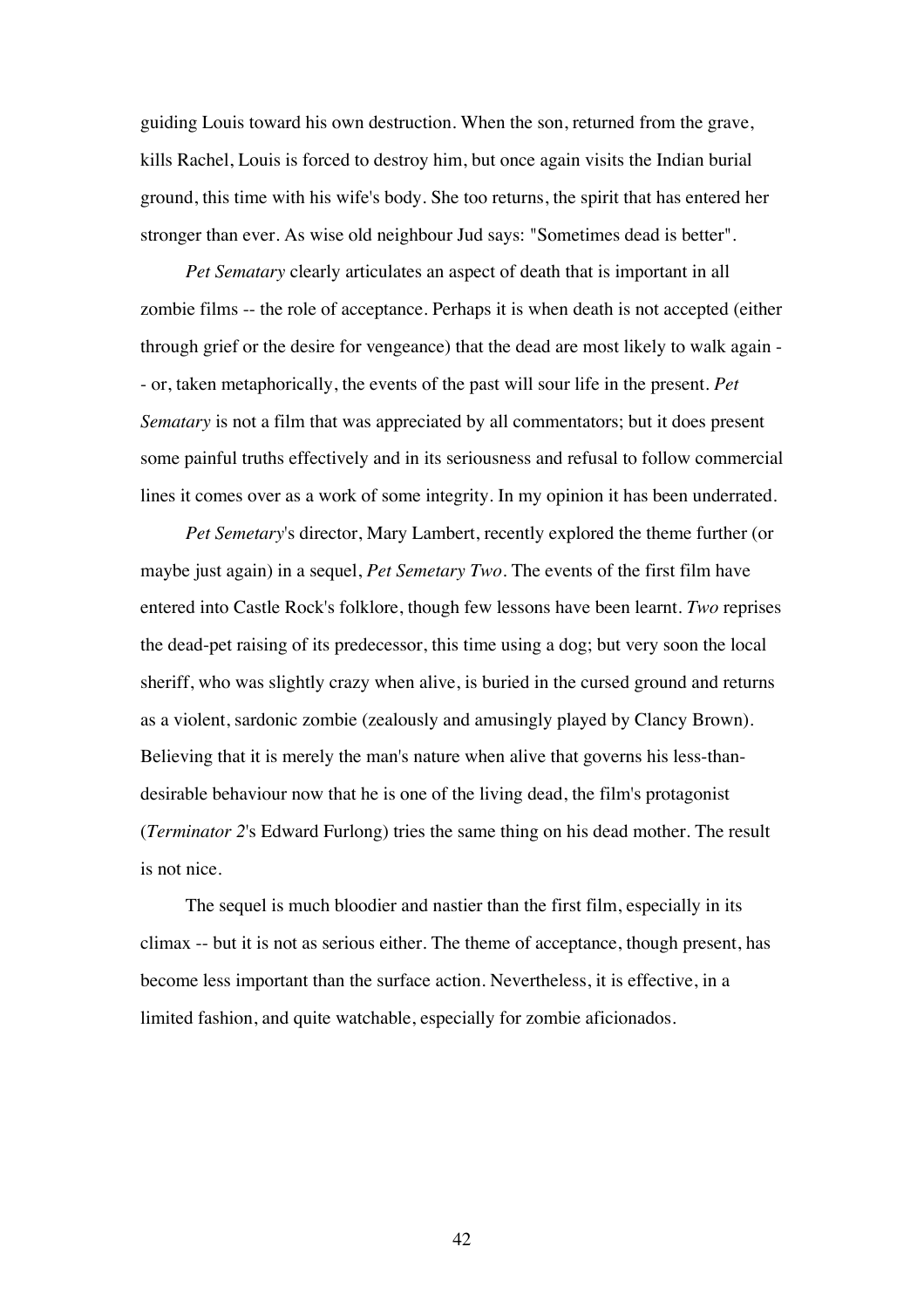guiding Louis toward his own destruction. When the son, returned from the grave, kills Rachel, Louis is forced to destroy him, but once again visits the Indian burial ground, this time with his wife's body. She too returns, the spirit that has entered her stronger than ever. As wise old neighbour Jud says: "Sometimes dead is better".

*Pet Sematary* clearly articulates an aspect of death that is important in all zombie films -- the role of acceptance. Perhaps it is when death is not accepted (either through grief or the desire for vengeance) that the dead are most likely to walk again - - or, taken metaphorically, the events of the past will sour life in the present. *Pet Sematary* is not a film that was appreciated by all commentators; but it does present some painful truths effectively and in its seriousness and refusal to follow commercial lines it comes over as a work of some integrity. In my opinion it has been underrated.

*Pet Semetary*'s director, Mary Lambert, recently explored the theme further (or maybe just again) in a sequel, *Pet Semetary Two*. The events of the first film have entered into Castle Rock's folklore, though few lessons have been learnt. *Two* reprises the dead-pet raising of its predecessor, this time using a dog; but very soon the local sheriff, who was slightly crazy when alive, is buried in the cursed ground and returns as a violent, sardonic zombie (zealously and amusingly played by Clancy Brown). Believing that it is merely the man's nature when alive that governs his less-thandesirable behaviour now that he is one of the living dead, the film's protagonist (*Terminator 2*'s Edward Furlong) tries the same thing on his dead mother. The result is not nice.

The sequel is much bloodier and nastier than the first film, especially in its climax -- but it is not as serious either. The theme of acceptance, though present, has become less important than the surface action. Nevertheless, it is effective, in a limited fashion, and quite watchable, especially for zombie aficionados.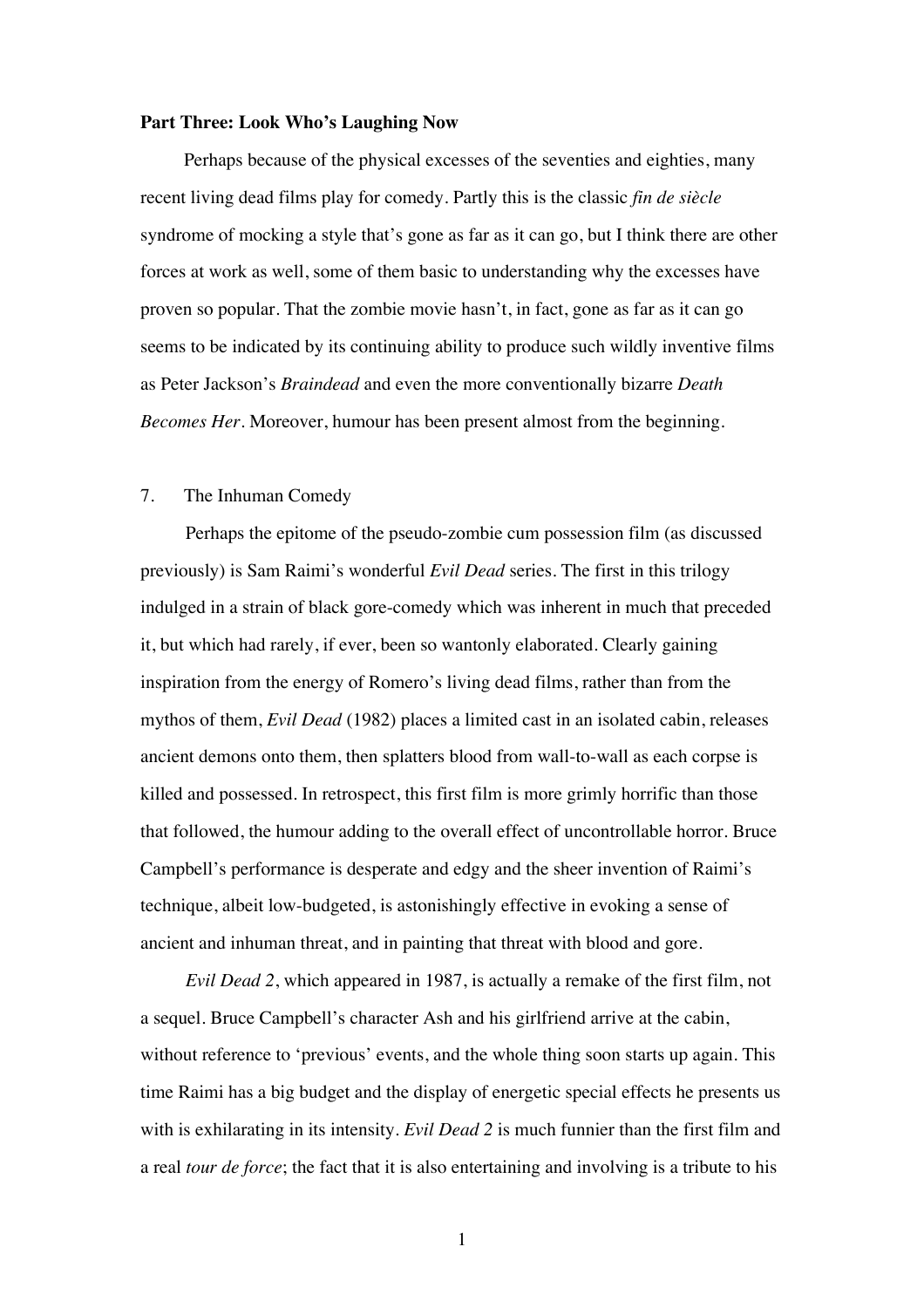## **Part Three: Look Who's Laughing Now**

Perhaps because of the physical excesses of the seventies and eighties, many recent living dead films play for comedy. Partly this is the classic *fin de siècle* syndrome of mocking a style that's gone as far as it can go, but I think there are other forces at work as well, some of them basic to understanding why the excesses have proven so popular. That the zombie movie hasn't, in fact, gone as far as it can go seems to be indicated by its continuing ability to produce such wildly inventive films as Peter Jackson's *Braindead* and even the more conventionally bizarre *Death Becomes Her*. Moreover, humour has been present almost from the beginning.

## 7. The Inhuman Comedy

Perhaps the epitome of the pseudo-zombie cum possession film (as discussed previously) is Sam Raimi's wonderful *Evil Dead* series. The first in this trilogy indulged in a strain of black gore-comedy which was inherent in much that preceded it, but which had rarely, if ever, been so wantonly elaborated. Clearly gaining inspiration from the energy of Romero's living dead films, rather than from the mythos of them, *Evil Dead* (1982) places a limited cast in an isolated cabin, releases ancient demons onto them, then splatters blood from wall-to-wall as each corpse is killed and possessed. In retrospect, this first film is more grimly horrific than those that followed, the humour adding to the overall effect of uncontrollable horror. Bruce Campbell's performance is desperate and edgy and the sheer invention of Raimi's technique, albeit low-budgeted, is astonishingly effective in evoking a sense of ancient and inhuman threat, and in painting that threat with blood and gore.

*Evil Dead 2*, which appeared in 1987, is actually a remake of the first film, not a sequel. Bruce Campbell's character Ash and his girlfriend arrive at the cabin, without reference to 'previous' events, and the whole thing soon starts up again. This time Raimi has a big budget and the display of energetic special effects he presents us with is exhilarating in its intensity. *Evil Dead 2* is much funnier than the first film and a real *tour de force*; the fact that it is also entertaining and involving is a tribute to his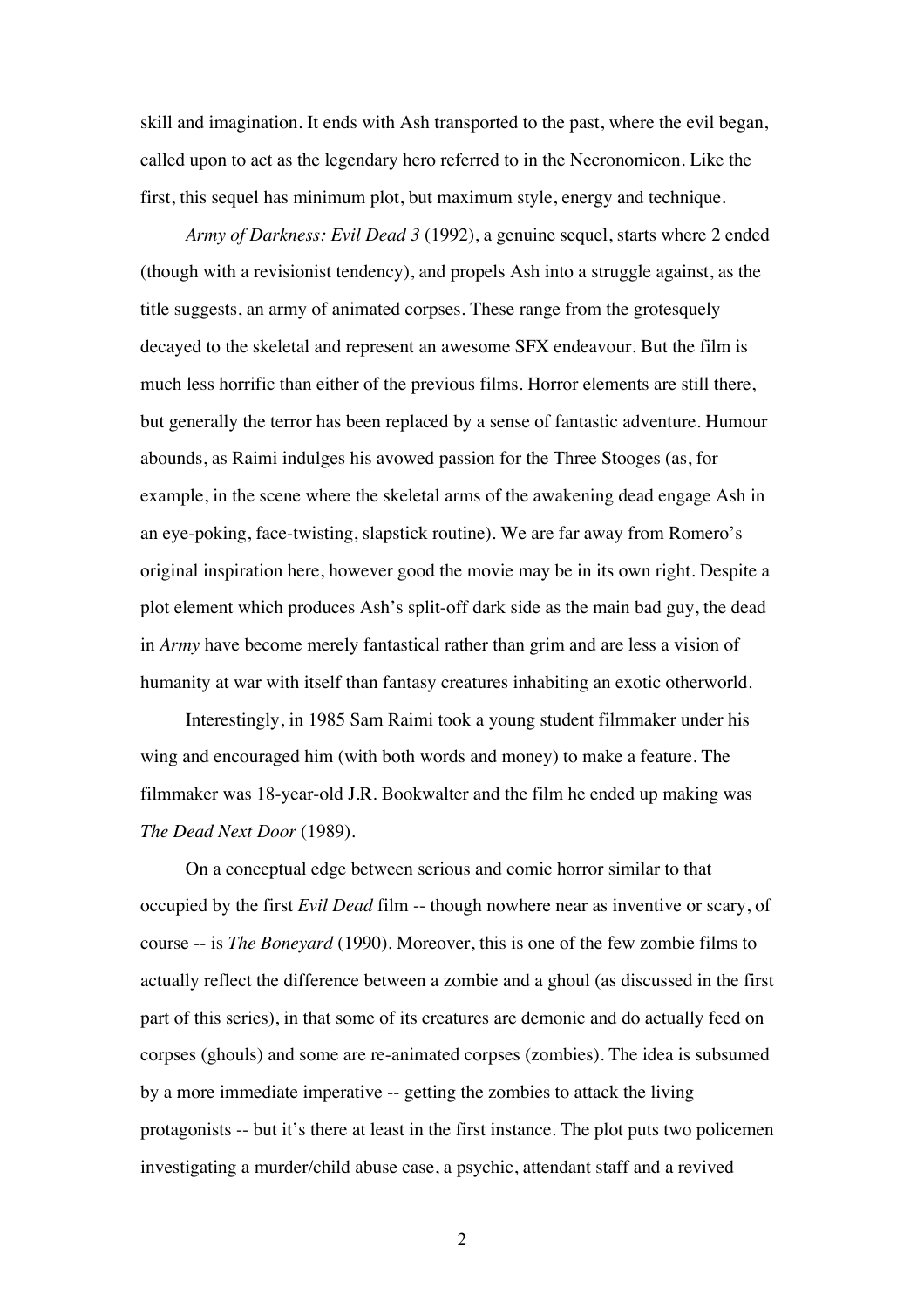skill and imagination. It ends with Ash transported to the past, where the evil began, called upon to act as the legendary hero referred to in the Necronomicon. Like the first, this sequel has minimum plot, but maximum style, energy and technique.

*Army of Darkness: Evil Dead 3* (1992), a genuine sequel, starts where 2 ended (though with a revisionist tendency), and propels Ash into a struggle against, as the title suggests, an army of animated corpses. These range from the grotesquely decayed to the skeletal and represent an awesome SFX endeavour. But the film is much less horrific than either of the previous films. Horror elements are still there, but generally the terror has been replaced by a sense of fantastic adventure. Humour abounds, as Raimi indulges his avowed passion for the Three Stooges (as, for example, in the scene where the skeletal arms of the awakening dead engage Ash in an eye-poking, face-twisting, slapstick routine). We are far away from Romero's original inspiration here, however good the movie may be in its own right. Despite a plot element which produces Ash's split-off dark side as the main bad guy, the dead in *Army* have become merely fantastical rather than grim and are less a vision of humanity at war with itself than fantasy creatures inhabiting an exotic otherworld.

Interestingly, in 1985 Sam Raimi took a young student filmmaker under his wing and encouraged him (with both words and money) to make a feature. The filmmaker was 18-year-old J.R. Bookwalter and the film he ended up making was *The Dead Next Door* (1989).

On a conceptual edge between serious and comic horror similar to that occupied by the first *Evil Dead* film -- though nowhere near as inventive or scary, of course -- is *The Boneyard* (1990). Moreover, this is one of the few zombie films to actually reflect the difference between a zombie and a ghoul (as discussed in the first part of this series), in that some of its creatures are demonic and do actually feed on corpses (ghouls) and some are re-animated corpses (zombies). The idea is subsumed by a more immediate imperative -- getting the zombies to attack the living protagonists -- but it's there at least in the first instance. The plot puts two policemen investigating a murder/child abuse case, a psychic, attendant staff and a revived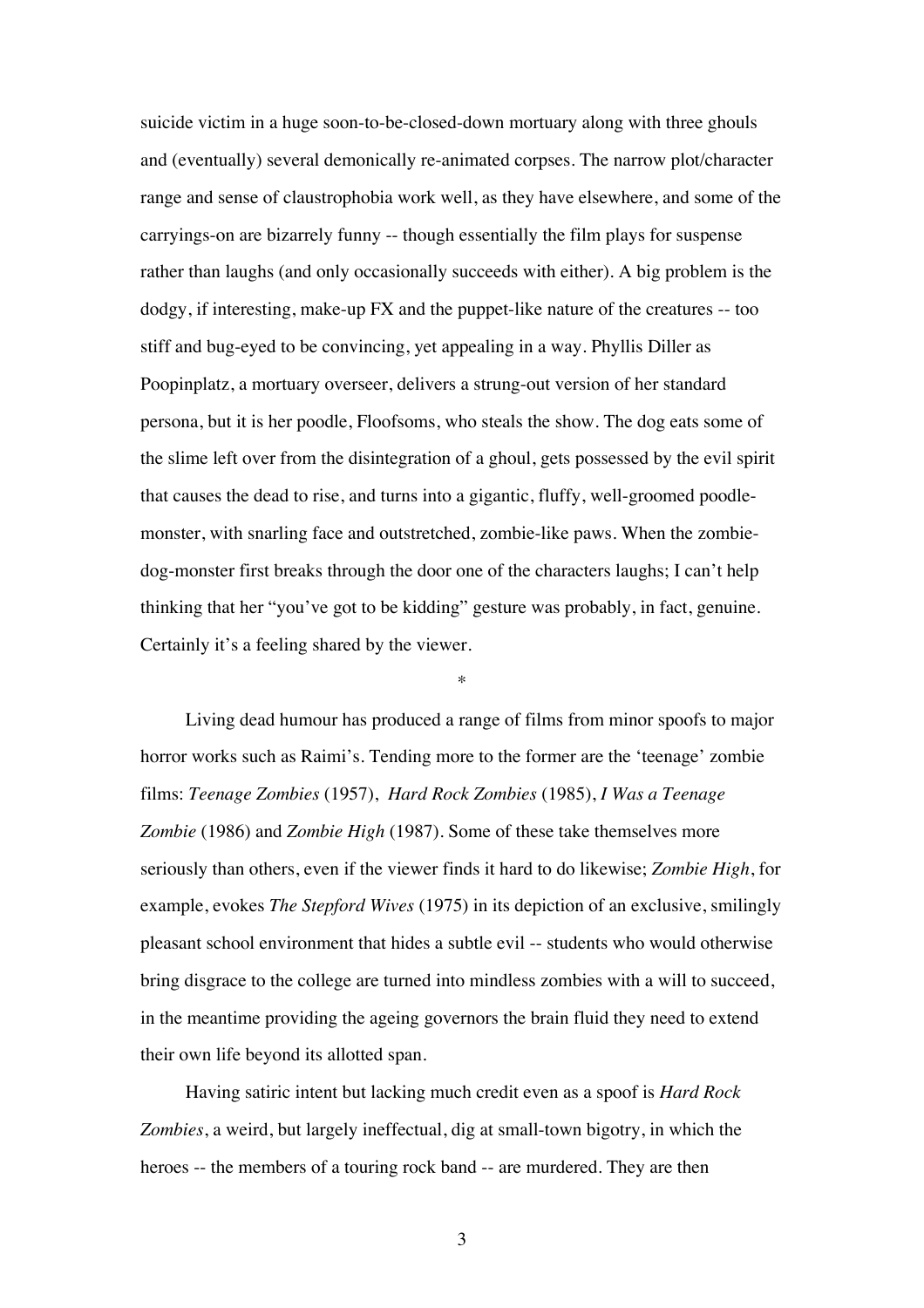suicide victim in a huge soon-to-be-closed-down mortuary along with three ghouls and (eventually) several demonically re-animated corpses. The narrow plot/character range and sense of claustrophobia work well, as they have elsewhere, and some of the carryings-on are bizarrely funny -- though essentially the film plays for suspense rather than laughs (and only occasionally succeeds with either). A big problem is the dodgy, if interesting, make-up FX and the puppet-like nature of the creatures -- too stiff and bug-eyed to be convincing, yet appealing in a way. Phyllis Diller as Poopinplatz, a mortuary overseer, delivers a strung-out version of her standard persona, but it is her poodle, Floofsoms, who steals the show. The dog eats some of the slime left over from the disintegration of a ghoul, gets possessed by the evil spirit that causes the dead to rise, and turns into a gigantic, fluffy, well-groomed poodlemonster, with snarling face and outstretched, zombie-like paws. When the zombiedog-monster first breaks through the door one of the characters laughs; I can't help thinking that her "you've got to be kidding" gesture was probably, in fact, genuine. Certainly it's a feeling shared by the viewer.

Living dead humour has produced a range of films from minor spoofs to major horror works such as Raimi's. Tending more to the former are the 'teenage' zombie films: *Teenage Zombies* (1957), *Hard Rock Zombies* (1985), *I Was a Teenage Zombie* (1986) and *Zombie High* (1987). Some of these take themselves more seriously than others, even if the viewer finds it hard to do likewise; *Zombie High*, for example, evokes *The Stepford Wives* (1975) in its depiction of an exclusive, smilingly pleasant school environment that hides a subtle evil -- students who would otherwise bring disgrace to the college are turned into mindless zombies with a will to succeed, in the meantime providing the ageing governors the brain fluid they need to extend their own life beyond its allotted span.

\*

Having satiric intent but lacking much credit even as a spoof is *Hard Rock Zombies*, a weird, but largely ineffectual, dig at small-town bigotry, in which the heroes -- the members of a touring rock band -- are murdered. They are then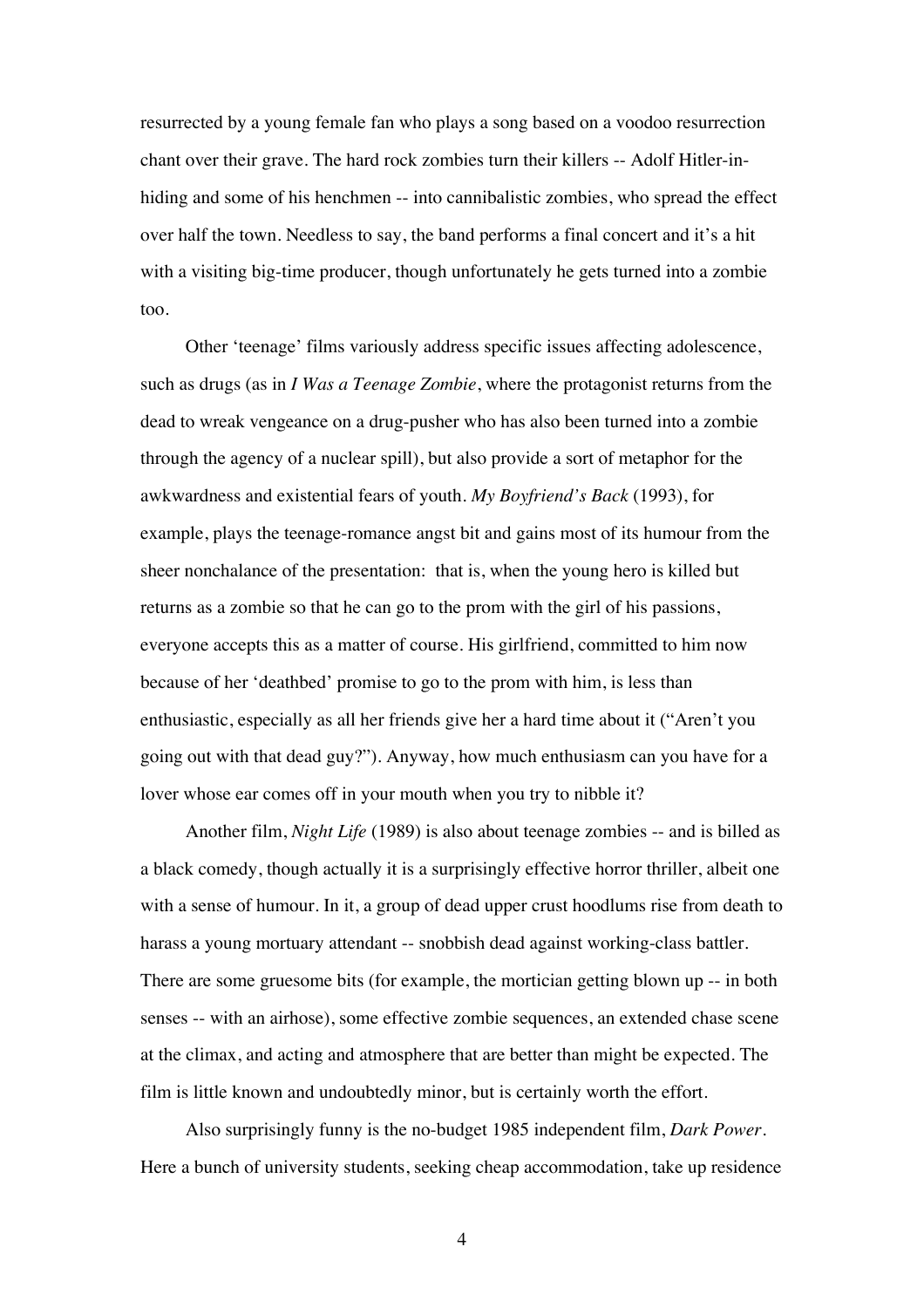resurrected by a young female fan who plays a song based on a voodoo resurrection chant over their grave. The hard rock zombies turn their killers -- Adolf Hitler-inhiding and some of his henchmen -- into cannibalistic zombies, who spread the effect over half the town. Needless to say, the band performs a final concert and it's a hit with a visiting big-time producer, though unfortunately he gets turned into a zombie too.

Other 'teenage' films variously address specific issues affecting adolescence, such as drugs (as in *I Was a Teenage Zombie*, where the protagonist returns from the dead to wreak vengeance on a drug-pusher who has also been turned into a zombie through the agency of a nuclear spill), but also provide a sort of metaphor for the awkwardness and existential fears of youth. *My Boyfriend's Back* (1993), for example, plays the teenage-romance angst bit and gains most of its humour from the sheer nonchalance of the presentation: that is, when the young hero is killed but returns as a zombie so that he can go to the prom with the girl of his passions, everyone accepts this as a matter of course. His girlfriend, committed to him now because of her 'deathbed' promise to go to the prom with him, is less than enthusiastic, especially as all her friends give her a hard time about it ("Aren't you going out with that dead guy?"). Anyway, how much enthusiasm can you have for a lover whose ear comes off in your mouth when you try to nibble it?

Another film, *Night Life* (1989) is also about teenage zombies -- and is billed as a black comedy, though actually it is a surprisingly effective horror thriller, albeit one with a sense of humour. In it, a group of dead upper crust hoodlums rise from death to harass a young mortuary attendant -- snobbish dead against working-class battler. There are some gruesome bits (for example, the mortician getting blown up -- in both senses -- with an airhose), some effective zombie sequences, an extended chase scene at the climax, and acting and atmosphere that are better than might be expected. The film is little known and undoubtedly minor, but is certainly worth the effort.

Also surprisingly funny is the no-budget 1985 independent film, *Dark Power*. Here a bunch of university students, seeking cheap accommodation, take up residence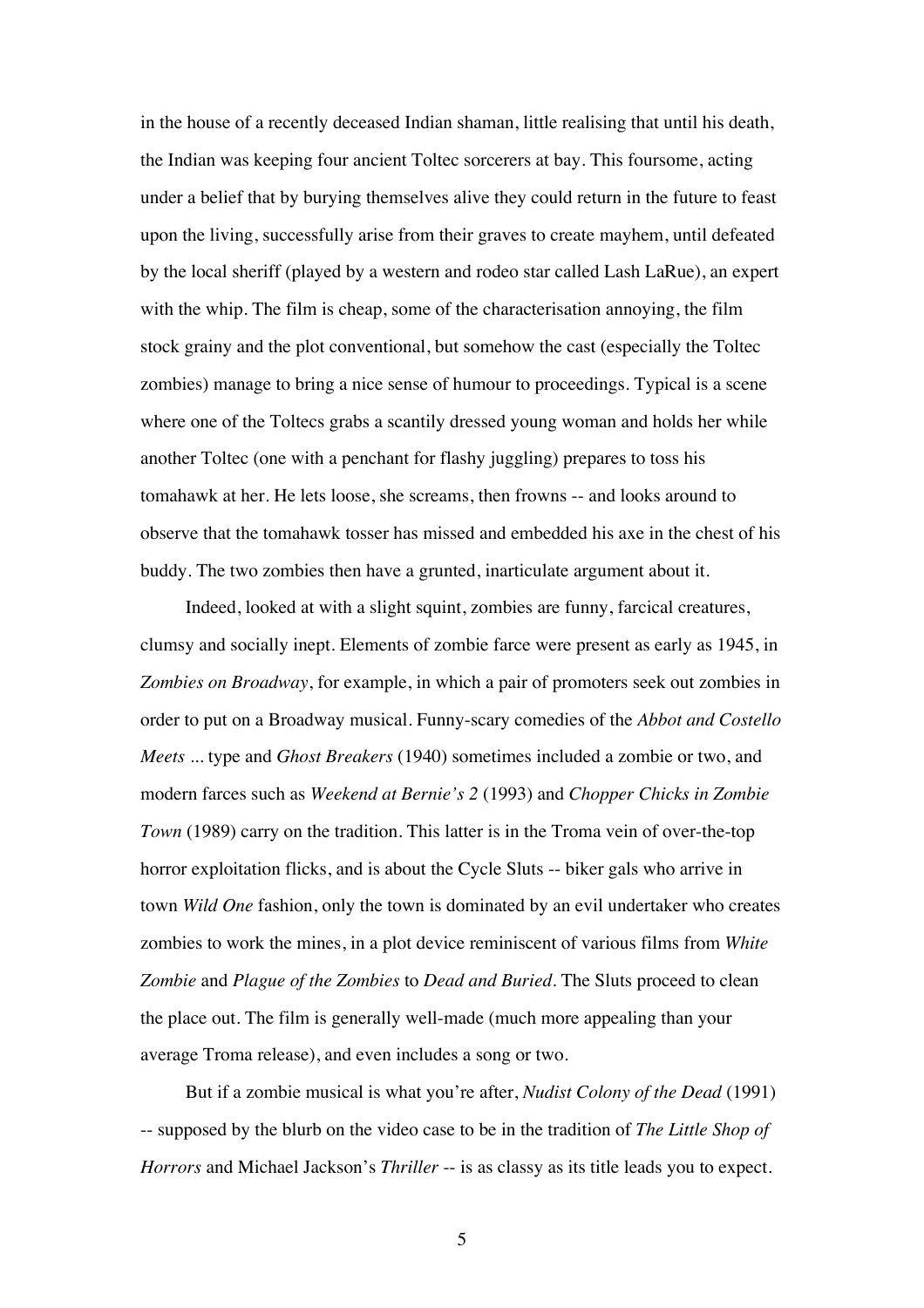in the house of a recently deceased Indian shaman, little realising that until his death, the Indian was keeping four ancient Toltec sorcerers at bay. This foursome, acting under a belief that by burying themselves alive they could return in the future to feast upon the living, successfully arise from their graves to create mayhem, until defeated by the local sheriff (played by a western and rodeo star called Lash LaRue), an expert with the whip. The film is cheap, some of the characterisation annoying, the film stock grainy and the plot conventional, but somehow the cast (especially the Toltec zombies) manage to bring a nice sense of humour to proceedings. Typical is a scene where one of the Toltecs grabs a scantily dressed young woman and holds her while another Toltec (one with a penchant for flashy juggling) prepares to toss his tomahawk at her. He lets loose, she screams, then frowns -- and looks around to observe that the tomahawk tosser has missed and embedded his axe in the chest of his buddy. The two zombies then have a grunted, inarticulate argument about it.

Indeed, looked at with a slight squint, zombies are funny, farcical creatures, clumsy and socially inept. Elements of zombie farce were present as early as 1945, in *Zombies on Broadway*, for example, in which a pair of promoters seek out zombies in order to put on a Broadway musical. Funny-scary comedies of the *Abbot and Costello Meets ...* type and *Ghost Breakers* (1940) sometimes included a zombie or two, and modern farces such as *Weekend at Bernie's 2* (1993) and *Chopper Chicks in Zombie Town* (1989) carry on the tradition. This latter is in the Troma vein of over-the-top horror exploitation flicks, and is about the Cycle Sluts -- biker gals who arrive in town *Wild One* fashion, only the town is dominated by an evil undertaker who creates zombies to work the mines, in a plot device reminiscent of various films from *White Zombie* and *Plague of the Zombies* to *Dead and Buried*. The Sluts proceed to clean the place out. The film is generally well-made (much more appealing than your average Troma release), and even includes a song or two.

But if a zombie musical is what you're after, *Nudist Colony of the Dead* (1991) -- supposed by the blurb on the video case to be in the tradition of *The Little Shop of Horrors* and Michael Jackson's *Thriller* -- is as classy as its title leads you to expect.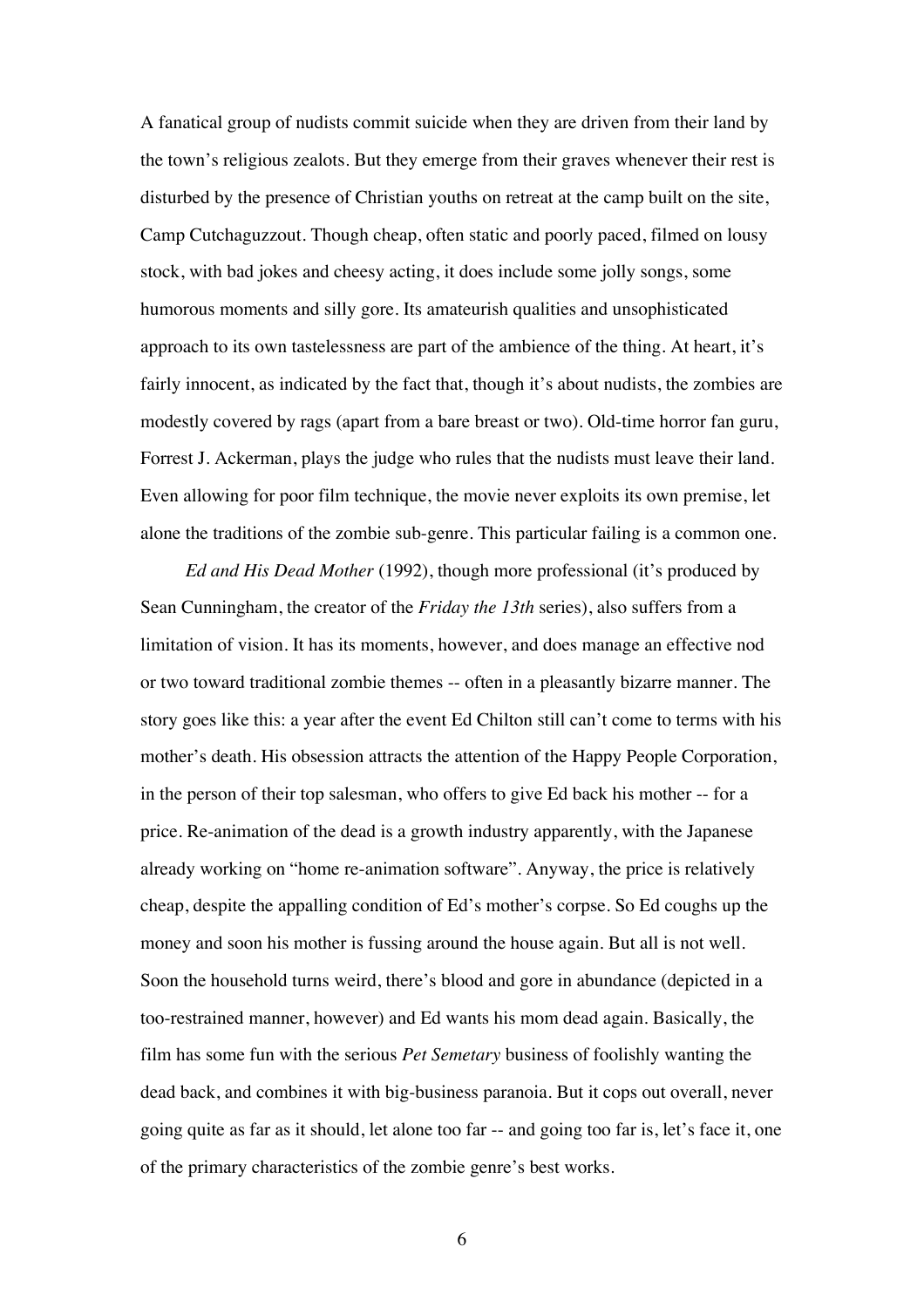A fanatical group of nudists commit suicide when they are driven from their land by the town's religious zealots. But they emerge from their graves whenever their rest is disturbed by the presence of Christian youths on retreat at the camp built on the site, Camp Cutchaguzzout. Though cheap, often static and poorly paced, filmed on lousy stock, with bad jokes and cheesy acting, it does include some jolly songs, some humorous moments and silly gore. Its amateurish qualities and unsophisticated approach to its own tastelessness are part of the ambience of the thing. At heart, it's fairly innocent, as indicated by the fact that, though it's about nudists, the zombies are modestly covered by rags (apart from a bare breast or two). Old-time horror fan guru, Forrest J. Ackerman, plays the judge who rules that the nudists must leave their land. Even allowing for poor film technique, the movie never exploits its own premise, let alone the traditions of the zombie sub-genre. This particular failing is a common one.

*Ed and His Dead Mother* (1992), though more professional (it's produced by Sean Cunningham, the creator of the *Friday the 13th* series), also suffers from a limitation of vision. It has its moments, however, and does manage an effective nod or two toward traditional zombie themes -- often in a pleasantly bizarre manner. The story goes like this: a year after the event Ed Chilton still can't come to terms with his mother's death. His obsession attracts the attention of the Happy People Corporation, in the person of their top salesman, who offers to give Ed back his mother -- for a price. Re-animation of the dead is a growth industry apparently, with the Japanese already working on "home re-animation software". Anyway, the price is relatively cheap, despite the appalling condition of Ed's mother's corpse. So Ed coughs up the money and soon his mother is fussing around the house again. But all is not well. Soon the household turns weird, there's blood and gore in abundance (depicted in a too-restrained manner, however) and Ed wants his mom dead again. Basically, the film has some fun with the serious *Pet Semetary* business of foolishly wanting the dead back, and combines it with big-business paranoia. But it cops out overall, never going quite as far as it should, let alone too far -- and going too far is, let's face it, one of the primary characteristics of the zombie genre's best works.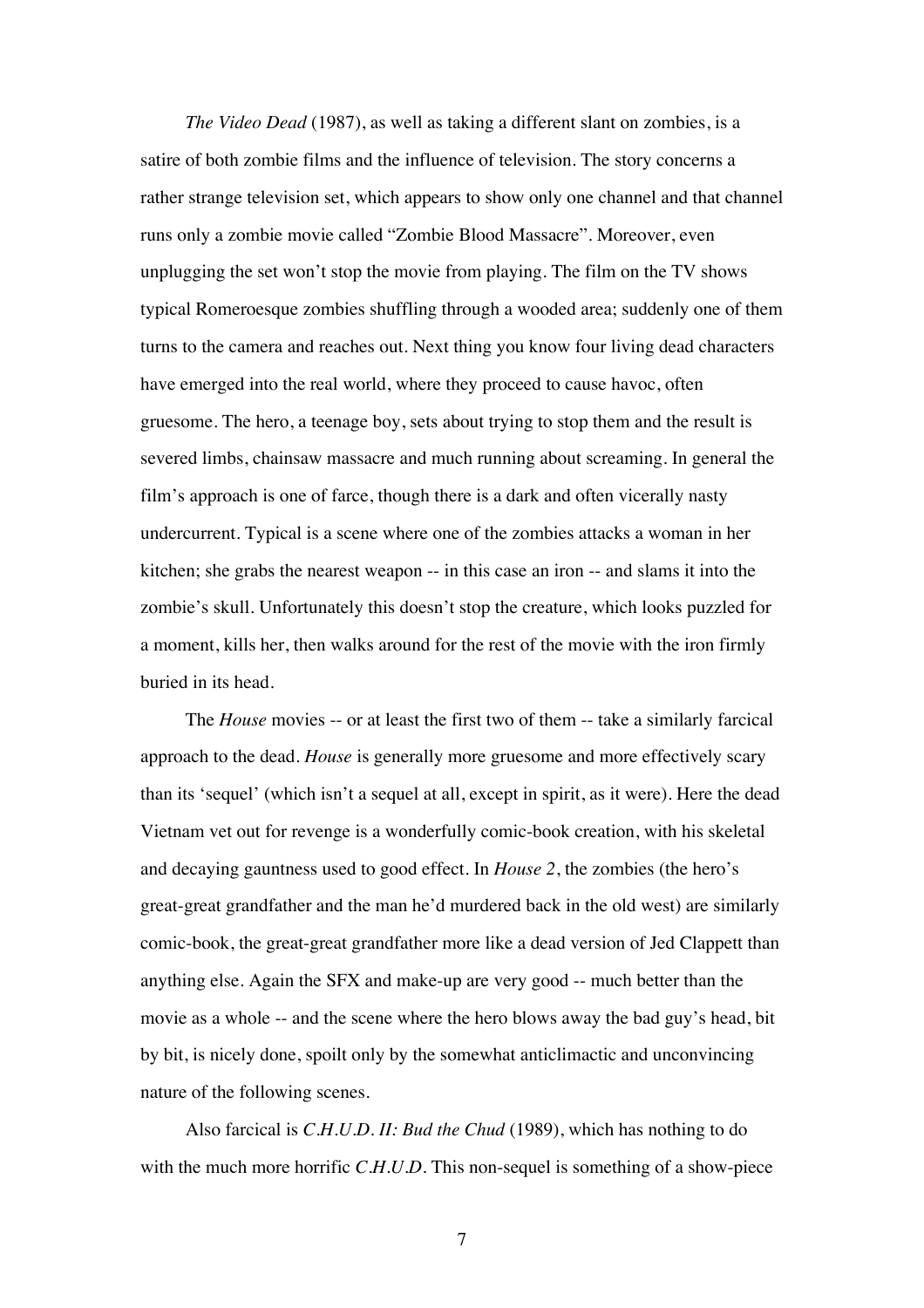*The Video Dead* (1987), as well as taking a different slant on zombies, is a satire of both zombie films and the influence of television. The story concerns a rather strange television set, which appears to show only one channel and that channel runs only a zombie movie called "Zombie Blood Massacre". Moreover, even unplugging the set won't stop the movie from playing. The film on the TV shows typical Romeroesque zombies shuffling through a wooded area; suddenly one of them turns to the camera and reaches out. Next thing you know four living dead characters have emerged into the real world, where they proceed to cause havoc, often gruesome. The hero, a teenage boy, sets about trying to stop them and the result is severed limbs, chainsaw massacre and much running about screaming. In general the film's approach is one of farce, though there is a dark and often vicerally nasty undercurrent. Typical is a scene where one of the zombies attacks a woman in her kitchen; she grabs the nearest weapon -- in this case an iron -- and slams it into the zombie's skull. Unfortunately this doesn't stop the creature, which looks puzzled for a moment, kills her, then walks around for the rest of the movie with the iron firmly buried in its head.

The *House* movies -- or at least the first two of them -- take a similarly farcical approach to the dead. *House* is generally more gruesome and more effectively scary than its 'sequel' (which isn't a sequel at all, except in spirit, as it were). Here the dead Vietnam vet out for revenge is a wonderfully comic-book creation, with his skeletal and decaying gauntness used to good effect. In *House 2*, the zombies (the hero's great-great grandfather and the man he'd murdered back in the old west) are similarly comic-book, the great-great grandfather more like a dead version of Jed Clappett than anything else. Again the SFX and make-up are very good -- much better than the movie as a whole -- and the scene where the hero blows away the bad guy's head, bit by bit, is nicely done, spoilt only by the somewhat anticlimactic and unconvincing nature of the following scenes.

Also farcical is *C.H.U.D. II: Bud the Chud* (1989), which has nothing to do with the much more horrific *C.H.U.D.* This non-sequel is something of a show-piece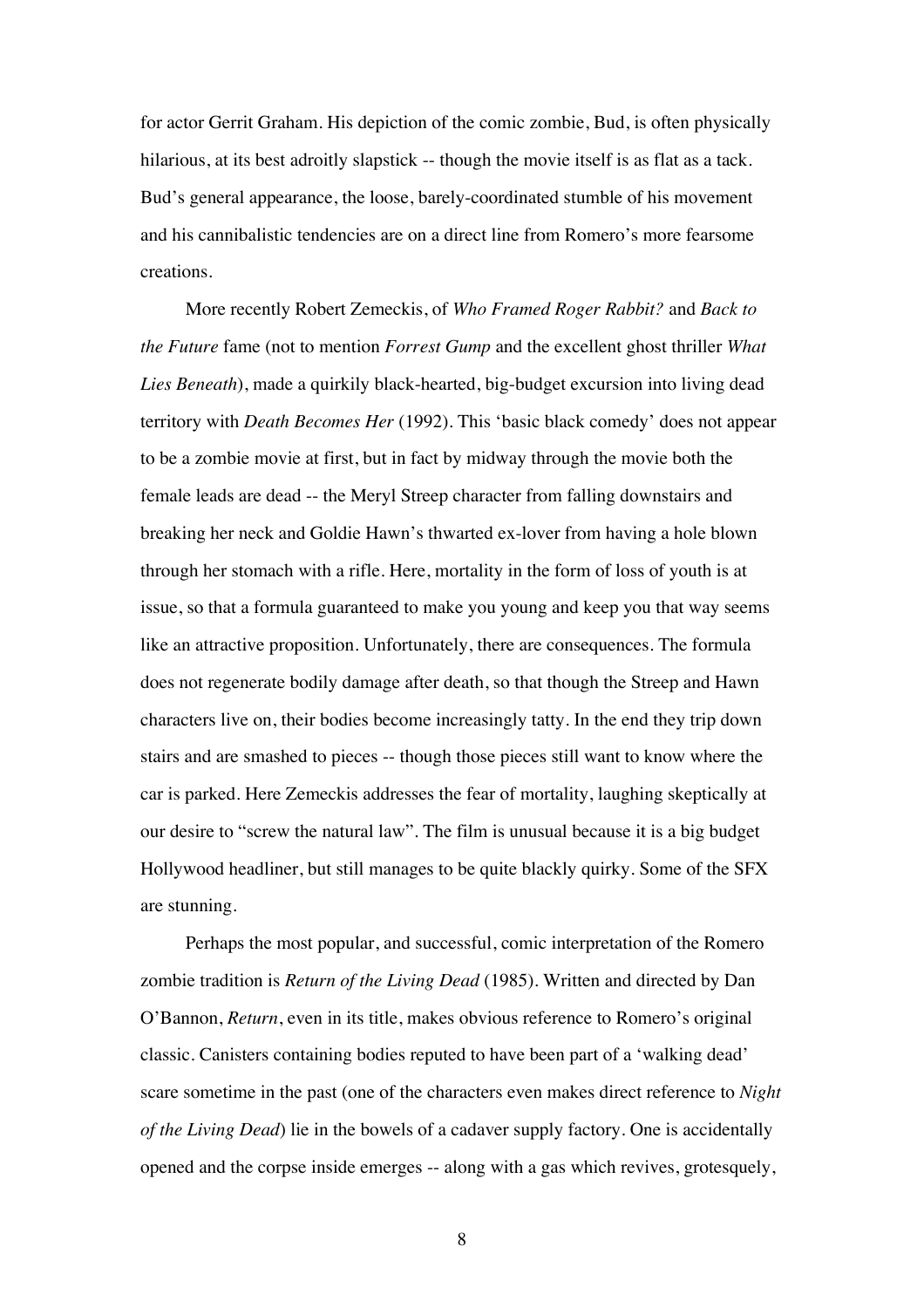for actor Gerrit Graham. His depiction of the comic zombie, Bud, is often physically hilarious, at its best adroitly slapstick -- though the movie itself is as flat as a tack. Bud's general appearance, the loose, barely-coordinated stumble of his movement and his cannibalistic tendencies are on a direct line from Romero's more fearsome creations.

More recently Robert Zemeckis, of *Who Framed Roger Rabbit?* and *Back to the Future* fame (not to mention *Forrest Gump* and the excellent ghost thriller *What Lies Beneath*), made a quirkily black-hearted, big-budget excursion into living dead territory with *Death Becomes Her* (1992). This 'basic black comedy' does not appear to be a zombie movie at first, but in fact by midway through the movie both the female leads are dead -- the Meryl Streep character from falling downstairs and breaking her neck and Goldie Hawn's thwarted ex-lover from having a hole blown through her stomach with a rifle. Here, mortality in the form of loss of youth is at issue, so that a formula guaranteed to make you young and keep you that way seems like an attractive proposition. Unfortunately, there are consequences. The formula does not regenerate bodily damage after death, so that though the Streep and Hawn characters live on, their bodies become increasingly tatty. In the end they trip down stairs and are smashed to pieces -- though those pieces still want to know where the car is parked. Here Zemeckis addresses the fear of mortality, laughing skeptically at our desire to "screw the natural law". The film is unusual because it is a big budget Hollywood headliner, but still manages to be quite blackly quirky. Some of the SFX are stunning.

Perhaps the most popular, and successful, comic interpretation of the Romero zombie tradition is *Return of the Living Dead* (1985). Written and directed by Dan O'Bannon, *Return*, even in its title, makes obvious reference to Romero's original classic. Canisters containing bodies reputed to have been part of a 'walking dead' scare sometime in the past (one of the characters even makes direct reference to *Night of the Living Dead*) lie in the bowels of a cadaver supply factory. One is accidentally opened and the corpse inside emerges -- along with a gas which revives, grotesquely,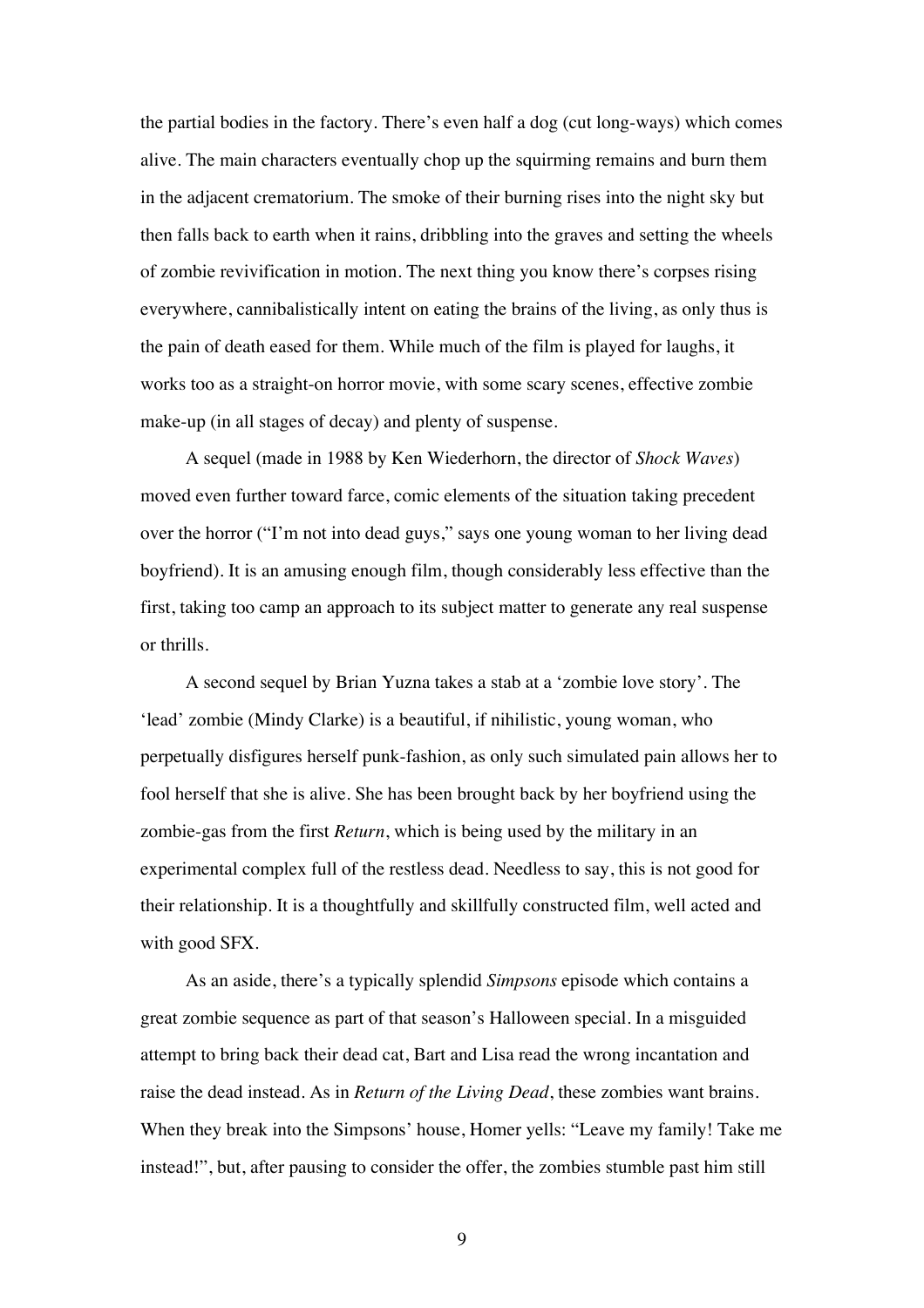the partial bodies in the factory. There's even half a dog (cut long-ways) which comes alive. The main characters eventually chop up the squirming remains and burn them in the adjacent crematorium. The smoke of their burning rises into the night sky but then falls back to earth when it rains, dribbling into the graves and setting the wheels of zombie revivification in motion. The next thing you know there's corpses rising everywhere, cannibalistically intent on eating the brains of the living, as only thus is the pain of death eased for them. While much of the film is played for laughs, it works too as a straight-on horror movie, with some scary scenes, effective zombie make-up (in all stages of decay) and plenty of suspense.

A sequel (made in 1988 by Ken Wiederhorn, the director of *Shock Waves*) moved even further toward farce, comic elements of the situation taking precedent over the horror ("I'm not into dead guys," says one young woman to her living dead boyfriend). It is an amusing enough film, though considerably less effective than the first, taking too camp an approach to its subject matter to generate any real suspense or thrills.

A second sequel by Brian Yuzna takes a stab at a 'zombie love story'. The 'lead' zombie (Mindy Clarke) is a beautiful, if nihilistic, young woman, who perpetually disfigures herself punk-fashion, as only such simulated pain allows her to fool herself that she is alive. She has been brought back by her boyfriend using the zombie-gas from the first *Return*, which is being used by the military in an experimental complex full of the restless dead. Needless to say, this is not good for their relationship. It is a thoughtfully and skillfully constructed film, well acted and with good SFX.

As an aside, there's a typically splendid *Simpsons* episode which contains a great zombie sequence as part of that season's Halloween special. In a misguided attempt to bring back their dead cat, Bart and Lisa read the wrong incantation and raise the dead instead. As in *Return of the Living Dead*, these zombies want brains. When they break into the Simpsons' house, Homer yells: "Leave my family! Take me instead!", but, after pausing to consider the offer, the zombies stumble past him still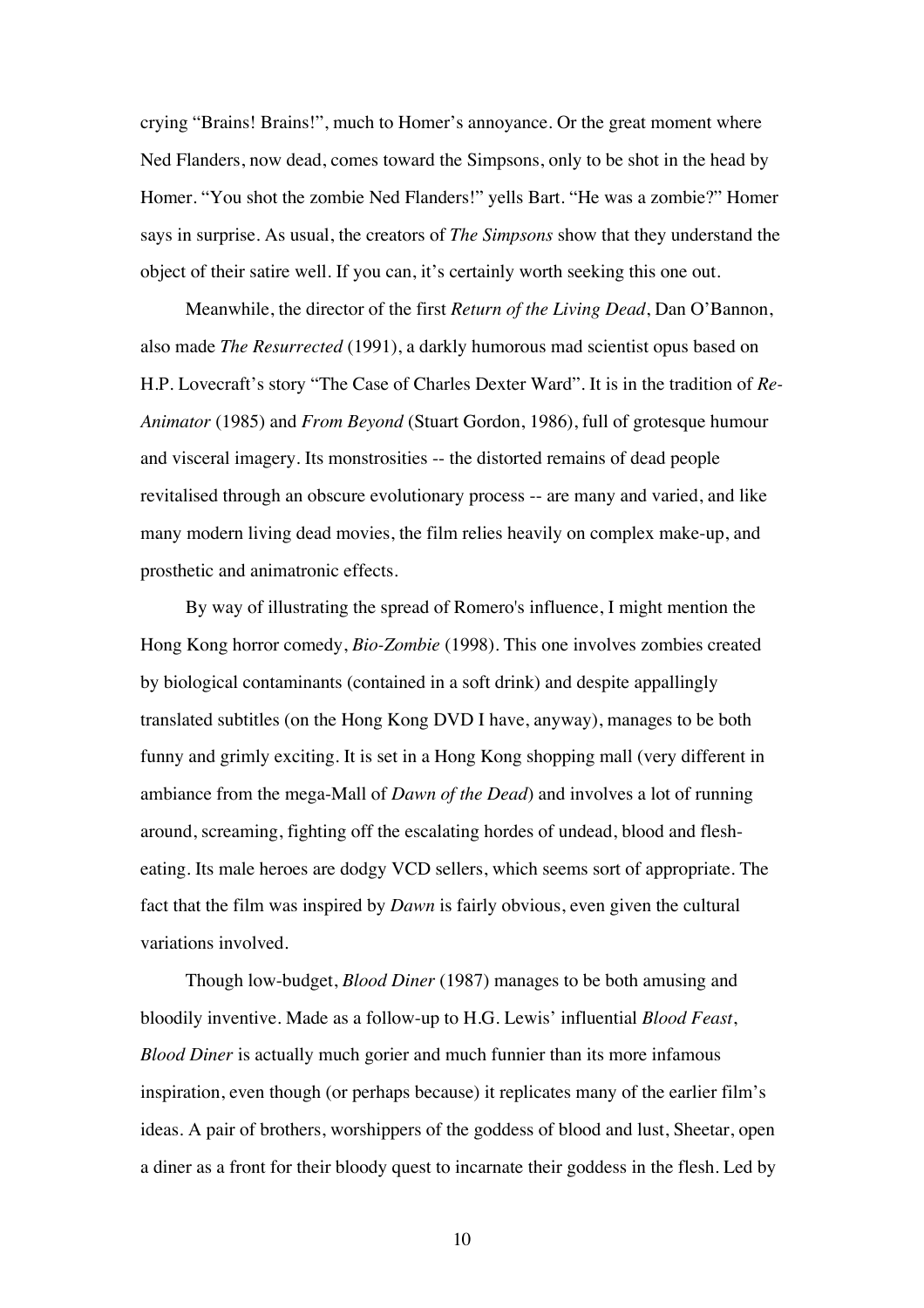crying "Brains! Brains!", much to Homer's annoyance. Or the great moment where Ned Flanders, now dead, comes toward the Simpsons, only to be shot in the head by Homer. "You shot the zombie Ned Flanders!" yells Bart. "He was a zombie?" Homer says in surprise. As usual, the creators of *The Simpsons* show that they understand the object of their satire well. If you can, it's certainly worth seeking this one out.

Meanwhile, the director of the first *Return of the Living Dead*, Dan O'Bannon, also made *The Resurrected* (1991), a darkly humorous mad scientist opus based on H.P. Lovecraft's story "The Case of Charles Dexter Ward". It is in the tradition of *Re-Animator* (1985) and *From Beyond* (Stuart Gordon, 1986), full of grotesque humour and visceral imagery. Its monstrosities -- the distorted remains of dead people revitalised through an obscure evolutionary process -- are many and varied, and like many modern living dead movies, the film relies heavily on complex make-up, and prosthetic and animatronic effects.

By way of illustrating the spread of Romero's influence, I might mention the Hong Kong horror comedy, *Bio-Zombie* (1998). This one involves zombies created by biological contaminants (contained in a soft drink) and despite appallingly translated subtitles (on the Hong Kong DVD I have, anyway), manages to be both funny and grimly exciting. It is set in a Hong Kong shopping mall (very different in ambiance from the mega-Mall of *Dawn of the Dead*) and involves a lot of running around, screaming, fighting off the escalating hordes of undead, blood and flesheating. Its male heroes are dodgy VCD sellers, which seems sort of appropriate. The fact that the film was inspired by *Dawn* is fairly obvious, even given the cultural variations involved.

Though low-budget, *Blood Diner* (1987) manages to be both amusing and bloodily inventive. Made as a follow-up to H.G. Lewis' influential *Blood Feast*, *Blood Diner* is actually much gorier and much funnier than its more infamous inspiration, even though (or perhaps because) it replicates many of the earlier film's ideas. A pair of brothers, worshippers of the goddess of blood and lust, Sheetar, open a diner as a front for their bloody quest to incarnate their goddess in the flesh. Led by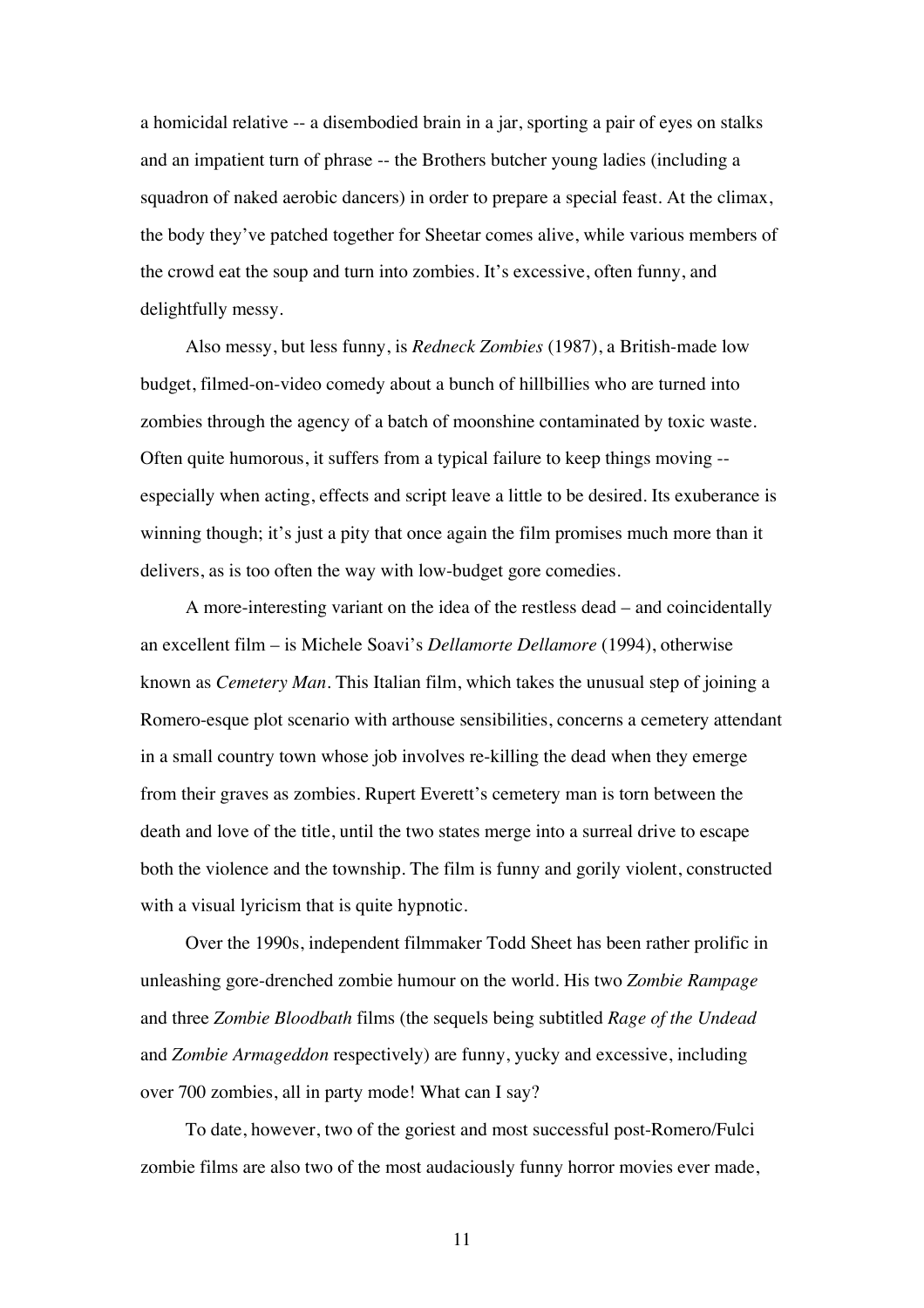a homicidal relative -- a disembodied brain in a jar, sporting a pair of eyes on stalks and an impatient turn of phrase -- the Brothers butcher young ladies (including a squadron of naked aerobic dancers) in order to prepare a special feast. At the climax, the body they've patched together for Sheetar comes alive, while various members of the crowd eat the soup and turn into zombies. It's excessive, often funny, and delightfully messy.

Also messy, but less funny, is *Redneck Zombies* (1987), a British-made low budget, filmed-on-video comedy about a bunch of hillbillies who are turned into zombies through the agency of a batch of moonshine contaminated by toxic waste. Often quite humorous, it suffers from a typical failure to keep things moving - especially when acting, effects and script leave a little to be desired. Its exuberance is winning though; it's just a pity that once again the film promises much more than it delivers, as is too often the way with low-budget gore comedies.

A more-interesting variant on the idea of the restless dead – and coincidentally an excellent film – is Michele Soavi's *Dellamorte Dellamore* (1994), otherwise known as *Cemetery Man*. This Italian film, which takes the unusual step of joining a Romero-esque plot scenario with arthouse sensibilities, concerns a cemetery attendant in a small country town whose job involves re-killing the dead when they emerge from their graves as zombies. Rupert Everett's cemetery man is torn between the death and love of the title, until the two states merge into a surreal drive to escape both the violence and the township. The film is funny and gorily violent, constructed with a visual lyricism that is quite hypnotic.

Over the 1990s, independent filmmaker Todd Sheet has been rather prolific in unleashing gore-drenched zombie humour on the world. His two *Zombie Rampage* and three *Zombie Bloodbath* films (the sequels being subtitled *Rage of the Undead* and *Zombie Armageddon* respectively) are funny, yucky and excessive, including over 700 zombies, all in party mode! What can I say?

To date, however, two of the goriest and most successful post-Romero/Fulci zombie films are also two of the most audaciously funny horror movies ever made,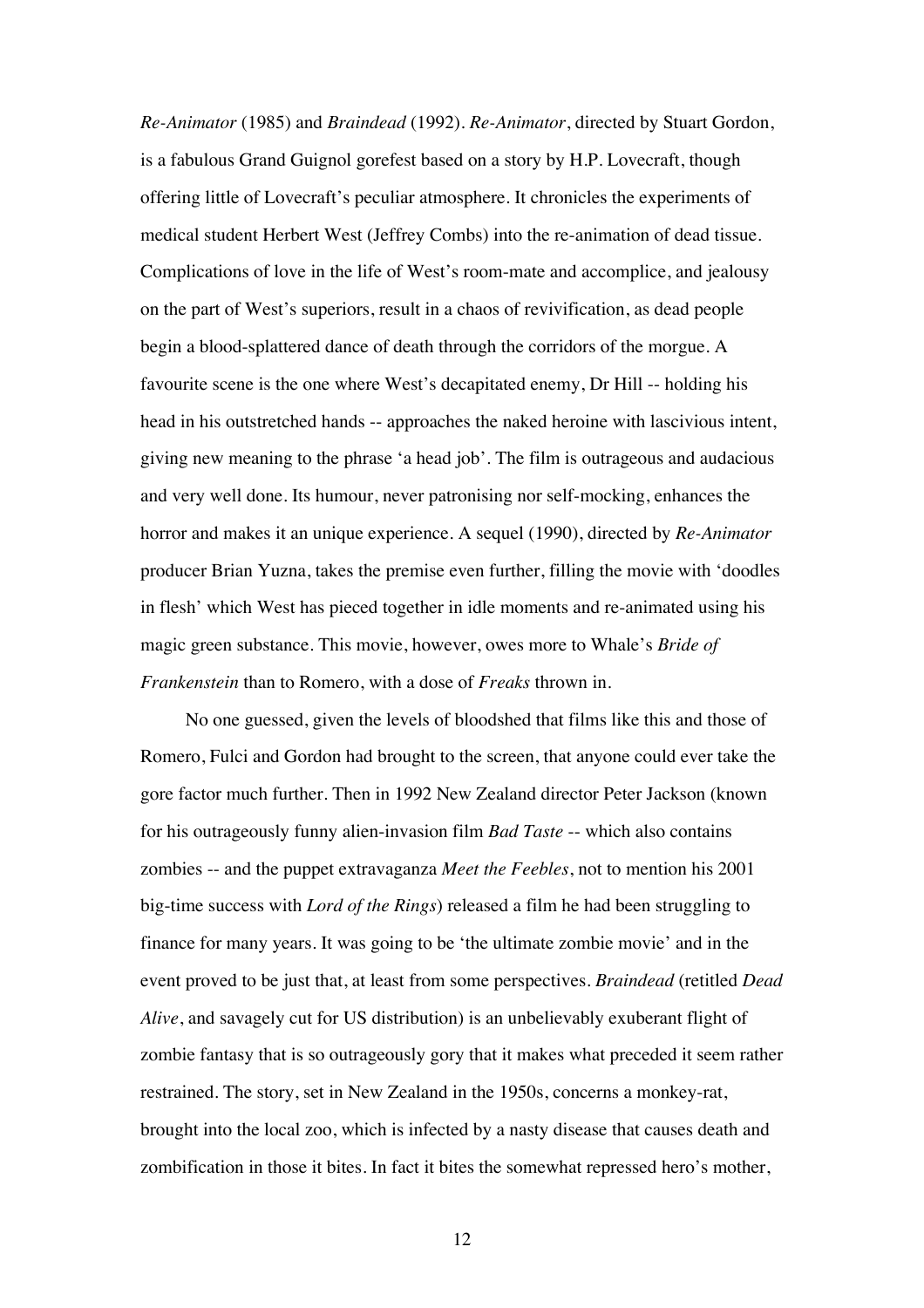*Re-Animator* (1985) and *Braindead* (1992). *Re-Animator*, directed by Stuart Gordon, is a fabulous Grand Guignol gorefest based on a story by H.P. Lovecraft, though offering little of Lovecraft's peculiar atmosphere. It chronicles the experiments of medical student Herbert West (Jeffrey Combs) into the re-animation of dead tissue. Complications of love in the life of West's room-mate and accomplice, and jealousy on the part of West's superiors, result in a chaos of revivification, as dead people begin a blood-splattered dance of death through the corridors of the morgue. A favourite scene is the one where West's decapitated enemy, Dr Hill -- holding his head in his outstretched hands -- approaches the naked heroine with lascivious intent, giving new meaning to the phrase 'a head job'. The film is outrageous and audacious and very well done. Its humour, never patronising nor self-mocking, enhances the horror and makes it an unique experience. A sequel (1990), directed by *Re-Animator* producer Brian Yuzna, takes the premise even further, filling the movie with 'doodles in flesh' which West has pieced together in idle moments and re-animated using his magic green substance. This movie, however, owes more to Whale's *Bride of Frankenstein* than to Romero, with a dose of *Freaks* thrown in.

No one guessed, given the levels of bloodshed that films like this and those of Romero, Fulci and Gordon had brought to the screen, that anyone could ever take the gore factor much further. Then in 1992 New Zealand director Peter Jackson (known for his outrageously funny alien-invasion film *Bad Taste* -- which also contains zombies -- and the puppet extravaganza *Meet the Feebles*, not to mention his 2001 big-time success with *Lord of the Rings*) released a film he had been struggling to finance for many years. It was going to be 'the ultimate zombie movie' and in the event proved to be just that, at least from some perspectives. *Braindead* (retitled *Dead Alive*, and savagely cut for US distribution) is an unbelievably exuberant flight of zombie fantasy that is so outrageously gory that it makes what preceded it seem rather restrained. The story, set in New Zealand in the 1950s, concerns a monkey-rat, brought into the local zoo, which is infected by a nasty disease that causes death and zombification in those it bites. In fact it bites the somewhat repressed hero's mother,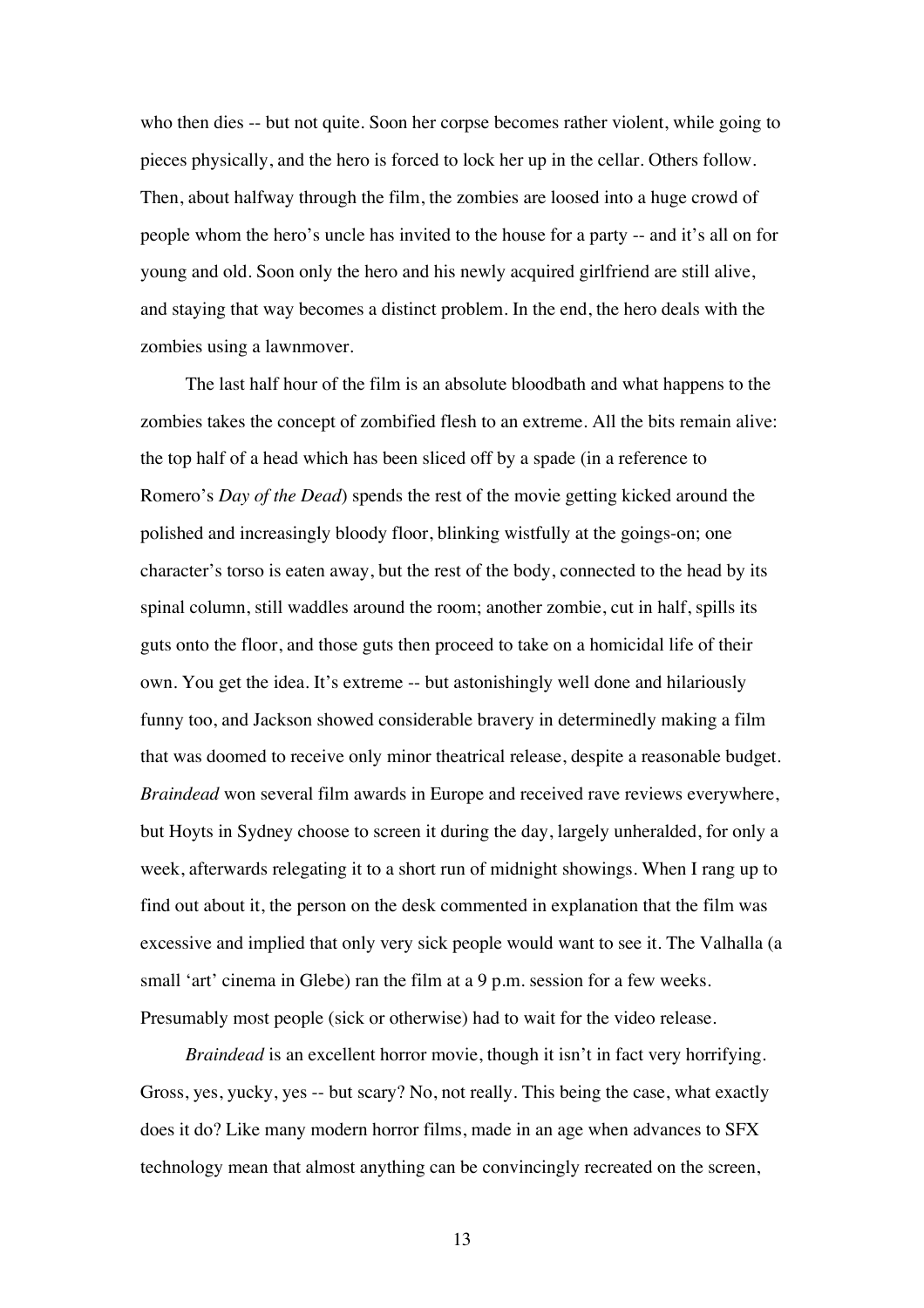who then dies -- but not quite. Soon her corpse becomes rather violent, while going to pieces physically, and the hero is forced to lock her up in the cellar. Others follow. Then, about halfway through the film, the zombies are loosed into a huge crowd of people whom the hero's uncle has invited to the house for a party -- and it's all on for young and old. Soon only the hero and his newly acquired girlfriend are still alive, and staying that way becomes a distinct problem. In the end, the hero deals with the zombies using a lawnmover.

The last half hour of the film is an absolute bloodbath and what happens to the zombies takes the concept of zombified flesh to an extreme. All the bits remain alive: the top half of a head which has been sliced off by a spade (in a reference to Romero's *Day of the Dead*) spends the rest of the movie getting kicked around the polished and increasingly bloody floor, blinking wistfully at the goings-on; one character's torso is eaten away, but the rest of the body, connected to the head by its spinal column, still waddles around the room; another zombie, cut in half, spills its guts onto the floor, and those guts then proceed to take on a homicidal life of their own. You get the idea. It's extreme -- but astonishingly well done and hilariously funny too, and Jackson showed considerable bravery in determinedly making a film that was doomed to receive only minor theatrical release, despite a reasonable budget. *Braindead* won several film awards in Europe and received rave reviews everywhere, but Hoyts in Sydney choose to screen it during the day, largely unheralded, for only a week, afterwards relegating it to a short run of midnight showings. When I rang up to find out about it, the person on the desk commented in explanation that the film was excessive and implied that only very sick people would want to see it. The Valhalla (a small 'art' cinema in Glebe) ran the film at a 9 p.m. session for a few weeks. Presumably most people (sick or otherwise) had to wait for the video release.

*Braindead* is an excellent horror movie, though it isn't in fact very horrifying. Gross, yes, yucky, yes -- but scary? No, not really. This being the case, what exactly does it do? Like many modern horror films, made in an age when advances to SFX technology mean that almost anything can be convincingly recreated on the screen,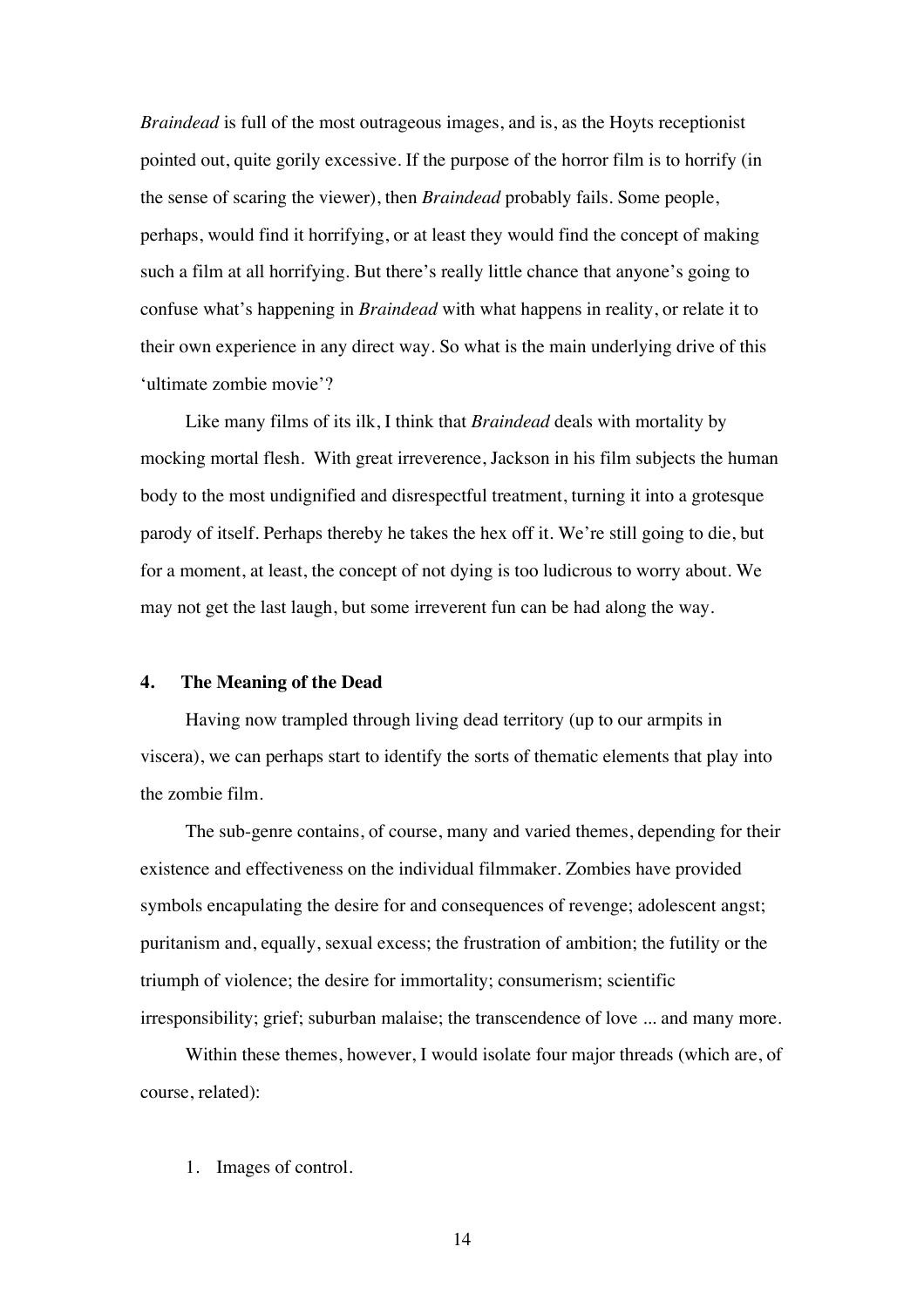*Braindead* is full of the most outrageous images, and is, as the Hoyts receptionist pointed out, quite gorily excessive. If the purpose of the horror film is to horrify (in the sense of scaring the viewer), then *Braindead* probably fails. Some people, perhaps, would find it horrifying, or at least they would find the concept of making such a film at all horrifying. But there's really little chance that anyone's going to confuse what's happening in *Braindead* with what happens in reality, or relate it to their own experience in any direct way. So what is the main underlying drive of this 'ultimate zombie movie'?

Like many films of its ilk, I think that *Braindead* deals with mortality by mocking mortal flesh. With great irreverence, Jackson in his film subjects the human body to the most undignified and disrespectful treatment, turning it into a grotesque parody of itself. Perhaps thereby he takes the hex off it. We're still going to die, but for a moment, at least, the concept of not dying is too ludicrous to worry about. We may not get the last laugh, but some irreverent fun can be had along the way.

## **4. The Meaning of the Dead**

Having now trampled through living dead territory (up to our armpits in viscera), we can perhaps start to identify the sorts of thematic elements that play into the zombie film.

The sub-genre contains, of course, many and varied themes, depending for their existence and effectiveness on the individual filmmaker. Zombies have provided symbols encapulating the desire for and consequences of revenge; adolescent angst; puritanism and, equally, sexual excess; the frustration of ambition; the futility or the triumph of violence; the desire for immortality; consumerism; scientific irresponsibility; grief; suburban malaise; the transcendence of love ... and many more.

Within these themes, however, I would isolate four major threads (which are, of course, related):

1. Images of control.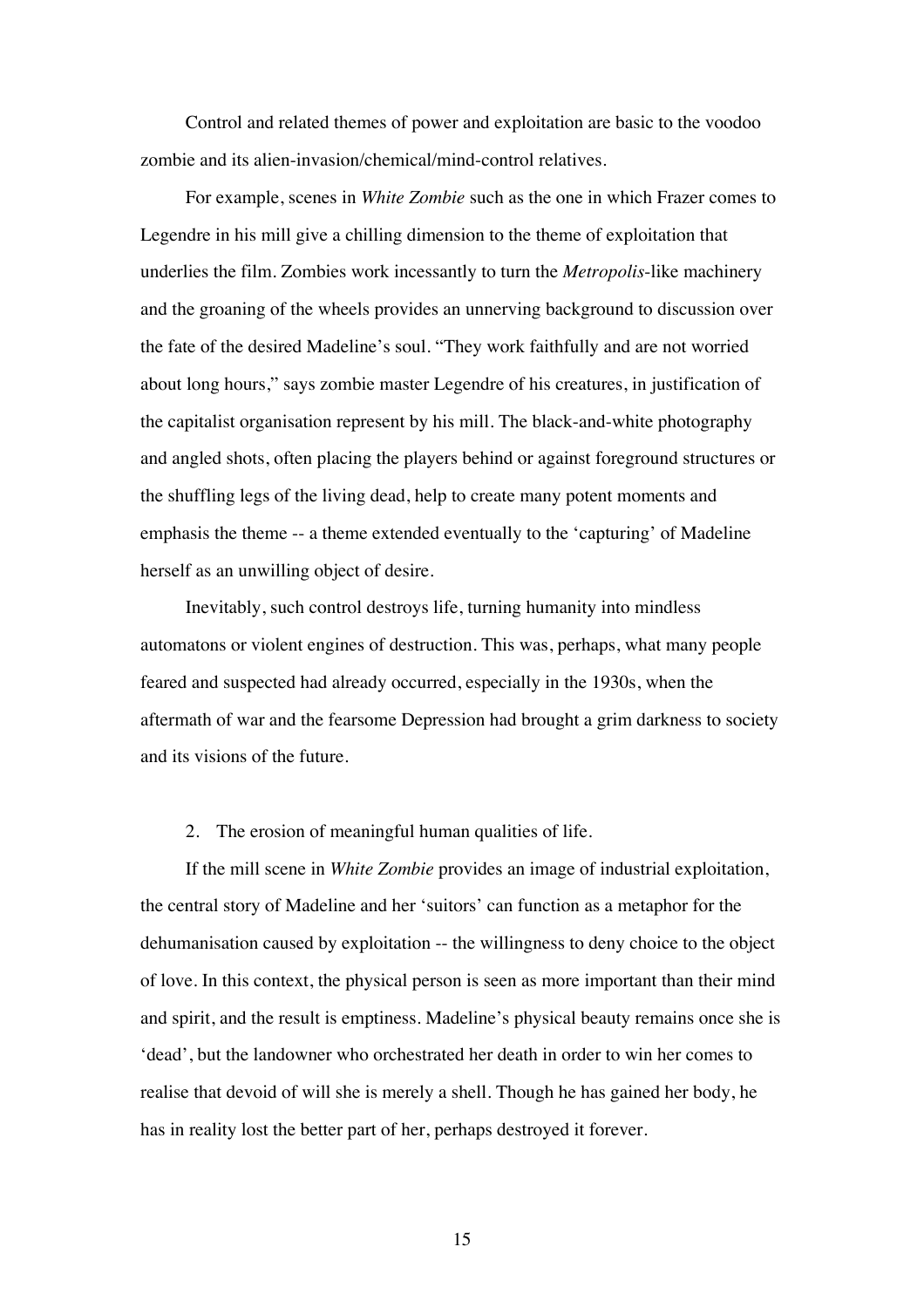Control and related themes of power and exploitation are basic to the voodoo zombie and its alien-invasion/chemical/mind-control relatives.

For example, scenes in *White Zombie* such as the one in which Frazer comes to Legendre in his mill give a chilling dimension to the theme of exploitation that underlies the film. Zombies work incessantly to turn the *Metropolis*-like machinery and the groaning of the wheels provides an unnerving background to discussion over the fate of the desired Madeline's soul. "They work faithfully and are not worried about long hours," says zombie master Legendre of his creatures, in justification of the capitalist organisation represent by his mill. The black-and-white photography and angled shots, often placing the players behind or against foreground structures or the shuffling legs of the living dead, help to create many potent moments and emphasis the theme -- a theme extended eventually to the 'capturing' of Madeline herself as an unwilling object of desire.

Inevitably, such control destroys life, turning humanity into mindless automatons or violent engines of destruction. This was, perhaps, what many people feared and suspected had already occurred, especially in the 1930s, when the aftermath of war and the fearsome Depression had brought a grim darkness to society and its visions of the future.

## 2. The erosion of meaningful human qualities of life.

If the mill scene in *White Zombie* provides an image of industrial exploitation, the central story of Madeline and her 'suitors' can function as a metaphor for the dehumanisation caused by exploitation -- the willingness to deny choice to the object of love. In this context, the physical person is seen as more important than their mind and spirit, and the result is emptiness. Madeline's physical beauty remains once she is 'dead', but the landowner who orchestrated her death in order to win her comes to realise that devoid of will she is merely a shell. Though he has gained her body, he has in reality lost the better part of her, perhaps destroyed it forever.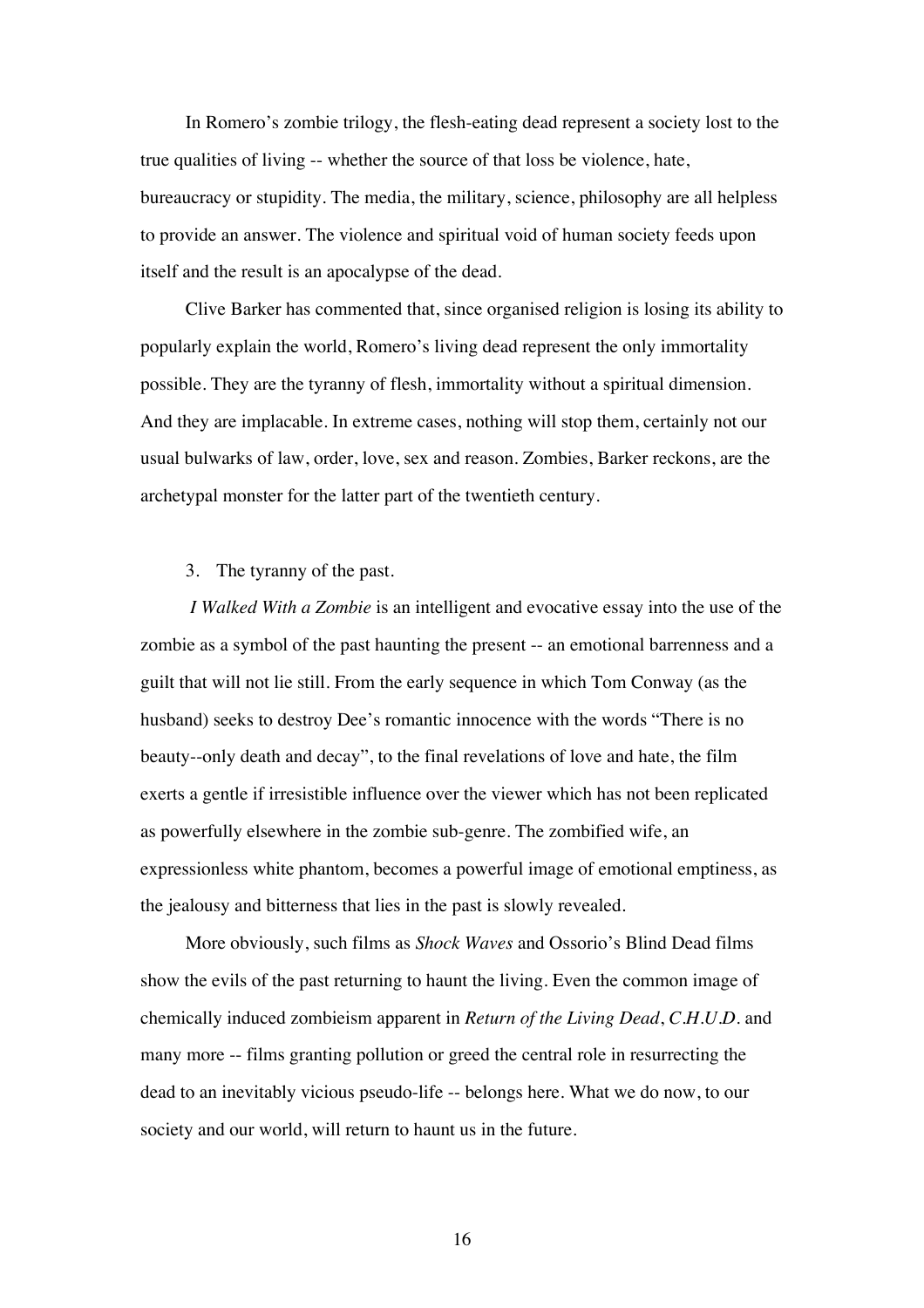In Romero's zombie trilogy, the flesh-eating dead represent a society lost to the true qualities of living -- whether the source of that loss be violence, hate, bureaucracy or stupidity. The media, the military, science, philosophy are all helpless to provide an answer. The violence and spiritual void of human society feeds upon itself and the result is an apocalypse of the dead.

Clive Barker has commented that, since organised religion is losing its ability to popularly explain the world, Romero's living dead represent the only immortality possible. They are the tyranny of flesh, immortality without a spiritual dimension. And they are implacable. In extreme cases, nothing will stop them, certainly not our usual bulwarks of law, order, love, sex and reason. Zombies, Barker reckons, are the archetypal monster for the latter part of the twentieth century.

## 3. The tyranny of the past.

*I Walked With a Zombie* is an intelligent and evocative essay into the use of the zombie as a symbol of the past haunting the present -- an emotional barrenness and a guilt that will not lie still. From the early sequence in which Tom Conway (as the husband) seeks to destroy Dee's romantic innocence with the words "There is no beauty--only death and decay", to the final revelations of love and hate, the film exerts a gentle if irresistible influence over the viewer which has not been replicated as powerfully elsewhere in the zombie sub-genre. The zombified wife, an expressionless white phantom, becomes a powerful image of emotional emptiness, as the jealousy and bitterness that lies in the past is slowly revealed.

More obviously, such films as *Shock Waves* and Ossorio's Blind Dead films show the evils of the past returning to haunt the living. Even the common image of chemically induced zombieism apparent in *Return of the Living Dead*, *C.H.U.D.* and many more -- films granting pollution or greed the central role in resurrecting the dead to an inevitably vicious pseudo-life -- belongs here. What we do now, to our society and our world, will return to haunt us in the future.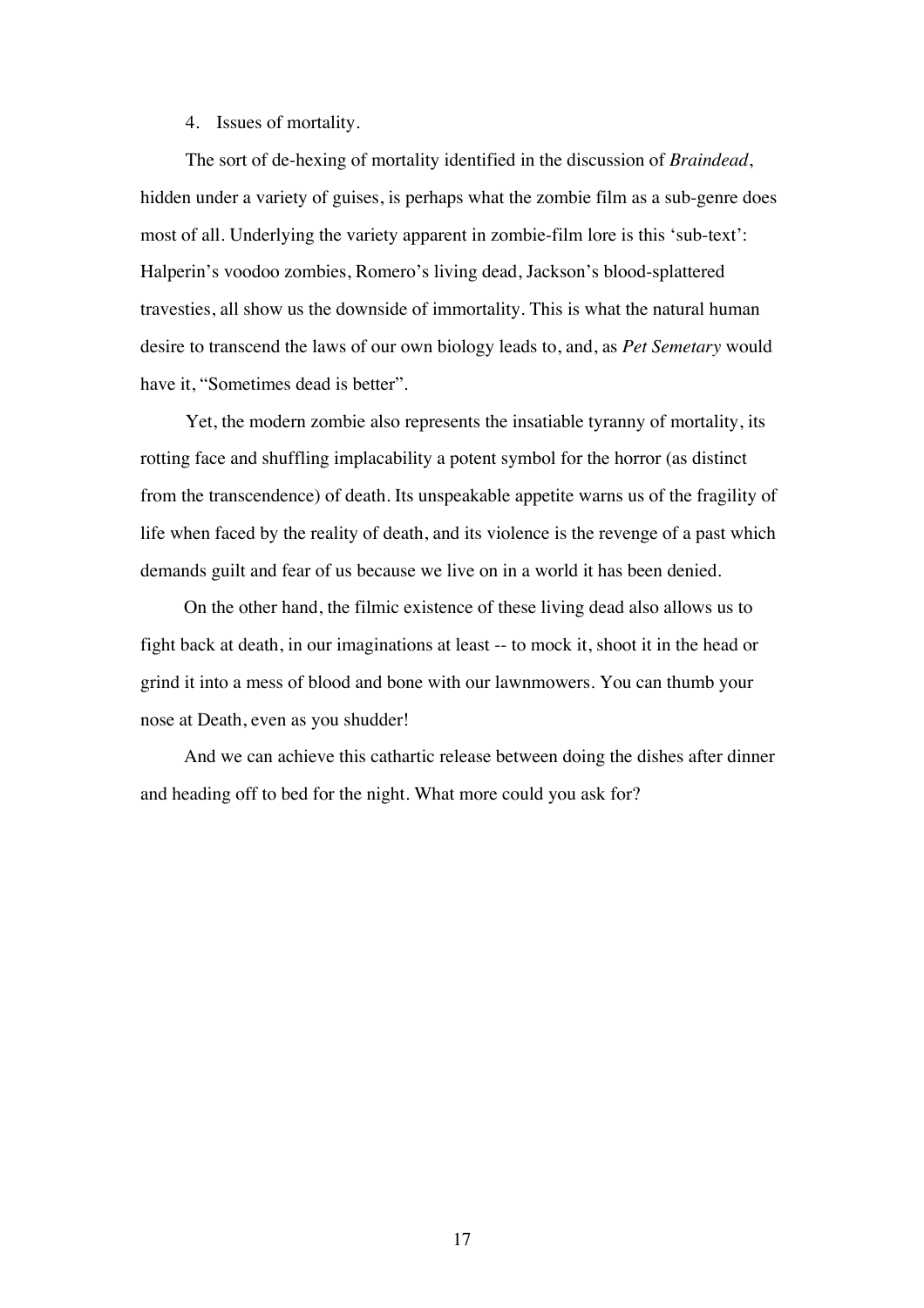## 4. Issues of mortality.

The sort of de-hexing of mortality identified in the discussion of *Braindead*, hidden under a variety of guises, is perhaps what the zombie film as a sub-genre does most of all. Underlying the variety apparent in zombie-film lore is this 'sub-text': Halperin's voodoo zombies, Romero's living dead, Jackson's blood-splattered travesties, all show us the downside of immortality. This is what the natural human desire to transcend the laws of our own biology leads to, and, as *Pet Semetary* would have it, "Sometimes dead is better".

Yet, the modern zombie also represents the insatiable tyranny of mortality, its rotting face and shuffling implacability a potent symbol for the horror (as distinct from the transcendence) of death. Its unspeakable appetite warns us of the fragility of life when faced by the reality of death, and its violence is the revenge of a past which demands guilt and fear of us because we live on in a world it has been denied.

On the other hand, the filmic existence of these living dead also allows us to fight back at death, in our imaginations at least -- to mock it, shoot it in the head or grind it into a mess of blood and bone with our lawnmowers. You can thumb your nose at Death, even as you shudder!

And we can achieve this cathartic release between doing the dishes after dinner and heading off to bed for the night. What more could you ask for?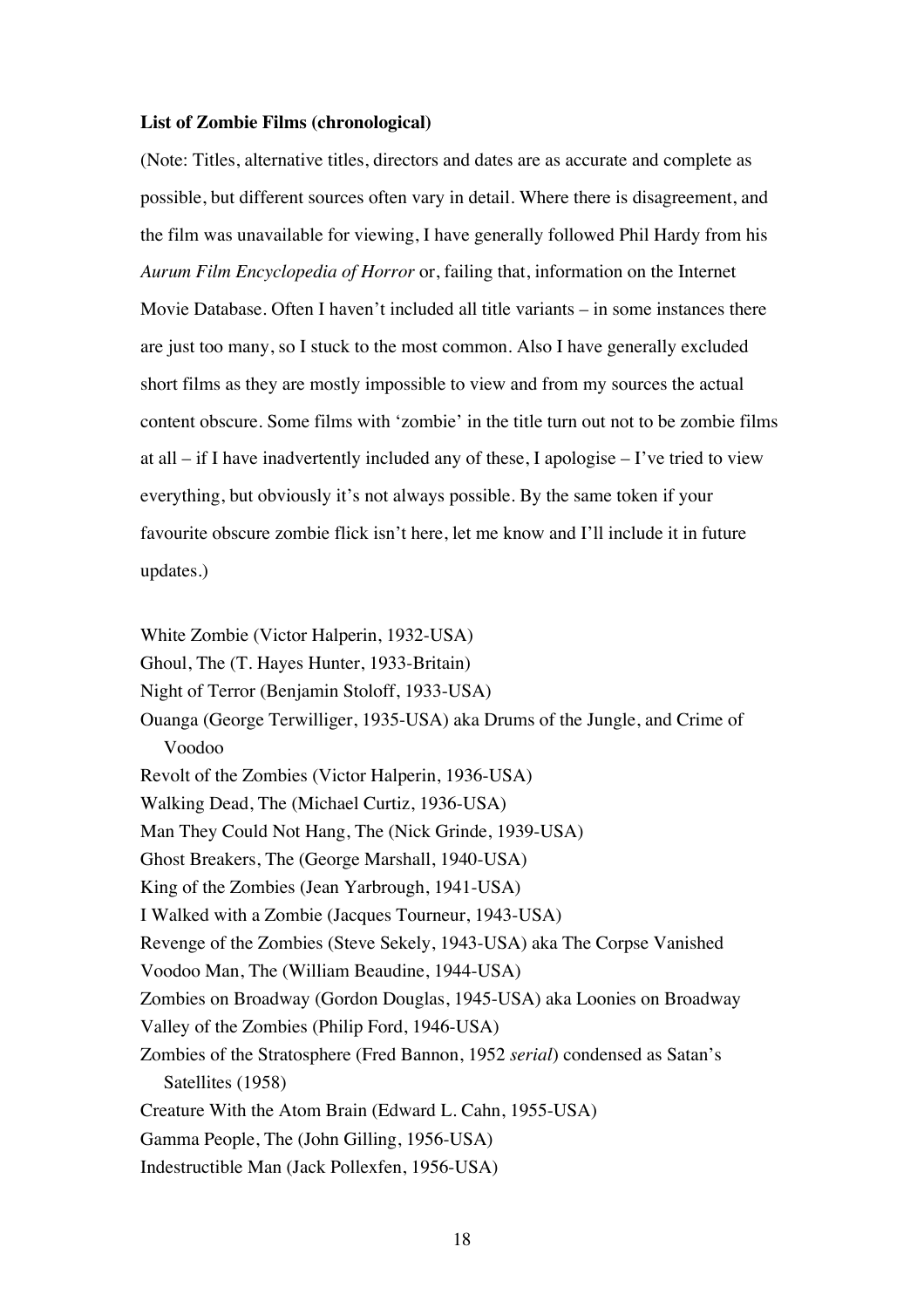## **List of Zombie Films (chronological)**

(Note: Titles, alternative titles, directors and dates are as accurate and complete as possible, but different sources often vary in detail. Where there is disagreement, and the film was unavailable for viewing, I have generally followed Phil Hardy from his *Aurum Film Encyclopedia of Horror* or, failing that, information on the Internet Movie Database. Often I haven't included all title variants – in some instances there are just too many, so I stuck to the most common. Also I have generally excluded short films as they are mostly impossible to view and from my sources the actual content obscure. Some films with 'zombie' in the title turn out not to be zombie films at all – if I have inadvertently included any of these, I apologise – I've tried to view everything, but obviously it's not always possible. By the same token if your favourite obscure zombie flick isn't here, let me know and I'll include it in future updates.)

White Zombie (Victor Halperin, 1932-USA) Ghoul, The (T. Hayes Hunter, 1933-Britain) Night of Terror (Benjamin Stoloff, 1933-USA) Ouanga (George Terwilliger, 1935-USA) aka Drums of the Jungle, and Crime of Voodoo Revolt of the Zombies (Victor Halperin, 1936-USA) Walking Dead, The (Michael Curtiz, 1936-USA) Man They Could Not Hang, The (Nick Grinde, 1939-USA) Ghost Breakers, The (George Marshall, 1940-USA) King of the Zombies (Jean Yarbrough, 1941-USA) I Walked with a Zombie (Jacques Tourneur, 1943-USA) Revenge of the Zombies (Steve Sekely, 1943-USA) aka The Corpse Vanished Voodoo Man, The (William Beaudine, 1944-USA) Zombies on Broadway (Gordon Douglas, 1945-USA) aka Loonies on Broadway Valley of the Zombies (Philip Ford, 1946-USA) Zombies of the Stratosphere (Fred Bannon, 1952 *serial*) condensed as Satan's Satellites (1958) Creature With the Atom Brain (Edward L. Cahn, 1955-USA) Gamma People, The (John Gilling, 1956-USA) Indestructible Man (Jack Pollexfen, 1956-USA)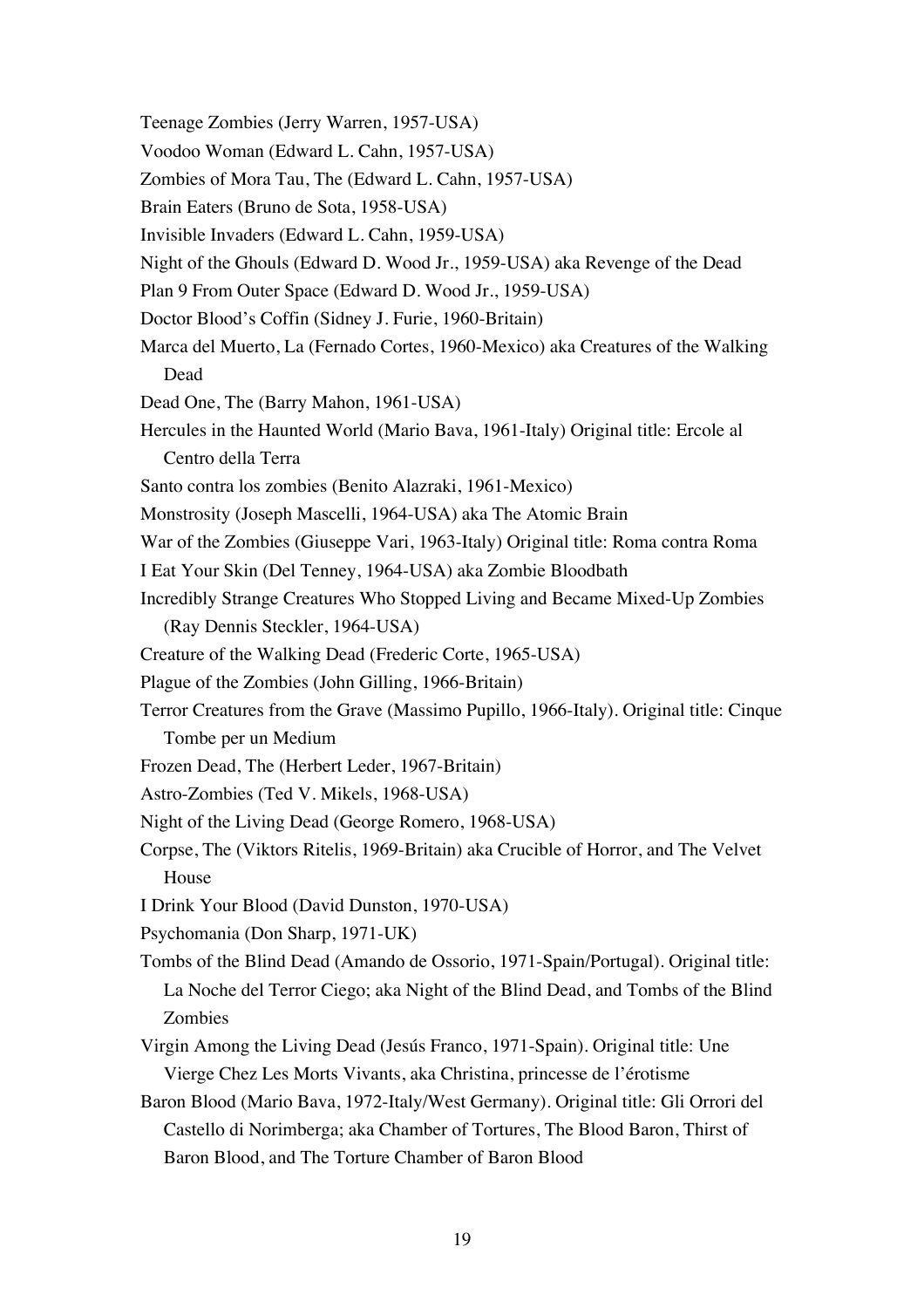- Teenage Zombies (Jerry Warren, 1957-USA)
- Voodoo Woman (Edward L. Cahn, 1957-USA)
- Zombies of Mora Tau, The (Edward L. Cahn, 1957-USA)

Brain Eaters (Bruno de Sota, 1958-USA)

- Invisible Invaders (Edward L. Cahn, 1959-USA)
- Night of the Ghouls (Edward D. Wood Jr., 1959-USA) aka Revenge of the Dead
- Plan 9 From Outer Space (Edward D. Wood Jr., 1959-USA)
- Doctor Blood's Coffin (Sidney J. Furie, 1960-Britain)
- Marca del Muerto, La (Fernado Cortes, 1960-Mexico) aka Creatures of the Walking Dead
- Dead One, The (Barry Mahon, 1961-USA)
- Hercules in the Haunted World (Mario Bava, 1961-Italy) Original title: Ercole al Centro della Terra
- Santo contra los zombies (Benito Alazraki, 1961-Mexico)
- Monstrosity (Joseph Mascelli, 1964-USA) aka The Atomic Brain
- War of the Zombies (Giuseppe Vari, 1963-Italy) Original title: Roma contra Roma
- I Eat Your Skin (Del Tenney, 1964-USA) aka Zombie Bloodbath
- Incredibly Strange Creatures Who Stopped Living and Became Mixed-Up Zombies (Ray Dennis Steckler, 1964-USA)
- Creature of the Walking Dead (Frederic Corte, 1965-USA)
- Plague of the Zombies (John Gilling, 1966-Britain)
- Terror Creatures from the Grave (Massimo Pupillo, 1966-Italy). Original title: Cinque Tombe per un Medium
- Frozen Dead, The (Herbert Leder, 1967-Britain)
- Astro-Zombies (Ted V. Mikels, 1968-USA)
- Night of the Living Dead (George Romero, 1968-USA)
- Corpse, The (Viktors Ritelis, 1969-Britain) aka Crucible of Horror, and The Velvet House
- I Drink Your Blood (David Dunston, 1970-USA)
- Psychomania (Don Sharp, 1971-UK)
- Tombs of the Blind Dead (Amando de Ossorio, 1971-Spain/Portugal). Original title: La Noche del Terror Ciego; aka Night of the Blind Dead, and Tombs of the Blind Zombies
- Virgin Among the Living Dead (Jesús Franco, 1971-Spain). Original title: Une Vierge Chez Les Morts Vivants, aka Christina, princesse de l'érotisme
- Baron Blood (Mario Bava, 1972-Italy/West Germany). Original title: Gli Orrori del Castello di Norimberga; aka Chamber of Tortures, The Blood Baron, Thirst of Baron Blood, and The Torture Chamber of Baron Blood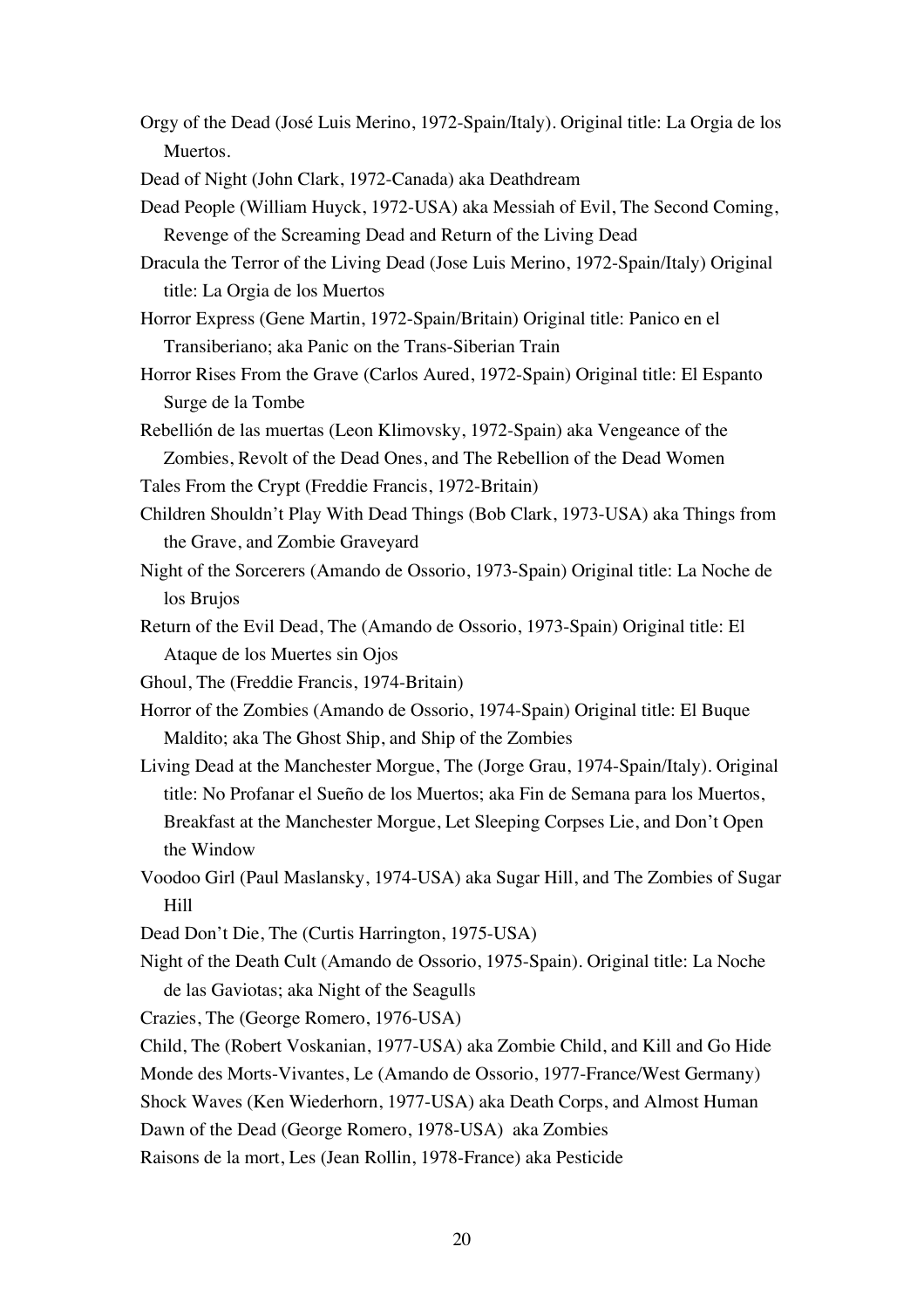Orgy of the Dead (José Luis Merino, 1972-Spain/Italy). Original title: La Orgia de los Muertos.

Dead of Night (John Clark, 1972-Canada) aka Deathdream

- Dead People (William Huyck, 1972-USA) aka Messiah of Evil, The Second Coming, Revenge of the Screaming Dead and Return of the Living Dead
- Dracula the Terror of the Living Dead (Jose Luis Merino, 1972-Spain/Italy) Original title: La Orgia de los Muertos
- Horror Express (Gene Martin, 1972-Spain/Britain) Original title: Panico en el Transiberiano; aka Panic on the Trans-Siberian Train
- Horror Rises From the Grave (Carlos Aured, 1972-Spain) Original title: El Espanto Surge de la Tombe
- Rebellión de las muertas (Leon Klimovsky, 1972-Spain) aka Vengeance of the Zombies, Revolt of the Dead Ones, and The Rebellion of the Dead Women
- Tales From the Crypt (Freddie Francis, 1972-Britain)
- Children Shouldn't Play With Dead Things (Bob Clark, 1973-USA) aka Things from the Grave, and Zombie Graveyard
- Night of the Sorcerers (Amando de Ossorio, 1973-Spain) Original title: La Noche de los Brujos
- Return of the Evil Dead, The (Amando de Ossorio, 1973-Spain) Original title: El Ataque de los Muertes sin Ojos
- Ghoul, The (Freddie Francis, 1974-Britain)
- Horror of the Zombies (Amando de Ossorio, 1974-Spain) Original title: El Buque Maldito; aka The Ghost Ship, and Ship of the Zombies
- Living Dead at the Manchester Morgue, The (Jorge Grau, 1974-Spain/Italy). Original title: No Profanar el Sueño de los Muertos; aka Fin de Semana para los Muertos, Breakfast at the Manchester Morgue, Let Sleeping Corpses Lie, and Don't Open the Window
- Voodoo Girl (Paul Maslansky, 1974-USA) aka Sugar Hill, and The Zombies of Sugar Hill
- Dead Don't Die, The (Curtis Harrington, 1975-USA)
- Night of the Death Cult (Amando de Ossorio, 1975-Spain). Original title: La Noche de las Gaviotas; aka Night of the Seagulls

Crazies, The (George Romero, 1976-USA)

Child, The (Robert Voskanian, 1977-USA) aka Zombie Child, and Kill and Go Hide

Monde des Morts-Vivantes, Le (Amando de Ossorio, 1977-France/West Germany)

Shock Waves (Ken Wiederhorn, 1977-USA) aka Death Corps, and Almost Human

Dawn of the Dead (George Romero, 1978-USA) aka Zombies

Raisons de la mort, Les (Jean Rollin, 1978-France) aka Pesticide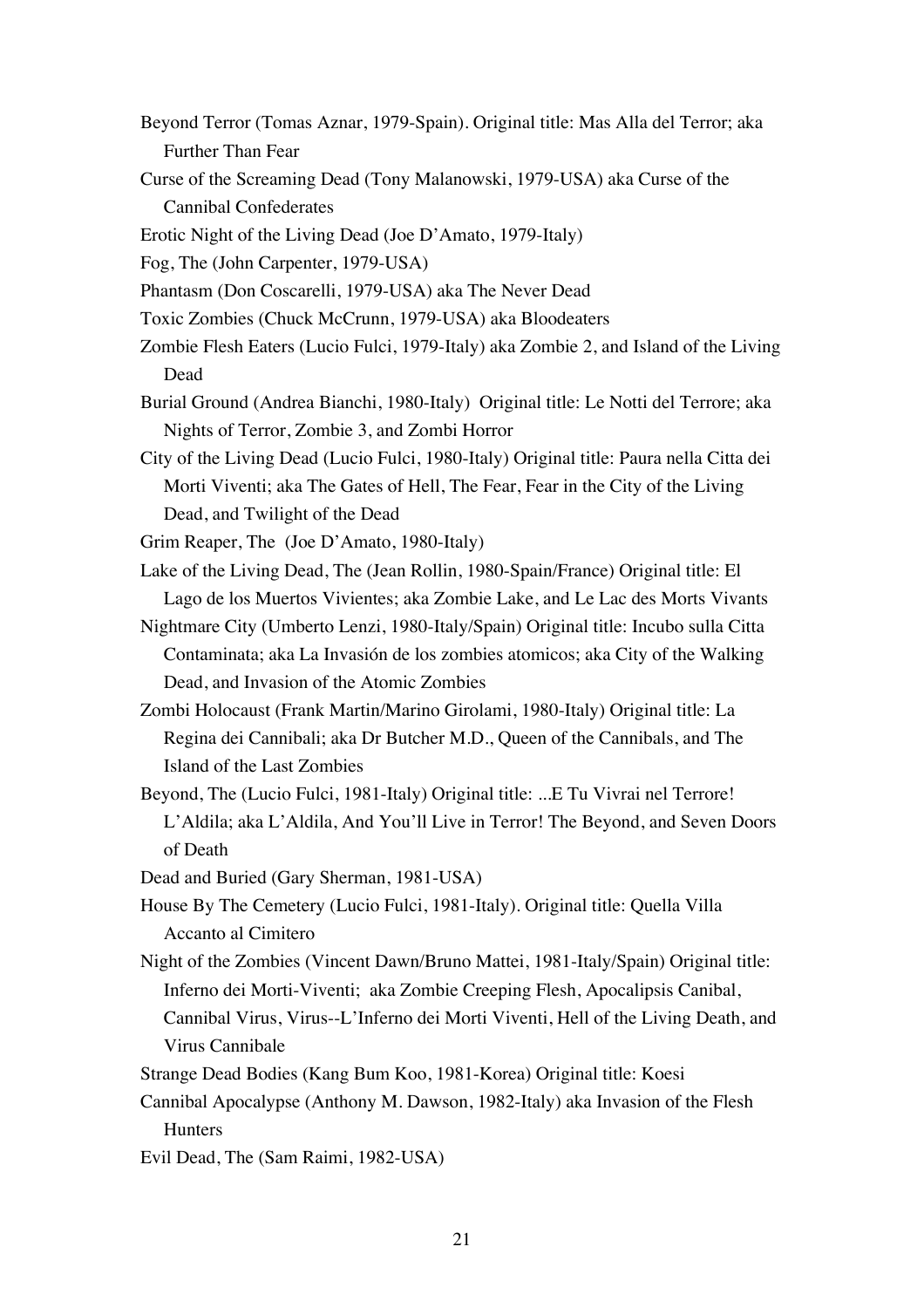- Beyond Terror (Tomas Aznar, 1979-Spain). Original title: Mas Alla del Terror; aka Further Than Fear
- Curse of the Screaming Dead (Tony Malanowski, 1979-USA) aka Curse of the Cannibal Confederates
- Erotic Night of the Living Dead (Joe D'Amato, 1979-Italy)
- Fog, The (John Carpenter, 1979-USA)
- Phantasm (Don Coscarelli, 1979-USA) aka The Never Dead
- Toxic Zombies (Chuck McCrunn, 1979-USA) aka Bloodeaters
- Zombie Flesh Eaters (Lucio Fulci, 1979-Italy) aka Zombie 2, and Island of the Living Dead
- Burial Ground (Andrea Bianchi, 1980-Italy) Original title: Le Notti del Terrore; aka Nights of Terror, Zombie 3, and Zombi Horror
- City of the Living Dead (Lucio Fulci, 1980-Italy) Original title: Paura nella Citta dei Morti Viventi; aka The Gates of Hell, The Fear, Fear in the City of the Living Dead, and Twilight of the Dead

Grim Reaper, The (Joe D'Amato, 1980-Italy)

- Lake of the Living Dead, The (Jean Rollin, 1980-Spain/France) Original title: El Lago de los Muertos Vivientes; aka Zombie Lake, and Le Lac des Morts Vivants
- Nightmare City (Umberto Lenzi, 1980-Italy/Spain) Original title: Incubo sulla Citta Contaminata; aka La Invasión de los zombies atomicos; aka City of the Walking Dead, and Invasion of the Atomic Zombies
- Zombi Holocaust (Frank Martin/Marino Girolami, 1980-Italy) Original title: La Regina dei Cannibali; aka Dr Butcher M.D., Queen of the Cannibals, and The Island of the Last Zombies
- Beyond, The (Lucio Fulci, 1981-Italy) Original title: ...E Tu Vivrai nel Terrore! L'Aldila; aka L'Aldila, And You'll Live in Terror! The Beyond, and Seven Doors of Death
- Dead and Buried (Gary Sherman, 1981-USA)
- House By The Cemetery (Lucio Fulci, 1981-Italy). Original title: Quella Villa Accanto al Cimitero
- Night of the Zombies (Vincent Dawn/Bruno Mattei, 1981-Italy/Spain) Original title: Inferno dei Morti-Viventi; aka Zombie Creeping Flesh, Apocalipsis Canibal, Cannibal Virus, Virus--L'Inferno dei Morti Viventi, Hell of the Living Death, and Virus Cannibale
- Strange Dead Bodies (Kang Bum Koo, 1981-Korea) Original title: Koesi
- Cannibal Apocalypse (Anthony M. Dawson, 1982-Italy) aka Invasion of the Flesh **Hunters**
- Evil Dead, The (Sam Raimi, 1982-USA)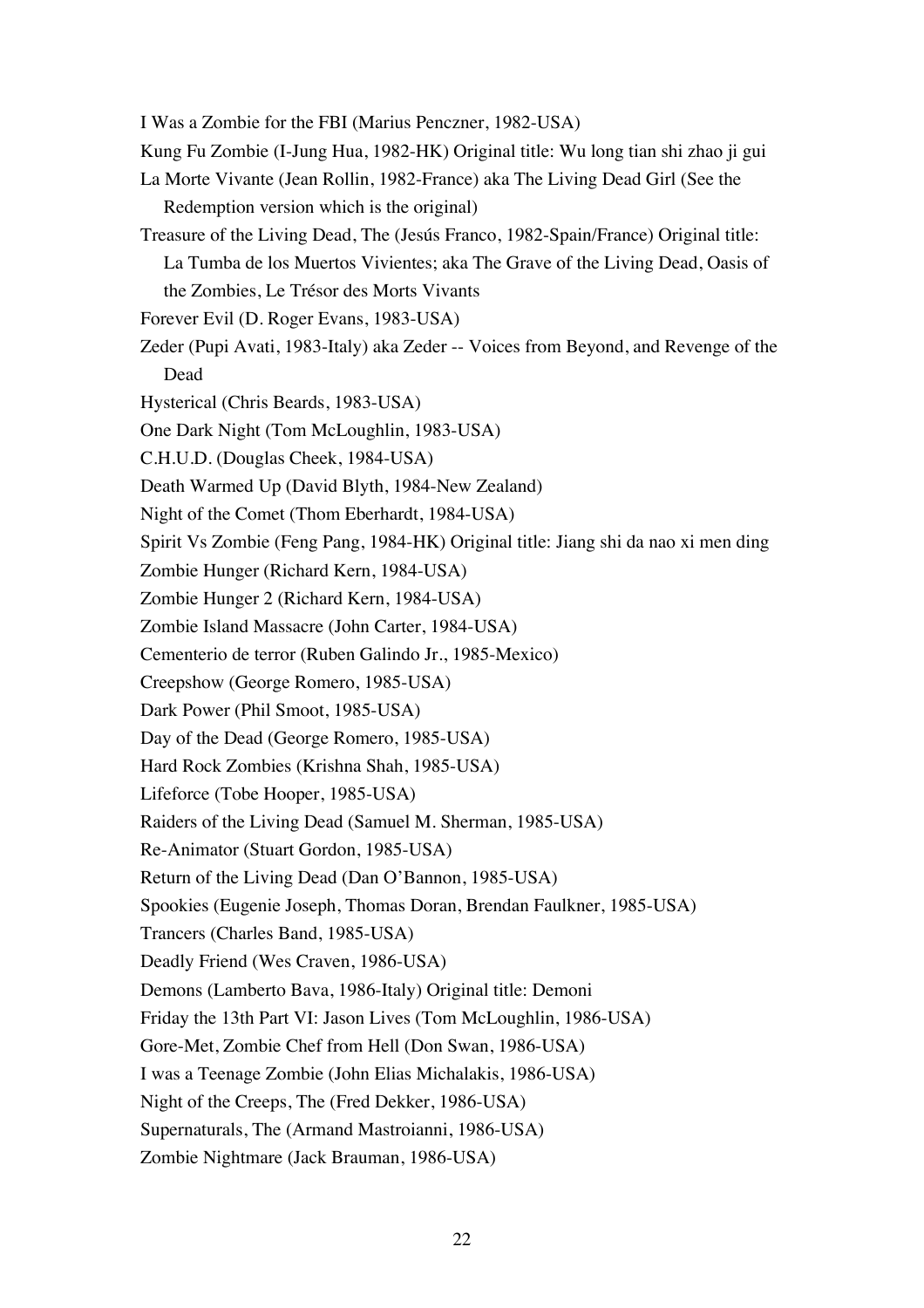- I Was a Zombie for the FBI (Marius Penczner, 1982-USA)
- Kung Fu Zombie (I-Jung Hua, 1982-HK) Original title: Wu long tian shi zhao ji gui
- La Morte Vivante (Jean Rollin, 1982-France) aka The Living Dead Girl (See the Redemption version which is the original)
- Treasure of the Living Dead, The (Jesús Franco, 1982-Spain/France) Original title: La Tumba de los Muertos Vivientes; aka The Grave of the Living Dead, Oasis of the Zombies, Le Trésor des Morts Vivants
- Forever Evil (D. Roger Evans, 1983-USA)
- Zeder (Pupi Avati, 1983-Italy) aka Zeder -- Voices from Beyond, and Revenge of the Dead
- Hysterical (Chris Beards, 1983-USA)
- One Dark Night (Tom McLoughlin, 1983-USA)
- C.H.U.D. (Douglas Cheek, 1984-USA)
- Death Warmed Up (David Blyth, 1984-New Zealand)
- Night of the Comet (Thom Eberhardt, 1984-USA)
- Spirit Vs Zombie (Feng Pang, 1984-HK) Original title: Jiang shi da nao xi men ding
- Zombie Hunger (Richard Kern, 1984-USA)
- Zombie Hunger 2 (Richard Kern, 1984-USA)
- Zombie Island Massacre (John Carter, 1984-USA)
- Cementerio de terror (Ruben Galindo Jr., 1985-Mexico)
- Creepshow (George Romero, 1985-USA)
- Dark Power (Phil Smoot, 1985-USA)
- Day of the Dead (George Romero, 1985-USA)
- Hard Rock Zombies (Krishna Shah, 1985-USA)
- Lifeforce (Tobe Hooper, 1985-USA)
- Raiders of the Living Dead (Samuel M. Sherman, 1985-USA)
- Re-Animator (Stuart Gordon, 1985-USA)
- Return of the Living Dead (Dan O'Bannon, 1985-USA)
- Spookies (Eugenie Joseph, Thomas Doran, Brendan Faulkner, 1985-USA)
- Trancers (Charles Band, 1985-USA)
- Deadly Friend (Wes Craven, 1986-USA)
- Demons (Lamberto Bava, 1986-Italy) Original title: Demoni
- Friday the 13th Part VI: Jason Lives (Tom McLoughlin, 1986-USA)
- Gore-Met, Zombie Chef from Hell (Don Swan, 1986-USA)
- I was a Teenage Zombie (John Elias Michalakis, 1986-USA)
- Night of the Creeps, The (Fred Dekker, 1986-USA)
- Supernaturals, The (Armand Mastroianni, 1986-USA)
- Zombie Nightmare (Jack Brauman, 1986-USA)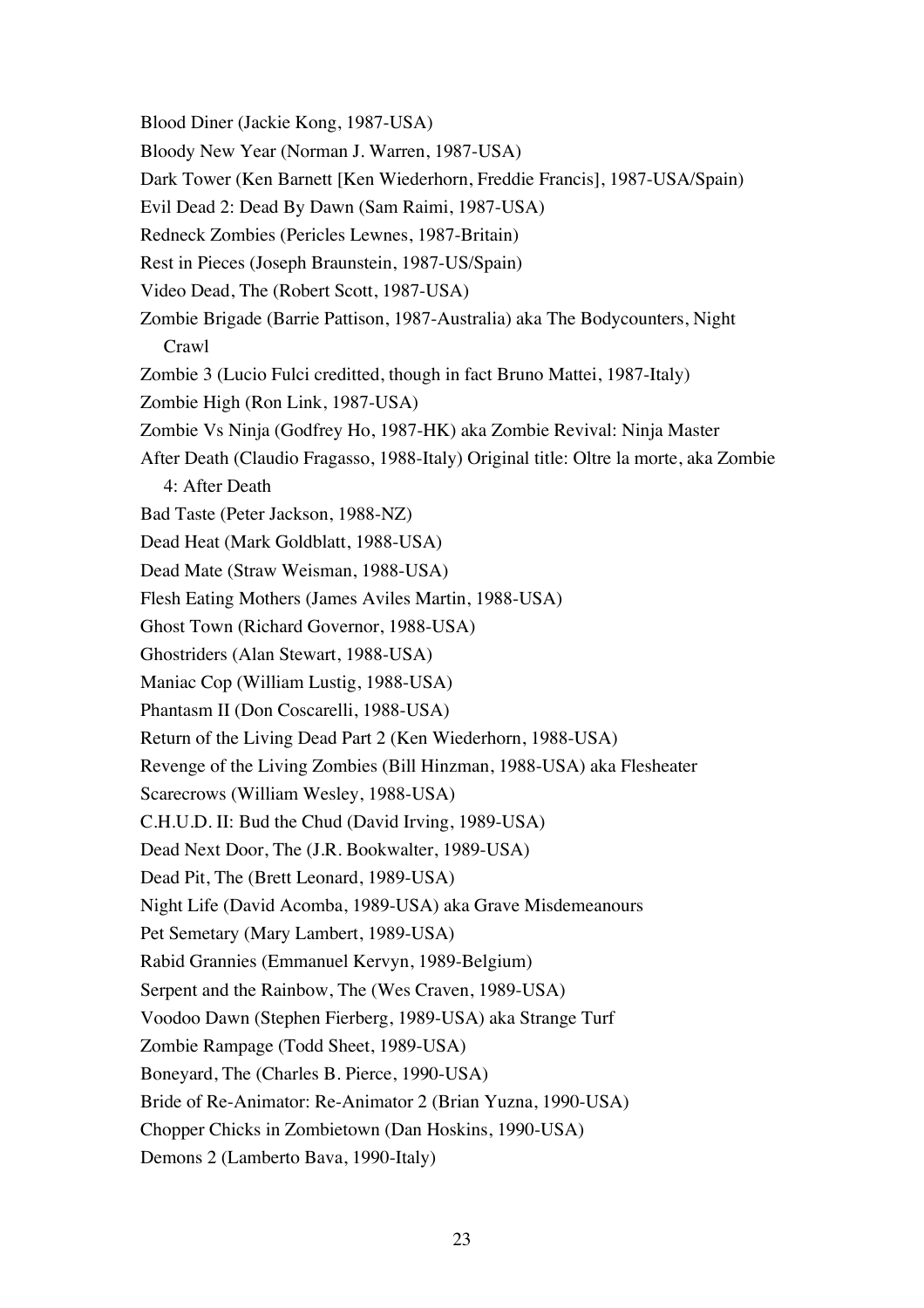Blood Diner (Jackie Kong, 1987-USA) Bloody New Year (Norman J. Warren, 1987-USA) Dark Tower (Ken Barnett [Ken Wiederhorn, Freddie Francis], 1987-USA/Spain) Evil Dead 2: Dead By Dawn (Sam Raimi, 1987-USA) Redneck Zombies (Pericles Lewnes, 1987-Britain) Rest in Pieces (Joseph Braunstein, 1987-US/Spain) Video Dead, The (Robert Scott, 1987-USA) Zombie Brigade (Barrie Pattison, 1987-Australia) aka The Bodycounters, Night Crawl Zombie 3 (Lucio Fulci creditted, though in fact Bruno Mattei, 1987-Italy) Zombie High (Ron Link, 1987-USA) Zombie Vs Ninja (Godfrey Ho, 1987-HK) aka Zombie Revival: Ninja Master After Death (Claudio Fragasso, 1988-Italy) Original title: Oltre la morte, aka Zombie 4: After Death Bad Taste (Peter Jackson, 1988-NZ) Dead Heat (Mark Goldblatt, 1988-USA) Dead Mate (Straw Weisman, 1988-USA) Flesh Eating Mothers (James Aviles Martin, 1988-USA) Ghost Town (Richard Governor, 1988-USA) Ghostriders (Alan Stewart, 1988-USA) Maniac Cop (William Lustig, 1988-USA) Phantasm II (Don Coscarelli, 1988-USA) Return of the Living Dead Part 2 (Ken Wiederhorn, 1988-USA) Revenge of the Living Zombies (Bill Hinzman, 1988-USA) aka Flesheater Scarecrows (William Wesley, 1988-USA) C.H.U.D. II: Bud the Chud (David Irving, 1989-USA) Dead Next Door, The (J.R. Bookwalter, 1989-USA) Dead Pit, The (Brett Leonard, 1989-USA) Night Life (David Acomba, 1989-USA) aka Grave Misdemeanours Pet Semetary (Mary Lambert, 1989-USA) Rabid Grannies (Emmanuel Kervyn, 1989-Belgium) Serpent and the Rainbow, The (Wes Craven, 1989-USA) Voodoo Dawn (Stephen Fierberg, 1989-USA) aka Strange Turf Zombie Rampage (Todd Sheet, 1989-USA) Boneyard, The (Charles B. Pierce, 1990-USA) Bride of Re-Animator: Re-Animator 2 (Brian Yuzna, 1990-USA) Chopper Chicks in Zombietown (Dan Hoskins, 1990-USA) Demons 2 (Lamberto Bava, 1990-Italy)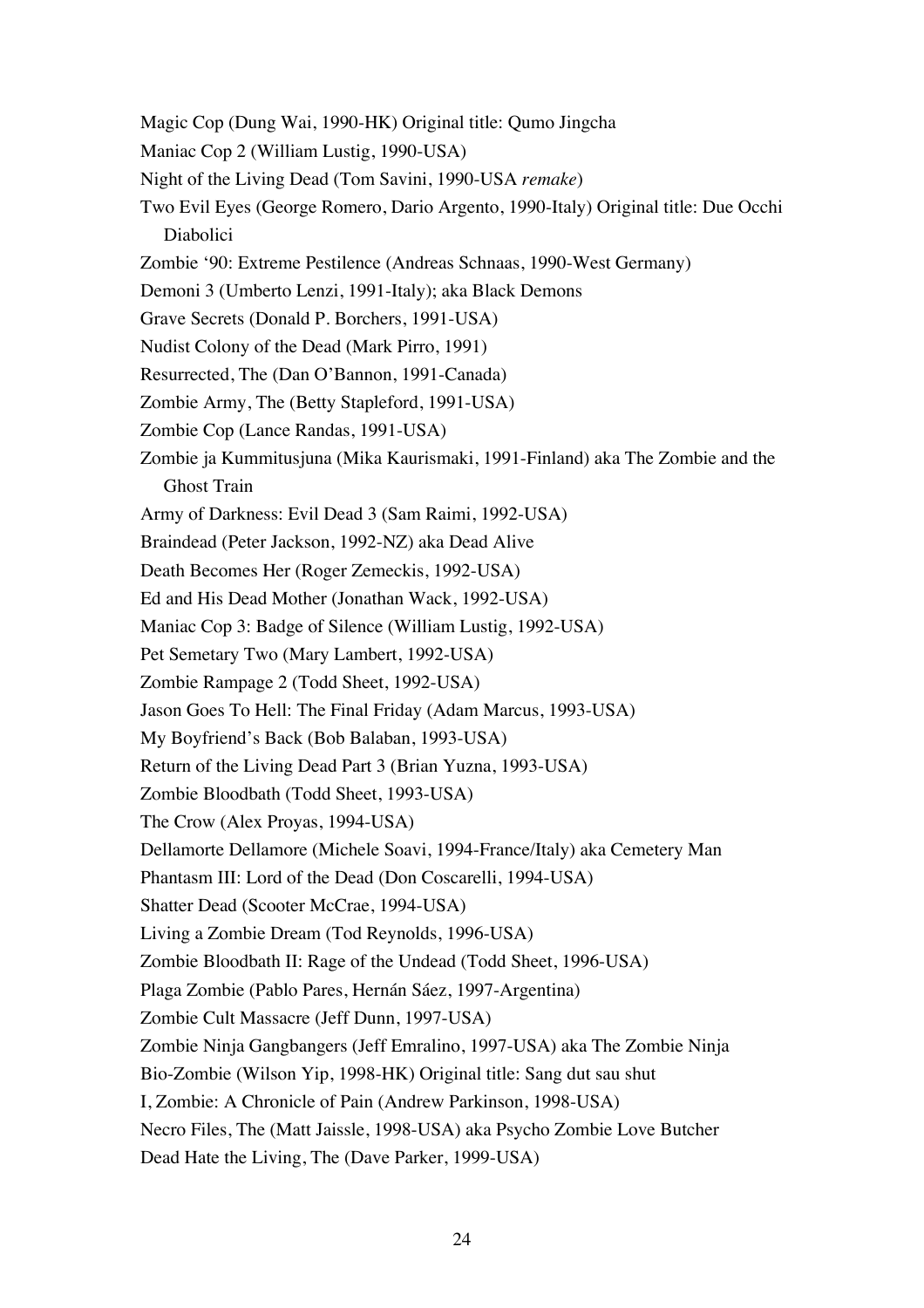- Magic Cop (Dung Wai, 1990-HK) Original title: Qumo Jingcha
- Maniac Cop 2 (William Lustig, 1990-USA)
- Night of the Living Dead (Tom Savini, 1990-USA *remake*)
- Two Evil Eyes (George Romero, Dario Argento, 1990-Italy) Original title: Due Occhi Diabolici
- Zombie '90: Extreme Pestilence (Andreas Schnaas, 1990-West Germany)
- Demoni 3 (Umberto Lenzi, 1991-Italy); aka Black Demons
- Grave Secrets (Donald P. Borchers, 1991-USA)
- Nudist Colony of the Dead (Mark Pirro, 1991)
- Resurrected, The (Dan O'Bannon, 1991-Canada)
- Zombie Army, The (Betty Stapleford, 1991-USA)
- Zombie Cop (Lance Randas, 1991-USA)
- Zombie ja Kummitusjuna (Mika Kaurismaki, 1991-Finland) aka The Zombie and the Ghost Train
- Army of Darkness: Evil Dead 3 (Sam Raimi, 1992-USA)
- Braindead (Peter Jackson, 1992-NZ) aka Dead Alive
- Death Becomes Her (Roger Zemeckis, 1992-USA)
- Ed and His Dead Mother (Jonathan Wack, 1992-USA)
- Maniac Cop 3: Badge of Silence (William Lustig, 1992-USA)
- Pet Semetary Two (Mary Lambert, 1992-USA)
- Zombie Rampage 2 (Todd Sheet, 1992-USA)
- Jason Goes To Hell: The Final Friday (Adam Marcus, 1993-USA)
- My Boyfriend's Back (Bob Balaban, 1993-USA)
- Return of the Living Dead Part 3 (Brian Yuzna, 1993-USA)
- Zombie Bloodbath (Todd Sheet, 1993-USA)
- The Crow (Alex Proyas, 1994-USA)
- Dellamorte Dellamore (Michele Soavi, 1994-France/Italy) aka Cemetery Man
- Phantasm III: Lord of the Dead (Don Coscarelli, 1994-USA)
- Shatter Dead (Scooter McCrae, 1994-USA)
- Living a Zombie Dream (Tod Reynolds, 1996-USA)
- Zombie Bloodbath II: Rage of the Undead (Todd Sheet, 1996-USA)
- Plaga Zombie (Pablo Pares, Hernán Sáez, 1997-Argentina)
- Zombie Cult Massacre (Jeff Dunn, 1997-USA)
- Zombie Ninja Gangbangers (Jeff Emralino, 1997-USA) aka The Zombie Ninja
- Bio-Zombie (Wilson Yip, 1998-HK) Original title: Sang dut sau shut
- I, Zombie: A Chronicle of Pain (Andrew Parkinson, 1998-USA)
- Necro Files, The (Matt Jaissle, 1998-USA) aka Psycho Zombie Love Butcher
- Dead Hate the Living, The (Dave Parker, 1999-USA)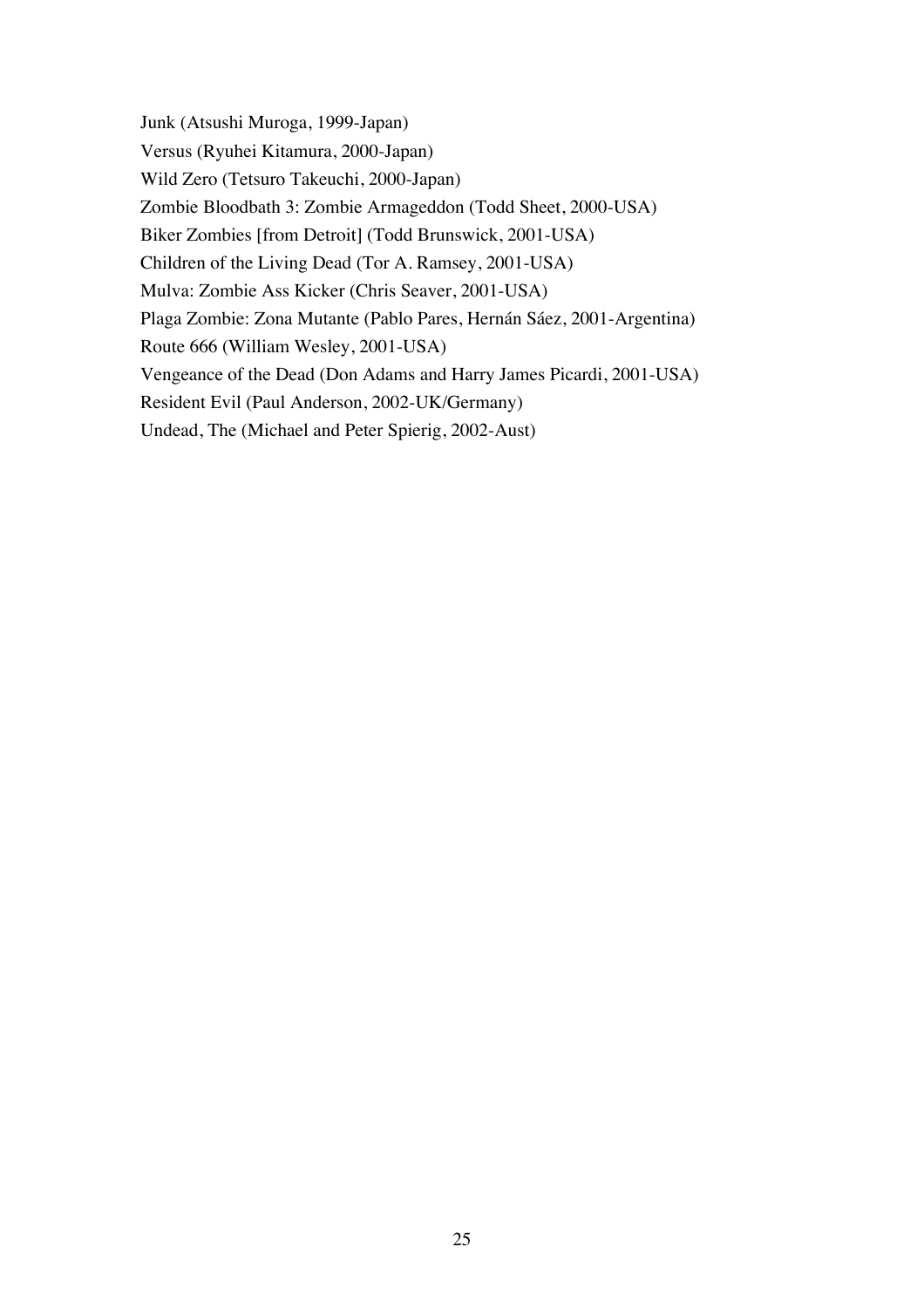Junk (Atsushi Muroga, 1999-Japan) Versus (Ryuhei Kitamura, 2000-Japan) Wild Zero (Tetsuro Takeuchi, 2000-Japan) Zombie Bloodbath 3: Zombie Armageddon (Todd Sheet, 2000-USA) Biker Zombies [from Detroit] (Todd Brunswick, 2001-USA) Children of the Living Dead (Tor A. Ramsey, 2001-USA) Mulva: Zombie Ass Kicker (Chris Seaver, 2001-USA) Plaga Zombie: Zona Mutante (Pablo Pares, Hernán Sáez, 2001-Argentina) Route 666 (William Wesley, 2001-USA) Vengeance of the Dead (Don Adams and Harry James Picardi, 2001-USA) Resident Evil (Paul Anderson, 2002-UK/Germany) Undead, The (Michael and Peter Spierig, 2002-Aust)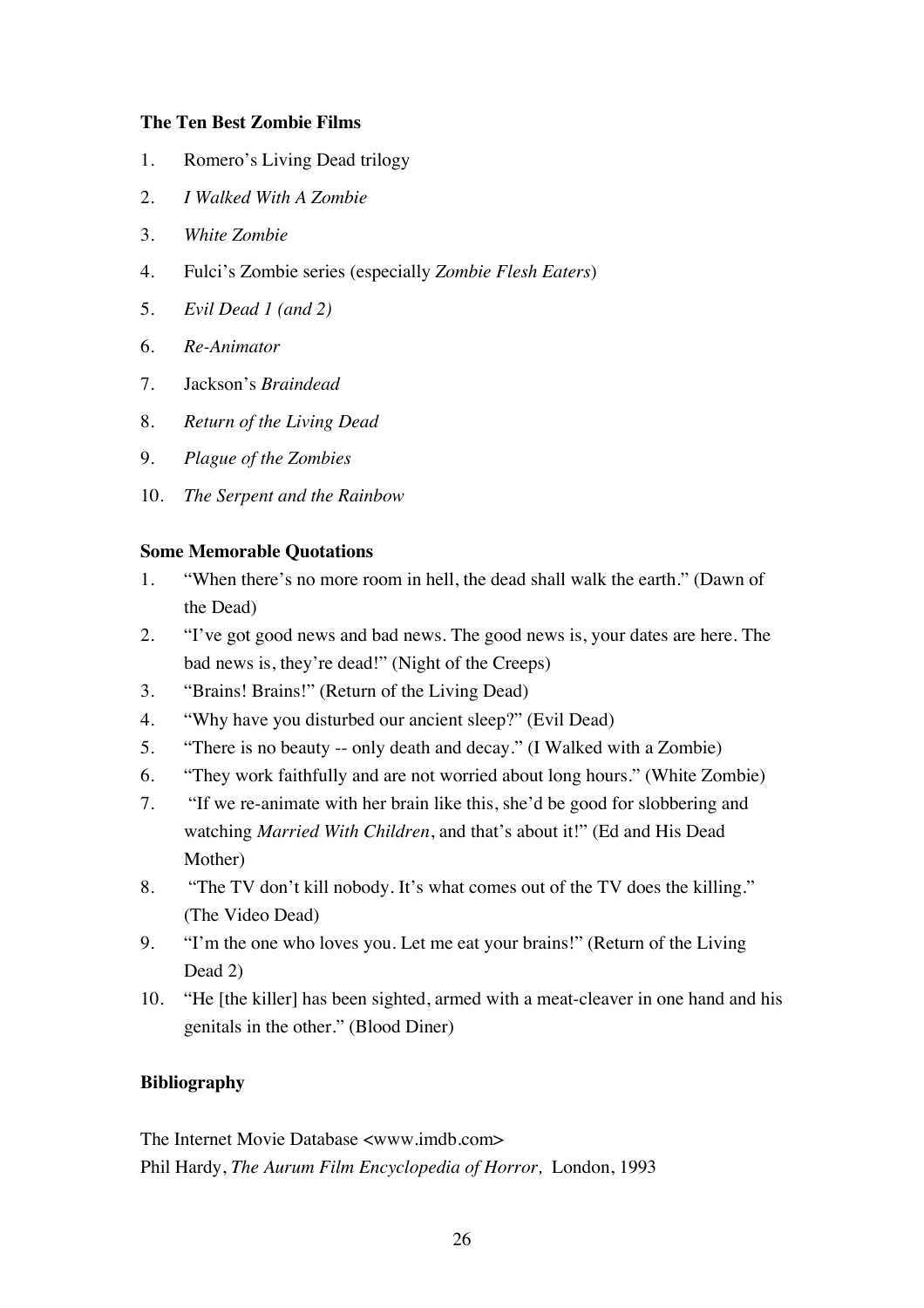## **The Ten Best Zombie Films**

- 1. Romero's Living Dead trilogy
- 2. *I Walked With A Zombie*
- 3. *White Zombie*
- 4. Fulci's Zombie series (especially *Zombie Flesh Eaters*)
- 5. *Evil Dead 1 (and 2)*
- 6. *Re-Animator*
- 7. Jackson's *Braindead*
- 8. *Return of the Living Dead*
- 9. *Plague of the Zombies*
- 10. *The Serpent and the Rainbow*

## **Some Memorable Quotations**

- 1. "When there's no more room in hell, the dead shall walk the earth." (Dawn of the Dead)
- 2. "I've got good news and bad news. The good news is, your dates are here. The bad news is, they're dead!" (Night of the Creeps)
- 3. "Brains! Brains!" (Return of the Living Dead)
- 4. "Why have you disturbed our ancient sleep?" (Evil Dead)
- 5. "There is no beauty -- only death and decay." (I Walked with a Zombie)
- 6. "They work faithfully and are not worried about long hours." (White Zombie)
- 7. "If we re-animate with her brain like this, she'd be good for slobbering and watching *Married With Children*, and that's about it!" (Ed and His Dead Mother)
- 8. "The TV don't kill nobody. It's what comes out of the TV does the killing." (The Video Dead)
- 9. "I'm the one who loves you. Let me eat your brains!" (Return of the Living Dead 2)
- 10. "He [the killer] has been sighted, armed with a meat-cleaver in one hand and his genitals in the other." (Blood Diner)

## **Bibliography**

The Internet Movie Database <www.imdb.com> Phil Hardy, *The Aurum Film Encyclopedia of Horror,* London, 1993